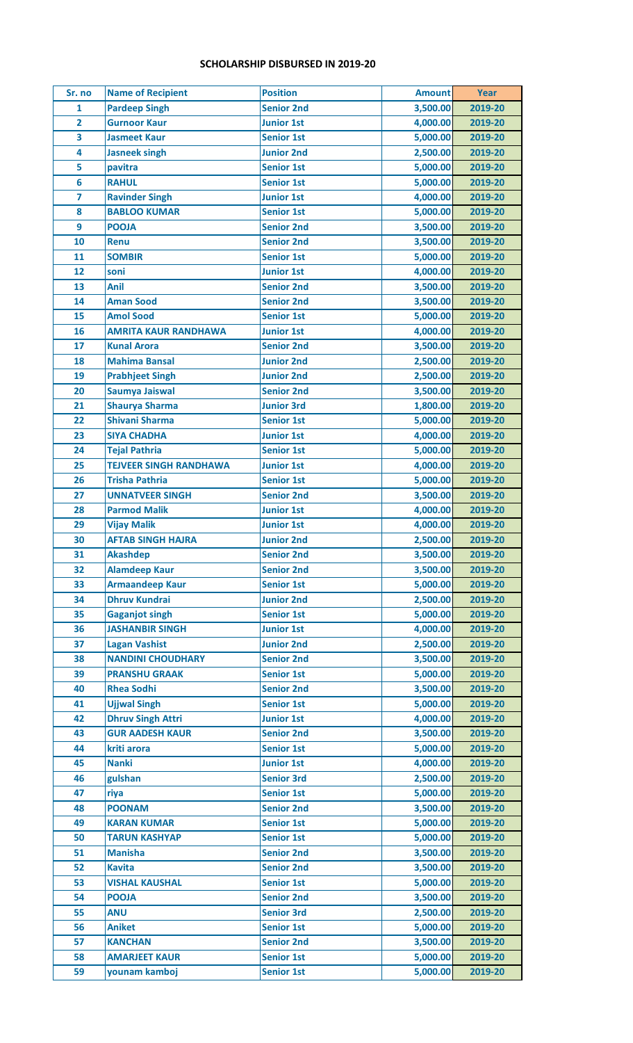## **SCHOLARSHIP DISBURSED IN 2019-20**

| Sr. no         | <b>Name of Recipient</b>      | <b>Position</b>   | <b>Amount</b> | <b>Year</b> |
|----------------|-------------------------------|-------------------|---------------|-------------|
| $\mathbf{1}$   | <b>Pardeep Singh</b>          | <b>Senior 2nd</b> | 3,500.00      | 2019-20     |
| $\overline{2}$ | <b>Gurnoor Kaur</b>           | <b>Junior 1st</b> | 4,000.00      | 2019-20     |
| 3              | <b>Jasmeet Kaur</b>           | <b>Senior 1st</b> | 5,000.00      | 2019-20     |
| 4              | <b>Jasneek singh</b>          | <b>Junior 2nd</b> | 2,500.00      | 2019-20     |
| 5              | pavitra                       | <b>Senior 1st</b> | 5,000.00      | 2019-20     |
| 6              | <b>RAHUL</b>                  | <b>Senior 1st</b> | 5,000.00      | 2019-20     |
| $\overline{7}$ | <b>Ravinder Singh</b>         | <b>Junior 1st</b> | 4,000.00      | 2019-20     |
| 8              | <b>BABLOO KUMAR</b>           | <b>Senior 1st</b> | 5,000.00      | 2019-20     |
| 9              | <b>POOJA</b>                  | <b>Senior 2nd</b> | 3,500.00      | 2019-20     |
| 10             | <b>Renu</b>                   | <b>Senior 2nd</b> | 3,500.00      | 2019-20     |
| 11             | <b>SOMBIR</b>                 | <b>Senior 1st</b> | 5,000.00      | 2019-20     |
| 12             | soni                          | <b>Junior 1st</b> | 4,000.00      | 2019-20     |
| 13             | Anil                          | <b>Senior 2nd</b> | 3,500.00      | 2019-20     |
| 14             | <b>Aman Sood</b>              | <b>Senior 2nd</b> | 3,500.00      | 2019-20     |
| 15             | <b>Amol Sood</b>              | <b>Senior 1st</b> | 5,000.00      | 2019-20     |
| 16             | <b>AMRITA KAUR RANDHAWA</b>   | <b>Junior 1st</b> | 4,000.00      | 2019-20     |
| 17             | <b>Kunal Arora</b>            | <b>Senior 2nd</b> | 3,500.00      | 2019-20     |
| 18             | <b>Mahima Bansal</b>          | <b>Junior 2nd</b> | 2,500.00      | 2019-20     |
| 19             | <b>Prabhjeet Singh</b>        | <b>Junior 2nd</b> | 2,500.00      | 2019-20     |
| 20             | Saumya Jaiswal                | <b>Senior 2nd</b> | 3,500.00      | 2019-20     |
| 21             | <b>Shaurya Sharma</b>         | <b>Junior 3rd</b> | 1,800.00      | 2019-20     |
| 22             | <b>Shivani Sharma</b>         | <b>Senior 1st</b> | 5,000.00      | 2019-20     |
| 23             | <b>SIYA CHADHA</b>            | <b>Junior 1st</b> | 4,000.00      | 2019-20     |
| 24             | <b>Tejal Pathria</b>          | <b>Senior 1st</b> | 5,000.00      | 2019-20     |
| 25             | <b>TEJVEER SINGH RANDHAWA</b> | <b>Junior 1st</b> | 4,000.00      | 2019-20     |
| 26             | <b>Trisha Pathria</b>         | <b>Senior 1st</b> | 5,000.00      | 2019-20     |
| 27             | <b>UNNATVEER SINGH</b>        | <b>Senior 2nd</b> | 3,500.00      | 2019-20     |
| 28             | <b>Parmod Malik</b>           | <b>Junior 1st</b> | 4,000.00      | 2019-20     |
| 29             | <b>Vijay Malik</b>            | <b>Junior 1st</b> | 4,000.00      | 2019-20     |
| 30             | <b>AFTAB SINGH HAJRA</b>      | <b>Junior 2nd</b> | 2,500.00      | 2019-20     |
| 31             | <b>Akashdep</b>               | <b>Senior 2nd</b> | 3,500.00      | 2019-20     |
| 32             | <b>Alamdeep Kaur</b>          | <b>Senior 2nd</b> | 3,500.00      | 2019-20     |
| 33             | <b>Armaandeep Kaur</b>        | <b>Senior 1st</b> | 5,000.00      | 2019-20     |
| 34             | <b>Dhruv Kundrai</b>          | <b>Junior 2nd</b> | 2,500.00      | 2019-20     |
| 35             | <b>Gaganjot singh</b>         | <b>Senior 1st</b> | 5,000.00      | 2019-20     |
| 36             | <b>JASHANBIR SINGH</b>        | <b>Junior 1st</b> | 4,000.00      | 2019-20     |
| 37             | <b>Lagan Vashist</b>          | <b>Junior 2nd</b> | 2,500.00      | 2019-20     |
| 38             | <b>NANDINI CHOUDHARY</b>      | <b>Senior 2nd</b> | 3,500.00      | 2019-20     |
| 39             | <b>PRANSHU GRAAK</b>          | <b>Senior 1st</b> | 5,000.00      | 2019-20     |
| 40             | <b>Rhea Sodhi</b>             | <b>Senior 2nd</b> | 3,500.00      | 2019-20     |
| 41             | <b>Ujjwal Singh</b>           | <b>Senior 1st</b> | 5,000.00      | 2019-20     |
| 42             | <b>Dhruv Singh Attri</b>      | <b>Junior 1st</b> | 4,000.00      | 2019-20     |
| 43             | <b>GUR AADESH KAUR</b>        | <b>Senior 2nd</b> | 3,500.00      | 2019-20     |
| 44             | kriti arora                   | <b>Senior 1st</b> | 5,000.00      | 2019-20     |
| 45             | <b>Nanki</b>                  | <b>Junior 1st</b> | 4,000.00      | 2019-20     |
| 46             | gulshan                       | <b>Senior 3rd</b> | 2,500.00      | 2019-20     |
| 47             | riya                          | <b>Senior 1st</b> | 5,000.00      | 2019-20     |
| 48             | <b>POONAM</b>                 | <b>Senior 2nd</b> | 3,500.00      | 2019-20     |
| 49             | <b>KARAN KUMAR</b>            | <b>Senior 1st</b> | 5,000.00      | 2019-20     |
| 50             | <b>TARUN KASHYAP</b>          | <b>Senior 1st</b> | 5,000.00      | 2019-20     |
| 51             | <b>Manisha</b>                | <b>Senior 2nd</b> | 3,500.00      | 2019-20     |
| 52             | <b>Kavita</b>                 | <b>Senior 2nd</b> | 3,500.00      | 2019-20     |
| 53             | <b>VISHAL KAUSHAL</b>         | <b>Senior 1st</b> | 5,000.00      | 2019-20     |
| 54             | <b>POOJA</b>                  | <b>Senior 2nd</b> | 3,500.00      | 2019-20     |
| 55             | <b>ANU</b>                    | <b>Senior 3rd</b> | 2,500.00      | 2019-20     |
| 56             | <b>Aniket</b>                 | <b>Senior 1st</b> | 5,000.00      | 2019-20     |
| 57             | <b>KANCHAN</b>                | <b>Senior 2nd</b> | 3,500.00      | 2019-20     |
| 58             | <b>AMARJEET KAUR</b>          | <b>Senior 1st</b> | 5,000.00      | 2019-20     |
| 59             | younam kamboj                 | <b>Senior 1st</b> | 5,000.00      | 2019-20     |
|                |                               |                   |               |             |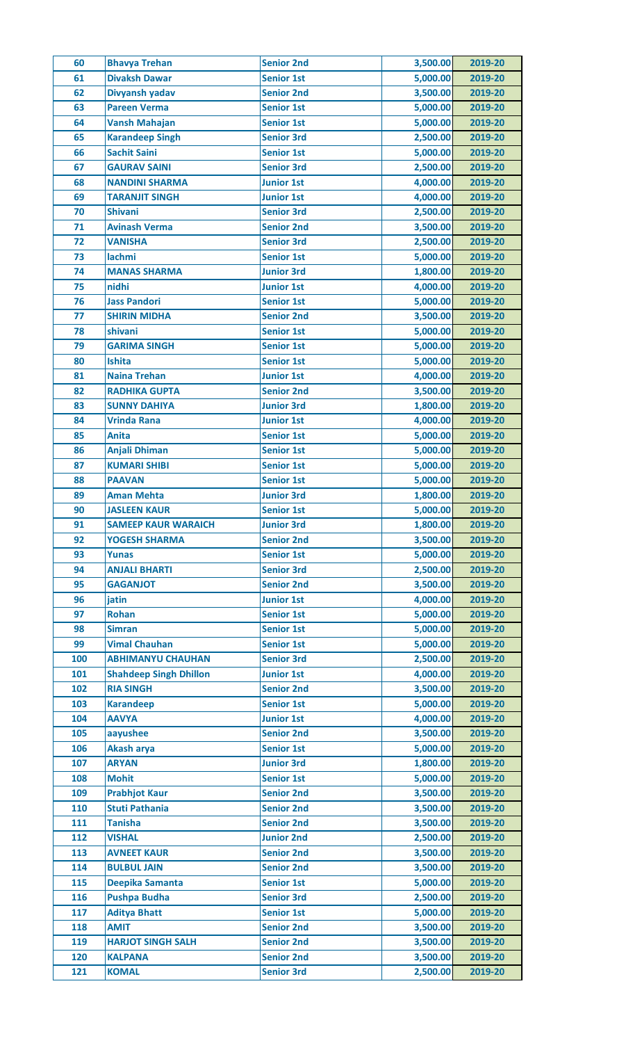| 60         | <b>Bhavya Trehan</b>                    | <b>Senior 2nd</b> | 3,500.00 | 2019-20            |
|------------|-----------------------------------------|-------------------|----------|--------------------|
| 61         | <b>Divaksh Dawar</b>                    | <b>Senior 1st</b> | 5,000.00 | 2019-20            |
| 62         | Divyansh yadav                          | <b>Senior 2nd</b> | 3,500.00 | 2019-20            |
| 63         | <b>Pareen Verma</b>                     | <b>Senior 1st</b> | 5,000.00 | 2019-20            |
| 64         | <b>Vansh Mahajan</b>                    | <b>Senior 1st</b> | 5,000.00 | 2019-20            |
| 65         | <b>Karandeep Singh</b>                  | <b>Senior 3rd</b> | 2,500.00 | 2019-20            |
| 66         | <b>Sachit Saini</b>                     | <b>Senior 1st</b> | 5,000.00 | 2019-20            |
| 67         | <b>GAURAV SAINI</b>                     | <b>Senior 3rd</b> | 2,500.00 | 2019-20            |
| 68         | <b>NANDINI SHARMA</b>                   | <b>Junior 1st</b> | 4,000.00 | 2019-20            |
| 69         | <b>TARANJIT SINGH</b>                   | <b>Junior 1st</b> | 4,000.00 | 2019-20            |
| 70         | <b>Shivani</b>                          | <b>Senior 3rd</b> | 2,500.00 | 2019-20            |
| 71         | <b>Avinash Verma</b>                    | <b>Senior 2nd</b> | 3,500.00 | 2019-20            |
| 72         | <b>VANISHA</b>                          | <b>Senior 3rd</b> | 2,500.00 | 2019-20            |
| 73         | lachmi                                  | <b>Senior 1st</b> | 5,000.00 | 2019-20            |
| 74         | <b>MANAS SHARMA</b>                     | <b>Junior 3rd</b> | 1,800.00 | 2019-20            |
| 75         | nidhi                                   | <b>Junior 1st</b> | 4,000.00 | 2019-20            |
| 76         | <b>Jass Pandori</b>                     | <b>Senior 1st</b> | 5,000.00 | 2019-20            |
| 77         | <b>SHIRIN MIDHA</b>                     | <b>Senior 2nd</b> | 3,500.00 | 2019-20            |
| 78         | shivani                                 | <b>Senior 1st</b> | 5,000.00 | 2019-20            |
| 79         | <b>GARIMA SINGH</b>                     | <b>Senior 1st</b> | 5,000.00 | 2019-20            |
|            |                                         |                   |          |                    |
| 80         | <b>Ishita</b>                           | <b>Senior 1st</b> | 5,000.00 | 2019-20            |
| 81         | <b>Naina Trehan</b>                     | <b>Junior 1st</b> | 4,000.00 | 2019-20            |
| 82         | <b>RADHIKA GUPTA</b>                    | <b>Senior 2nd</b> | 3,500.00 | 2019-20            |
| 83         | <b>SUNNY DAHIYA</b>                     | <b>Junior 3rd</b> | 1,800.00 | 2019-20            |
| 84         | <b>Vrinda Rana</b>                      | <b>Junior 1st</b> | 4,000.00 | 2019-20            |
| 85         | <b>Anita</b>                            | <b>Senior 1st</b> | 5,000.00 | 2019-20            |
| 86         | <b>Anjali Dhiman</b>                    | <b>Senior 1st</b> | 5,000.00 | 2019-20            |
| 87         | <b>KUMARI SHIBI</b>                     | <b>Senior 1st</b> | 5,000.00 | 2019-20            |
| 88         | <b>PAAVAN</b>                           | <b>Senior 1st</b> | 5,000.00 | 2019-20            |
| 89         | <b>Aman Mehta</b>                       | <b>Junior 3rd</b> | 1,800.00 | 2019-20            |
| 90         | <b>JASLEEN KAUR</b>                     | <b>Senior 1st</b> | 5,000.00 | 2019-20            |
| 91         | <b>SAMEEP KAUR WARAICH</b>              | <b>Junior 3rd</b> | 1,800.00 | 2019-20            |
| 92         | <b>YOGESH SHARMA</b>                    | <b>Senior 2nd</b> | 3,500.00 | 2019-20            |
| 93         | <b>Yunas</b>                            | <b>Senior 1st</b> | 5,000.00 | 2019-20            |
| 94         | <b>ANJALI BHARTI</b>                    | <b>Senior 3rd</b> | 2,500.00 | 2019-20            |
| 95         | <b>GAGANJOT</b>                         | <b>Senior 2nd</b> | 3,500.00 | 2019-20            |
| 96         | jatin                                   | <b>Junior 1st</b> | 4,000.00 | 2019-20            |
| 97         | Rohan                                   | <b>Senior 1st</b> | 5,000.00 | 2019-20            |
| 98         | <b>Simran</b>                           | <b>Senior 1st</b> | 5,000.00 | 2019-20            |
| 99         | <b>Vimal Chauhan</b>                    | <b>Senior 1st</b> | 5,000.00 | 2019-20            |
| 100        | <b>ABHIMANYU CHAUHAN</b>                | <b>Senior 3rd</b> | 2,500.00 | 2019-20            |
| 101        | <b>Shahdeep Singh Dhillon</b>           | <b>Junior 1st</b> | 4,000.00 | 2019-20            |
| 102        | <b>RIA SINGH</b>                        | <b>Senior 2nd</b> | 3,500.00 | 2019-20            |
| 103        | <b>Karandeep</b>                        | <b>Senior 1st</b> | 5,000.00 | 2019-20            |
| 104        | <b>AAVYA</b>                            | <b>Junior 1st</b> | 4,000.00 | 2019-20            |
| 105        | aayushee                                | <b>Senior 2nd</b> | 3,500.00 | 2019-20            |
| 106        | Akash arya                              | <b>Senior 1st</b> | 5,000.00 | 2019-20            |
| 107        | <b>ARYAN</b>                            | <b>Junior 3rd</b> | 1,800.00 | 2019-20            |
| 108        | <b>Mohit</b>                            | <b>Senior 1st</b> | 5,000.00 | 2019-20            |
| 109        | <b>Prabhjot Kaur</b>                    | <b>Senior 2nd</b> | 3,500.00 | 2019-20            |
|            |                                         | <b>Senior 2nd</b> | 3,500.00 |                    |
| 110<br>111 | <b>Stuti Pathania</b><br><b>Tanisha</b> | <b>Senior 2nd</b> | 3,500.00 | 2019-20<br>2019-20 |
|            |                                         |                   |          |                    |
| 112        | <b>VISHAL</b>                           | <b>Junior 2nd</b> | 2,500.00 | 2019-20            |
| 113        | <b>AVNEET KAUR</b>                      | <b>Senior 2nd</b> | 3,500.00 | 2019-20            |
| 114        | <b>BULBUL JAIN</b>                      | <b>Senior 2nd</b> | 3,500.00 | 2019-20            |
| 115        | Deepika Samanta                         | <b>Senior 1st</b> | 5,000.00 | 2019-20            |
| 116        | <b>Pushpa Budha</b>                     | <b>Senior 3rd</b> | 2,500.00 | 2019-20            |
| 117        | <b>Aditya Bhatt</b>                     | <b>Senior 1st</b> | 5,000.00 | 2019-20            |
| 118        | <b>AMIT</b>                             | <b>Senior 2nd</b> | 3,500.00 | 2019-20            |
| 119        | <b>HARJOT SINGH SALH</b>                | <b>Senior 2nd</b> | 3,500.00 | 2019-20            |
| 120        | <b>KALPANA</b>                          | <b>Senior 2nd</b> | 3,500.00 | 2019-20            |
| 121        | <b>KOMAL</b>                            | <b>Senior 3rd</b> | 2,500.00 | 2019-20            |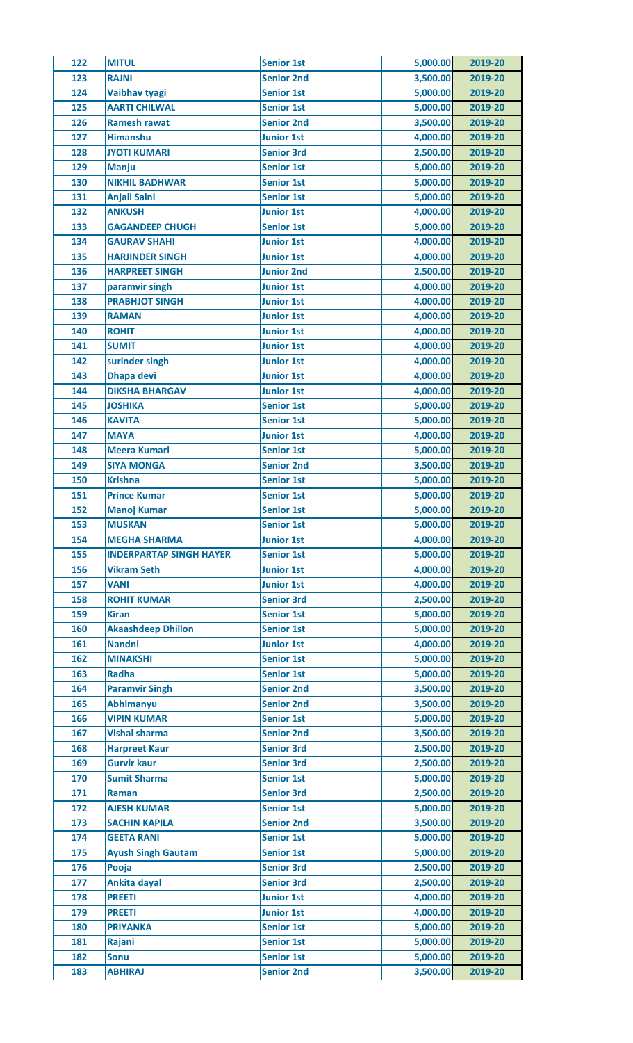| 122 | <b>MITUL</b>                   | <b>Senior 1st</b> | 5,000.00 | 2019-20 |
|-----|--------------------------------|-------------------|----------|---------|
| 123 | <b>RAJNI</b>                   | <b>Senior 2nd</b> | 3,500.00 | 2019-20 |
| 124 | Vaibhav tyagi                  | <b>Senior 1st</b> | 5,000.00 | 2019-20 |
| 125 | <b>AARTI CHILWAL</b>           | <b>Senior 1st</b> | 5,000.00 | 2019-20 |
| 126 | <b>Ramesh rawat</b>            | <b>Senior 2nd</b> | 3,500.00 | 2019-20 |
| 127 | <b>Himanshu</b>                | <b>Junior 1st</b> | 4,000.00 | 2019-20 |
| 128 | <b>JYOTI KUMARI</b>            | <b>Senior 3rd</b> | 2,500.00 | 2019-20 |
| 129 | <b>Manju</b>                   | <b>Senior 1st</b> | 5,000.00 | 2019-20 |
| 130 | <b>NIKHIL BADHWAR</b>          | <b>Senior 1st</b> | 5,000.00 | 2019-20 |
| 131 | <b>Anjali Saini</b>            | <b>Senior 1st</b> | 5,000.00 | 2019-20 |
| 132 | <b>ANKUSH</b>                  | <b>Junior 1st</b> | 4,000.00 | 2019-20 |
| 133 | <b>GAGANDEEP CHUGH</b>         | <b>Senior 1st</b> | 5,000.00 | 2019-20 |
| 134 | <b>GAURAV SHAHI</b>            | <b>Junior 1st</b> | 4,000.00 | 2019-20 |
| 135 | <b>HARJINDER SINGH</b>         | <b>Junior 1st</b> | 4,000.00 | 2019-20 |
| 136 | <b>HARPREET SINGH</b>          | <b>Junior 2nd</b> | 2,500.00 | 2019-20 |
| 137 | paramvir singh                 | <b>Junior 1st</b> | 4,000.00 | 2019-20 |
| 138 | <b>PRABHJOT SINGH</b>          | <b>Junior 1st</b> | 4,000.00 | 2019-20 |
| 139 | <b>RAMAN</b>                   | <b>Junior 1st</b> | 4,000.00 | 2019-20 |
| 140 | <b>ROHIT</b>                   | <b>Junior 1st</b> | 4,000.00 | 2019-20 |
| 141 | <b>SUMIT</b>                   | <b>Junior 1st</b> | 4,000.00 | 2019-20 |
| 142 | surinder singh                 | <b>Junior 1st</b> | 4,000.00 | 2019-20 |
| 143 | <b>Dhapa devi</b>              | <b>Junior 1st</b> | 4,000.00 | 2019-20 |
| 144 | <b>DIKSHA BHARGAV</b>          | <b>Junior 1st</b> | 4,000.00 | 2019-20 |
| 145 | <b>JOSHIKA</b>                 | <b>Senior 1st</b> | 5,000.00 | 2019-20 |
| 146 | <b>KAVITA</b>                  | <b>Senior 1st</b> | 5,000.00 | 2019-20 |
| 147 | <b>MAYA</b>                    | <b>Junior 1st</b> | 4,000.00 | 2019-20 |
| 148 | <b>Meera Kumari</b>            | <b>Senior 1st</b> | 5,000.00 | 2019-20 |
| 149 | <b>SIYA MONGA</b>              | <b>Senior 2nd</b> | 3,500.00 | 2019-20 |
| 150 | <b>Krishna</b>                 | <b>Senior 1st</b> | 5,000.00 | 2019-20 |
| 151 | <b>Prince Kumar</b>            | <b>Senior 1st</b> | 5,000.00 | 2019-20 |
| 152 | <b>Manoj Kumar</b>             | <b>Senior 1st</b> | 5,000.00 | 2019-20 |
| 153 | <b>MUSKAN</b>                  | <b>Senior 1st</b> | 5,000.00 | 2019-20 |
| 154 | <b>MEGHA SHARMA</b>            | <b>Junior 1st</b> | 4,000.00 | 2019-20 |
| 155 | <b>INDERPARTAP SINGH HAYER</b> | <b>Senior 1st</b> | 5,000.00 | 2019-20 |
| 156 | <b>Vikram Seth</b>             | <b>Junior 1st</b> | 4,000.00 | 2019-20 |
| 157 | <b>VANI</b>                    | <b>Junior 1st</b> | 4,000.00 | 2019-20 |
| 158 | <b>ROHIT KUMAR</b>             | <b>Senior 3rd</b> | 2,500.00 | 2019-20 |
| 159 | <b>Kiran</b>                   | <b>Senior 1st</b> | 5,000.00 | 2019-20 |
| 160 | <b>Akaashdeep Dhillon</b>      | <b>Senior 1st</b> | 5,000.00 | 2019-20 |
| 161 | <b>Nandni</b>                  | <b>Junior 1st</b> | 4,000.00 | 2019-20 |
| 162 | <b>MINAKSHI</b>                | <b>Senior 1st</b> | 5,000.00 | 2019-20 |
| 163 | <b>Radha</b>                   | <b>Senior 1st</b> | 5,000.00 | 2019-20 |
| 164 | <b>Paramvir Singh</b>          | <b>Senior 2nd</b> | 3,500.00 | 2019-20 |
| 165 | <b>Abhimanyu</b>               | <b>Senior 2nd</b> | 3,500.00 | 2019-20 |
| 166 | <b>VIPIN KUMAR</b>             | <b>Senior 1st</b> | 5,000.00 | 2019-20 |
| 167 | <b>Vishal sharma</b>           | <b>Senior 2nd</b> | 3,500.00 | 2019-20 |
| 168 | <b>Harpreet Kaur</b>           | <b>Senior 3rd</b> | 2,500.00 | 2019-20 |
| 169 | <b>Gurvir kaur</b>             | <b>Senior 3rd</b> | 2,500.00 | 2019-20 |
| 170 | <b>Sumit Sharma</b>            | <b>Senior 1st</b> | 5,000.00 | 2019-20 |
| 171 | Raman                          | <b>Senior 3rd</b> | 2,500.00 | 2019-20 |
| 172 | <b>AJESH KUMAR</b>             | <b>Senior 1st</b> | 5,000.00 | 2019-20 |
| 173 | <b>SACHIN KAPILA</b>           | <b>Senior 2nd</b> | 3,500.00 | 2019-20 |
| 174 | <b>GEETA RANI</b>              | <b>Senior 1st</b> | 5,000.00 | 2019-20 |
| 175 | <b>Ayush Singh Gautam</b>      | <b>Senior 1st</b> | 5,000.00 | 2019-20 |
| 176 | Pooja                          | <b>Senior 3rd</b> | 2,500.00 | 2019-20 |
| 177 | Ankita dayal                   | <b>Senior 3rd</b> | 2,500.00 | 2019-20 |
| 178 | <b>PREETI</b>                  | <b>Junior 1st</b> | 4,000.00 | 2019-20 |
| 179 | <b>PREETI</b>                  | <b>Junior 1st</b> | 4,000.00 | 2019-20 |
| 180 | <b>PRIYANKA</b>                | <b>Senior 1st</b> | 5,000.00 | 2019-20 |
| 181 | Rajani                         | <b>Senior 1st</b> | 5,000.00 | 2019-20 |
| 182 | <b>Sonu</b>                    | <b>Senior 1st</b> | 5,000.00 | 2019-20 |
| 183 | <b>ABHIRAJ</b>                 | <b>Senior 2nd</b> | 3,500.00 | 2019-20 |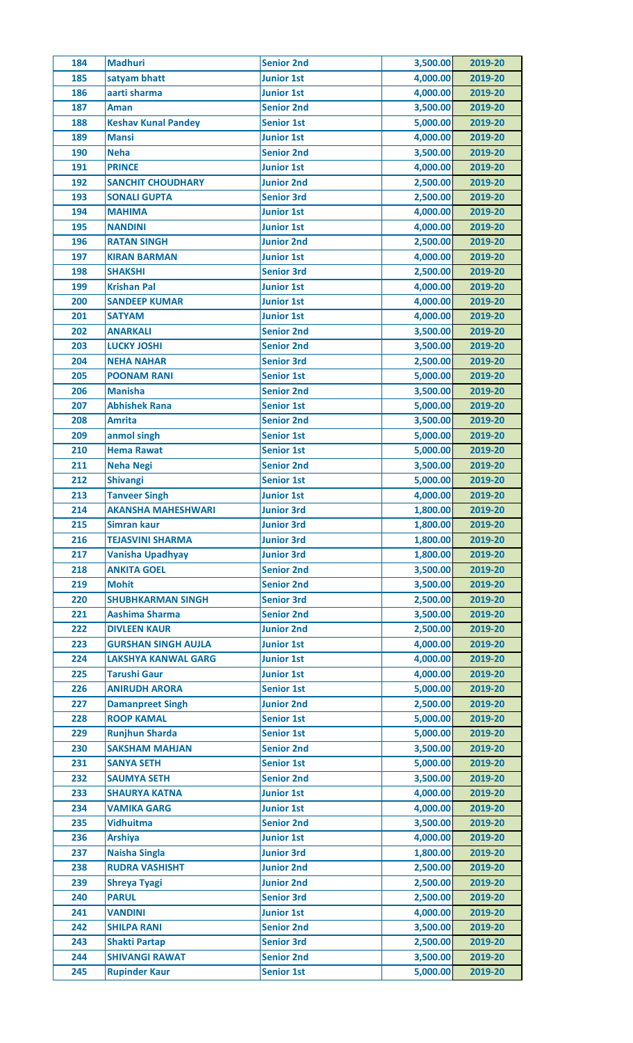| 184 | <b>Madhuri</b>             | <b>Senior 2nd</b> | 3,500.00 | 2019-20 |
|-----|----------------------------|-------------------|----------|---------|
| 185 | satyam bhatt               | <b>Junior 1st</b> | 4,000.00 | 2019-20 |
| 186 | aarti sharma               | <b>Junior 1st</b> | 4,000.00 | 2019-20 |
| 187 | <b>Aman</b>                | <b>Senior 2nd</b> | 3,500.00 | 2019-20 |
| 188 | <b>Keshav Kunal Pandey</b> | <b>Senior 1st</b> | 5,000.00 | 2019-20 |
| 189 | <b>Mansi</b>               | <b>Junior 1st</b> | 4,000.00 | 2019-20 |
| 190 | <b>Neha</b>                | <b>Senior 2nd</b> | 3,500.00 | 2019-20 |
| 191 | <b>PRINCE</b>              | <b>Junior 1st</b> | 4,000.00 | 2019-20 |
| 192 | <b>SANCHIT CHOUDHARY</b>   | <b>Junior 2nd</b> | 2,500.00 | 2019-20 |
| 193 | <b>SONALI GUPTA</b>        | <b>Senior 3rd</b> | 2,500.00 | 2019-20 |
| 194 | <b>MAHIMA</b>              | <b>Junior 1st</b> | 4,000.00 | 2019-20 |
| 195 | <b>NANDINI</b>             | <b>Junior 1st</b> | 4,000.00 | 2019-20 |
| 196 | <b>RATAN SINGH</b>         | <b>Junior 2nd</b> | 2,500.00 | 2019-20 |
| 197 | <b>KIRAN BARMAN</b>        | <b>Junior 1st</b> | 4,000.00 | 2019-20 |
| 198 | <b>SHAKSHI</b>             | <b>Senior 3rd</b> | 2,500.00 | 2019-20 |
| 199 | <b>Krishan Pal</b>         | <b>Junior 1st</b> | 4,000.00 | 2019-20 |
| 200 | <b>SANDEEP KUMAR</b>       | <b>Junior 1st</b> | 4,000.00 | 2019-20 |
| 201 | <b>SATYAM</b>              | <b>Junior 1st</b> | 4,000.00 | 2019-20 |
| 202 | <b>ANARKALI</b>            | <b>Senior 2nd</b> | 3,500.00 | 2019-20 |
| 203 | <b>LUCKY JOSHI</b>         | <b>Senior 2nd</b> | 3,500.00 | 2019-20 |
| 204 | <b>NEHA NAHAR</b>          | <b>Senior 3rd</b> | 2,500.00 | 2019-20 |
| 205 | <b>POONAM RANI</b>         | <b>Senior 1st</b> | 5,000.00 | 2019-20 |
| 206 | <b>Manisha</b>             |                   | 3,500.00 | 2019-20 |
|     | <b>Abhishek Rana</b>       | <b>Senior 2nd</b> |          |         |
| 207 | <b>Amrita</b>              | <b>Senior 1st</b> | 5,000.00 | 2019-20 |
| 208 |                            | <b>Senior 2nd</b> | 3,500.00 | 2019-20 |
| 209 | anmol singh                | <b>Senior 1st</b> | 5,000.00 | 2019-20 |
| 210 | <b>Hema Rawat</b>          | <b>Senior 1st</b> | 5,000.00 | 2019-20 |
| 211 | Neha Negi                  | <b>Senior 2nd</b> | 3,500.00 | 2019-20 |
| 212 | <b>Shivangi</b>            | <b>Senior 1st</b> | 5,000.00 | 2019-20 |
| 213 | <b>Tanveer Singh</b>       | <b>Junior 1st</b> | 4,000.00 | 2019-20 |
| 214 | <b>AKANSHA MAHESHWARI</b>  | <b>Junior 3rd</b> | 1,800.00 | 2019-20 |
| 215 | Simran kaur                | <b>Junior 3rd</b> | 1,800.00 | 2019-20 |
| 216 | <b>TEJASVINI SHARMA</b>    | <b>Junior 3rd</b> | 1,800.00 | 2019-20 |
| 217 | <b>Vanisha Upadhyay</b>    | <b>Junior 3rd</b> | 1,800.00 | 2019-20 |
| 218 | <b>ANKITA GOEL</b>         | <b>Senior 2nd</b> | 3,500.00 | 2019-20 |
| 219 | <b>Mohit</b>               | <b>Senior 2nd</b> | 3,500.00 | 2019-20 |
| 220 | <b>SHUBHKARMAN SINGH</b>   | <b>Senior 3rd</b> | 2,500.00 | 2019-20 |
| 221 | <b>Aashima Sharma</b>      | <b>Senior 2nd</b> | 3,500.00 | 2019-20 |
| 222 | <b>DIVLEEN KAUR</b>        | <b>Junior 2nd</b> | 2,500.00 | 2019-20 |
| 223 | <b>GURSHAN SINGH AUJLA</b> | <b>Junior 1st</b> | 4,000.00 | 2019-20 |
| 224 | <b>LAKSHYA KANWAL GARG</b> | <b>Junior 1st</b> | 4,000.00 | 2019-20 |
| 225 | <b>Tarushi Gaur</b>        | <b>Junior 1st</b> | 4,000.00 | 2019-20 |
| 226 | <b>ANIRUDH ARORA</b>       | <b>Senior 1st</b> | 5,000.00 | 2019-20 |
| 227 | <b>Damanpreet Singh</b>    | <b>Junior 2nd</b> | 2,500.00 | 2019-20 |
| 228 | <b>ROOP KAMAL</b>          | <b>Senior 1st</b> | 5,000.00 | 2019-20 |
| 229 | <b>Runjhun Sharda</b>      | <b>Senior 1st</b> | 5,000.00 | 2019-20 |
| 230 | <b>SAKSHAM MAHJAN</b>      | <b>Senior 2nd</b> | 3,500.00 | 2019-20 |
| 231 | <b>SANYA SETH</b>          | <b>Senior 1st</b> | 5,000.00 | 2019-20 |
| 232 | <b>SAUMYA SETH</b>         | <b>Senior 2nd</b> | 3,500.00 | 2019-20 |
| 233 | <b>SHAURYA KATNA</b>       | <b>Junior 1st</b> | 4,000.00 | 2019-20 |
| 234 | <b>VAMIKA GARG</b>         | <b>Junior 1st</b> | 4,000.00 | 2019-20 |
| 235 | <b>Vidhuitma</b>           | <b>Senior 2nd</b> | 3,500.00 | 2019-20 |
| 236 | <b>Arshiya</b>             | <b>Junior 1st</b> | 4,000.00 | 2019-20 |
| 237 | <b>Naisha Singla</b>       | <b>Junior 3rd</b> | 1,800.00 | 2019-20 |
| 238 | <b>RUDRA VASHISHT</b>      | <b>Junior 2nd</b> | 2,500.00 | 2019-20 |
| 239 | <b>Shreya Tyagi</b>        | <b>Junior 2nd</b> | 2,500.00 | 2019-20 |
| 240 | <b>PARUL</b>               | <b>Senior 3rd</b> | 2,500.00 | 2019-20 |
| 241 | <b>VANDINI</b>             | <b>Junior 1st</b> | 4,000.00 | 2019-20 |
| 242 | <b>SHILPA RANI</b>         | <b>Senior 2nd</b> | 3,500.00 | 2019-20 |
| 243 | <b>Shakti Partap</b>       | <b>Senior 3rd</b> | 2,500.00 | 2019-20 |
| 244 | <b>SHIVANGI RAWAT</b>      | <b>Senior 2nd</b> | 3,500.00 | 2019-20 |
|     |                            | <b>Senior 1st</b> | 5,000.00 | 2019-20 |
| 245 | <b>Rupinder Kaur</b>       |                   |          |         |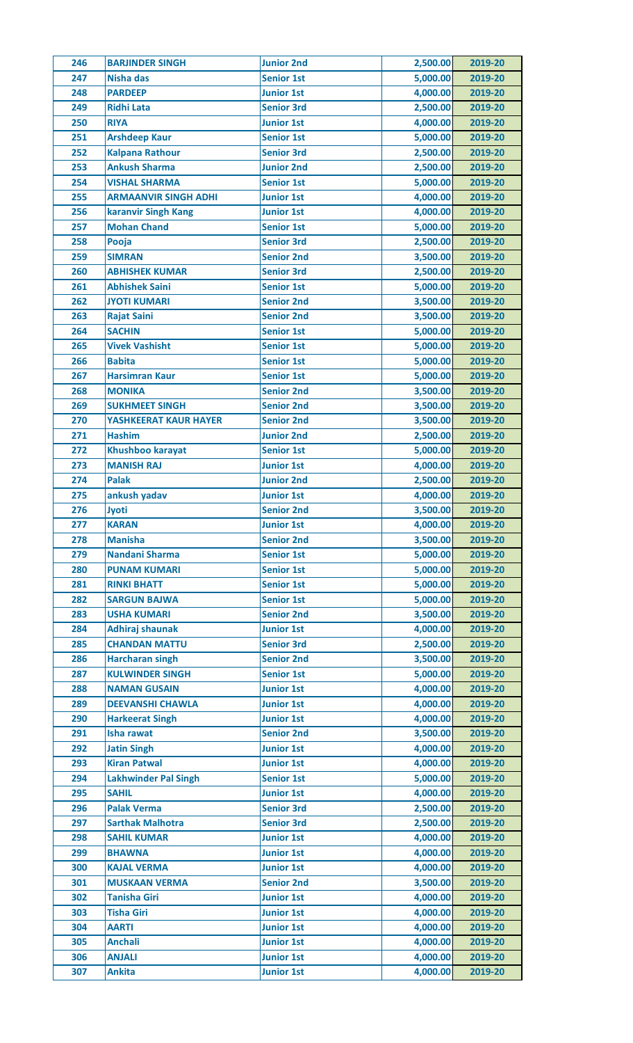| 246 | <b>BARJINDER SINGH</b>      | <b>Junior 2nd</b> | 2,500.00 | 2019-20 |
|-----|-----------------------------|-------------------|----------|---------|
| 247 | <b>Nisha das</b>            | <b>Senior 1st</b> | 5,000.00 | 2019-20 |
| 248 | <b>PARDEEP</b>              | <b>Junior 1st</b> | 4,000.00 | 2019-20 |
| 249 | <b>Ridhi Lata</b>           | <b>Senior 3rd</b> | 2,500.00 | 2019-20 |
| 250 | <b>RIYA</b>                 | <b>Junior 1st</b> | 4,000.00 | 2019-20 |
| 251 | <b>Arshdeep Kaur</b>        | <b>Senior 1st</b> | 5,000.00 | 2019-20 |
| 252 | <b>Kalpana Rathour</b>      | <b>Senior 3rd</b> | 2,500.00 | 2019-20 |
| 253 | <b>Ankush Sharma</b>        | <b>Junior 2nd</b> | 2,500.00 | 2019-20 |
| 254 | <b>VISHAL SHARMA</b>        | <b>Senior 1st</b> | 5,000.00 | 2019-20 |
| 255 | <b>ARMAANVIR SINGH ADHI</b> | <b>Junior 1st</b> | 4,000.00 | 2019-20 |
| 256 | karanvir Singh Kang         | <b>Junior 1st</b> | 4,000.00 | 2019-20 |
| 257 | <b>Mohan Chand</b>          | <b>Senior 1st</b> | 5,000.00 | 2019-20 |
| 258 | Pooja                       | <b>Senior 3rd</b> | 2,500.00 | 2019-20 |
| 259 | <b>SIMRAN</b>               | <b>Senior 2nd</b> | 3,500.00 | 2019-20 |
| 260 | <b>ABHISHEK KUMAR</b>       | <b>Senior 3rd</b> | 2,500.00 | 2019-20 |
| 261 | <b>Abhishek Saini</b>       | <b>Senior 1st</b> | 5,000.00 | 2019-20 |
| 262 | <b>JYOTI KUMARI</b>         | <b>Senior 2nd</b> | 3,500.00 | 2019-20 |
| 263 | <b>Rajat Saini</b>          | <b>Senior 2nd</b> | 3,500.00 | 2019-20 |
| 264 | <b>SACHIN</b>               | <b>Senior 1st</b> | 5,000.00 | 2019-20 |
| 265 | <b>Vivek Vashisht</b>       | <b>Senior 1st</b> | 5,000.00 | 2019-20 |
| 266 | <b>Babita</b>               | <b>Senior 1st</b> | 5,000.00 | 2019-20 |
| 267 | <b>Harsimran Kaur</b>       | <b>Senior 1st</b> | 5,000.00 | 2019-20 |
| 268 | <b>MONIKA</b>               | <b>Senior 2nd</b> | 3,500.00 | 2019-20 |
|     |                             |                   |          |         |
| 269 | <b>SUKHMEET SINGH</b>       | <b>Senior 2nd</b> | 3,500.00 | 2019-20 |
| 270 | YASHKEERAT KAUR HAYER       | <b>Senior 2nd</b> | 3,500.00 | 2019-20 |
| 271 | <b>Hashim</b>               | <b>Junior 2nd</b> | 2,500.00 | 2019-20 |
| 272 | <b>Khushboo karayat</b>     | <b>Senior 1st</b> | 5,000.00 | 2019-20 |
| 273 | <b>MANISH RAJ</b>           | <b>Junior 1st</b> | 4,000.00 | 2019-20 |
| 274 | <b>Palak</b>                | <b>Junior 2nd</b> | 2,500.00 | 2019-20 |
| 275 | ankush yadav                | <b>Junior 1st</b> | 4,000.00 | 2019-20 |
| 276 | <b>Jyoti</b>                | <b>Senior 2nd</b> | 3,500.00 | 2019-20 |
| 277 | <b>KARAN</b>                | <b>Junior 1st</b> | 4,000.00 | 2019-20 |
| 278 | <b>Manisha</b>              | <b>Senior 2nd</b> | 3,500.00 | 2019-20 |
| 279 | Nandani Sharma              | <b>Senior 1st</b> | 5,000.00 | 2019-20 |
| 280 | <b>PUNAM KUMARI</b>         | <b>Senior 1st</b> | 5,000.00 | 2019-20 |
| 281 | <b>RINKI BHATT</b>          | <b>Senior 1st</b> | 5,000.00 | 2019-20 |
| 282 | <b>SARGUN BAJWA</b>         | <b>Senior 1st</b> | 5,000.00 | 2019-20 |
| 283 | <b>USHA KUMARI</b>          | <b>Senior 2nd</b> | 3,500.00 | 2019-20 |
| 284 | <b>Adhiraj shaunak</b>      | <b>Junior 1st</b> | 4,000.00 | 2019-20 |
| 285 | <b>CHANDAN MATTU</b>        | <b>Senior 3rd</b> | 2,500.00 | 2019-20 |
| 286 | <b>Harcharan singh</b>      | <b>Senior 2nd</b> | 3,500.00 | 2019-20 |
| 287 | <b>KULWINDER SINGH</b>      | <b>Senior 1st</b> | 5,000.00 | 2019-20 |
| 288 | <b>NAMAN GUSAIN</b>         | <b>Junior 1st</b> | 4,000.00 | 2019-20 |
| 289 | <b>DEEVANSHI CHAWLA</b>     | <b>Junior 1st</b> | 4,000.00 | 2019-20 |
| 290 | <b>Harkeerat Singh</b>      | <b>Junior 1st</b> | 4,000.00 | 2019-20 |
| 291 | <b>Isha rawat</b>           | <b>Senior 2nd</b> | 3,500.00 | 2019-20 |
| 292 | <b>Jatin Singh</b>          | <b>Junior 1st</b> | 4,000.00 | 2019-20 |
| 293 | <b>Kiran Patwal</b>         | <b>Junior 1st</b> | 4,000.00 | 2019-20 |
| 294 | <b>Lakhwinder Pal Singh</b> | <b>Senior 1st</b> | 5,000.00 | 2019-20 |
| 295 | <b>SAHIL</b>                | <b>Junior 1st</b> | 4,000.00 | 2019-20 |
| 296 | <b>Palak Verma</b>          | <b>Senior 3rd</b> | 2,500.00 | 2019-20 |
| 297 | <b>Sarthak Malhotra</b>     | <b>Senior 3rd</b> | 2,500.00 | 2019-20 |
| 298 | <b>SAHIL KUMAR</b>          | <b>Junior 1st</b> | 4,000.00 | 2019-20 |
| 299 | <b>BHAWNA</b>               | <b>Junior 1st</b> | 4,000.00 | 2019-20 |
| 300 | <b>KAJAL VERMA</b>          | <b>Junior 1st</b> | 4,000.00 | 2019-20 |
| 301 | <b>MUSKAAN VERMA</b>        | <b>Senior 2nd</b> | 3,500.00 | 2019-20 |
| 302 | <b>Tanisha Giri</b>         | <b>Junior 1st</b> | 4,000.00 | 2019-20 |
| 303 | <b>Tisha Giri</b>           | <b>Junior 1st</b> | 4,000.00 | 2019-20 |
| 304 | <b>AARTI</b>                | <b>Junior 1st</b> | 4,000.00 | 2019-20 |
| 305 | <b>Anchali</b>              | <b>Junior 1st</b> | 4,000.00 | 2019-20 |
| 306 | <b>ANJALI</b>               | <b>Junior 1st</b> | 4,000.00 | 2019-20 |
| 307 | <b>Ankita</b>               | <b>Junior 1st</b> | 4,000.00 | 2019-20 |
|     |                             |                   |          |         |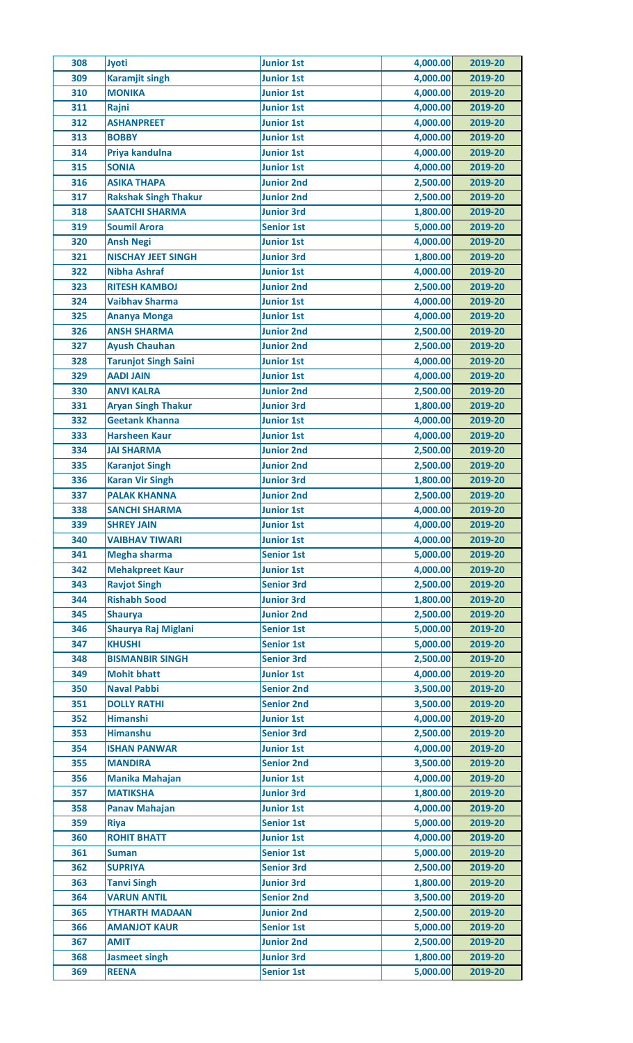| 308        | <b>Jyoti</b>                             | <b>Junior 1st</b> | 4,000.00 | 2019-20 |
|------------|------------------------------------------|-------------------|----------|---------|
| 309        | <b>Karamjit singh</b>                    | <b>Junior 1st</b> | 4,000.00 | 2019-20 |
| 310        | <b>MONIKA</b>                            | <b>Junior 1st</b> | 4,000.00 | 2019-20 |
| 311        | Rajni                                    | <b>Junior 1st</b> | 4,000.00 | 2019-20 |
| 312        | <b>ASHANPREET</b>                        | <b>Junior 1st</b> | 4,000.00 | 2019-20 |
| 313        | <b>BOBBY</b>                             | <b>Junior 1st</b> | 4,000.00 | 2019-20 |
| 314        | Priya kandulna                           | <b>Junior 1st</b> | 4,000.00 | 2019-20 |
| 315        | <b>SONIA</b>                             | <b>Junior 1st</b> | 4,000.00 | 2019-20 |
| 316        | <b>ASIKA THAPA</b>                       | <b>Junior 2nd</b> | 2,500.00 | 2019-20 |
| 317        | <b>Rakshak Singh Thakur</b>              | <b>Junior 2nd</b> | 2,500.00 | 2019-20 |
| 318        | <b>SAATCHI SHARMA</b>                    | <b>Junior 3rd</b> | 1,800.00 | 2019-20 |
| 319        | <b>Soumil Arora</b>                      | <b>Senior 1st</b> | 5,000.00 | 2019-20 |
| 320        | <b>Ansh Negi</b>                         | <b>Junior 1st</b> | 4,000.00 | 2019-20 |
| 321        | <b>NISCHAY JEET SINGH</b>                | <b>Junior 3rd</b> | 1,800.00 | 2019-20 |
| 322        | <b>Nibha Ashraf</b>                      | <b>Junior 1st</b> | 4,000.00 | 2019-20 |
| 323        | <b>RITESH KAMBOJ</b>                     | <b>Junior 2nd</b> | 2,500.00 | 2019-20 |
| 324        | <b>Vaibhav Sharma</b>                    | <b>Junior 1st</b> | 4,000.00 | 2019-20 |
| 325        | <b>Ananya Monga</b>                      | <b>Junior 1st</b> | 4,000.00 | 2019-20 |
| 326        | <b>ANSH SHARMA</b>                       | <b>Junior 2nd</b> | 2,500.00 | 2019-20 |
| 327        | <b>Ayush Chauhan</b>                     | <b>Junior 2nd</b> | 2,500.00 | 2019-20 |
| 328        | <b>Tarunjot Singh Saini</b>              | <b>Junior 1st</b> | 4,000.00 | 2019-20 |
| 329        | <b>AADI JAIN</b>                         | <b>Junior 1st</b> | 4,000.00 | 2019-20 |
| 330        | <b>ANVI KALRA</b>                        | <b>Junior 2nd</b> | 2,500.00 | 2019-20 |
|            |                                          |                   |          |         |
| 331        | <b>Aryan Singh Thakur</b>                | <b>Junior 3rd</b> | 1,800.00 | 2019-20 |
| 332        | <b>Geetank Khanna</b>                    | <b>Junior 1st</b> | 4,000.00 | 2019-20 |
| 333        | <b>Harsheen Kaur</b>                     | <b>Junior 1st</b> | 4,000.00 | 2019-20 |
| 334        | <b>JAI SHARMA</b>                        | <b>Junior 2nd</b> | 2,500.00 | 2019-20 |
| 335        | <b>Karanjot Singh</b>                    | <b>Junior 2nd</b> | 2,500.00 | 2019-20 |
| 336        | <b>Karan Vir Singh</b>                   | <b>Junior 3rd</b> | 1,800.00 | 2019-20 |
| 337        | <b>PALAK KHANNA</b>                      | <b>Junior 2nd</b> | 2,500.00 | 2019-20 |
| 338        | <b>SANCHI SHARMA</b>                     | <b>Junior 1st</b> | 4,000.00 | 2019-20 |
| 339        | <b>SHREY JAIN</b>                        | <b>Junior 1st</b> | 4,000.00 | 2019-20 |
| 340        | <b>VAIBHAV TIWARI</b>                    | <b>Junior 1st</b> | 4,000.00 | 2019-20 |
| 341        | <b>Megha sharma</b>                      | <b>Senior 1st</b> | 5,000.00 | 2019-20 |
| 342        | <b>Mehakpreet Kaur</b>                   | <b>Junior 1st</b> | 4,000.00 | 2019-20 |
| 343        | <b>Ravjot Singh</b>                      | <b>Senior 3rd</b> | 2,500.00 | 2019-20 |
| 344        | <b>Rishabh Sood</b>                      | <b>Junior 3rd</b> | 1,800.00 | 2019-20 |
| 345        | <b>Shaurya</b>                           | <b>Junior 2nd</b> | 2,500.00 | 2019-20 |
| 346        | Shaurya Raj Miglani                      | <b>Senior 1st</b> | 5,000.00 | 2019-20 |
| 347        | <b>KHUSHI</b>                            | <b>Senior 1st</b> | 5,000.00 | 2019-20 |
| 348        | <b>BISMANBIR SINGH</b>                   | <b>Senior 3rd</b> | 2,500.00 | 2019-20 |
| 349        | <b>Mohit bhatt</b>                       | <b>Junior 1st</b> | 4,000.00 | 2019-20 |
| 350        | <b>Naval Pabbi</b>                       | <b>Senior 2nd</b> | 3,500.00 | 2019-20 |
| 351        | <b>DOLLY RATHI</b>                       | <b>Senior 2nd</b> | 3,500.00 | 2019-20 |
| 352        | <b>Himanshi</b>                          | <b>Junior 1st</b> | 4,000.00 | 2019-20 |
| 353        | <b>Himanshu</b>                          | <b>Senior 3rd</b> | 2,500.00 | 2019-20 |
| 354        | <b>ISHAN PANWAR</b>                      | <b>Junior 1st</b> | 4,000.00 | 2019-20 |
| 355        | <b>MANDIRA</b>                           | <b>Senior 2nd</b> | 3,500.00 | 2019-20 |
| 356        | <b>Manika Mahajan</b>                    | <b>Junior 1st</b> | 4,000.00 | 2019-20 |
| 357        | <b>MATIKSHA</b>                          | <b>Junior 3rd</b> | 1,800.00 | 2019-20 |
| 358        | <b>Panav Mahajan</b>                     | <b>Junior 1st</b> | 4,000.00 | 2019-20 |
| 359        | <b>Riya</b>                              | <b>Senior 1st</b> | 5,000.00 | 2019-20 |
| 360        | <b>ROHIT BHATT</b>                       | <b>Junior 1st</b> | 4,000.00 | 2019-20 |
| 361        | <b>Suman</b>                             | <b>Senior 1st</b> | 5,000.00 | 2019-20 |
| 362        | <b>SUPRIYA</b>                           | <b>Senior 3rd</b> | 2,500.00 | 2019-20 |
|            |                                          | <b>Junior 3rd</b> | 1,800.00 | 2019-20 |
| 363<br>364 | <b>Tanvi Singh</b><br><b>VARUN ANTIL</b> | <b>Senior 2nd</b> | 3,500.00 | 2019-20 |
|            | <b>YTHARTH MADAAN</b>                    |                   | 2,500.00 |         |
| 365        |                                          | <b>Junior 2nd</b> |          | 2019-20 |
| 366        | <b>AMANJOT KAUR</b>                      | <b>Senior 1st</b> | 5,000.00 | 2019-20 |
| 367        | <b>AMIT</b>                              | <b>Junior 2nd</b> | 2,500.00 | 2019-20 |
| 368        | <b>Jasmeet singh</b>                     | <b>Junior 3rd</b> | 1,800.00 | 2019-20 |
| 369        | <b>REENA</b>                             | <b>Senior 1st</b> | 5,000.00 | 2019-20 |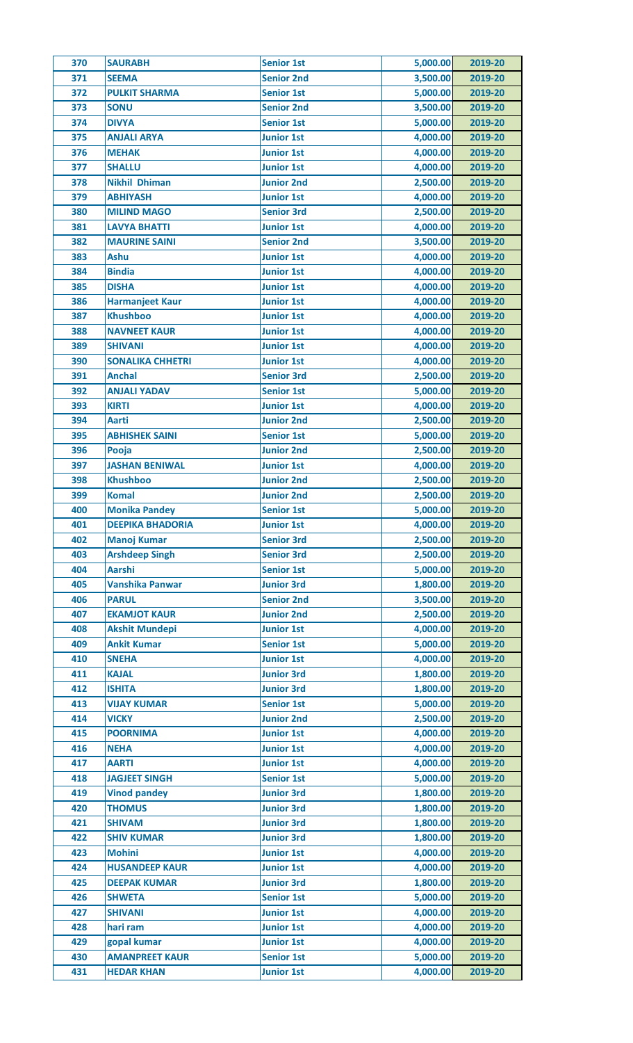| 370 | <b>SAURABH</b>          | <b>Senior 1st</b> | 5,000.00 | 2019-20 |
|-----|-------------------------|-------------------|----------|---------|
| 371 | <b>SEEMA</b>            | <b>Senior 2nd</b> | 3,500.00 | 2019-20 |
| 372 | <b>PULKIT SHARMA</b>    | <b>Senior 1st</b> | 5,000.00 | 2019-20 |
| 373 | <b>SONU</b>             | <b>Senior 2nd</b> | 3,500.00 | 2019-20 |
| 374 | <b>DIVYA</b>            | <b>Senior 1st</b> | 5,000.00 | 2019-20 |
| 375 | <b>ANJALI ARYA</b>      | <b>Junior 1st</b> | 4,000.00 | 2019-20 |
| 376 | <b>MEHAK</b>            | <b>Junior 1st</b> | 4,000.00 | 2019-20 |
| 377 | <b>SHALLU</b>           | <b>Junior 1st</b> | 4,000.00 | 2019-20 |
| 378 | <b>Nikhil Dhiman</b>    | <b>Junior 2nd</b> | 2,500.00 | 2019-20 |
| 379 | <b>ABHIYASH</b>         | <b>Junior 1st</b> | 4,000.00 | 2019-20 |
| 380 | <b>MILIND MAGO</b>      | <b>Senior 3rd</b> | 2,500.00 | 2019-20 |
| 381 | <b>LAVYA BHATTI</b>     | <b>Junior 1st</b> | 4,000.00 | 2019-20 |
| 382 | <b>MAURINE SAINI</b>    | <b>Senior 2nd</b> | 3,500.00 | 2019-20 |
| 383 | Ashu                    | <b>Junior 1st</b> | 4,000.00 | 2019-20 |
| 384 | <b>Bindia</b>           | <b>Junior 1st</b> | 4,000.00 | 2019-20 |
| 385 | <b>DISHA</b>            | <b>Junior 1st</b> | 4,000.00 | 2019-20 |
| 386 | <b>Harmanjeet Kaur</b>  | <b>Junior 1st</b> | 4,000.00 | 2019-20 |
| 387 | <b>Khushboo</b>         | <b>Junior 1st</b> | 4,000.00 | 2019-20 |
| 388 | <b>NAVNEET KAUR</b>     | <b>Junior 1st</b> | 4,000.00 | 2019-20 |
| 389 | <b>SHIVANI</b>          | <b>Junior 1st</b> | 4,000.00 | 2019-20 |
| 390 | <b>SONALIKA CHHETRI</b> | <b>Junior 1st</b> | 4,000.00 | 2019-20 |
| 391 | <b>Anchal</b>           | <b>Senior 3rd</b> | 2,500.00 | 2019-20 |
| 392 | <b>ANJALI YADAV</b>     | <b>Senior 1st</b> | 5,000.00 | 2019-20 |
| 393 | <b>KIRTI</b>            | <b>Junior 1st</b> | 4,000.00 | 2019-20 |
| 394 | <b>Aarti</b>            | <b>Junior 2nd</b> | 2,500.00 | 2019-20 |
| 395 | <b>ABHISHEK SAINI</b>   | <b>Senior 1st</b> | 5,000.00 | 2019-20 |
| 396 | Pooja                   | <b>Junior 2nd</b> | 2,500.00 | 2019-20 |
| 397 | <b>JASHAN BENIWAL</b>   | <b>Junior 1st</b> | 4,000.00 | 2019-20 |
| 398 | <b>Khushboo</b>         | <b>Junior 2nd</b> | 2,500.00 | 2019-20 |
| 399 | <b>Komal</b>            | <b>Junior 2nd</b> | 2,500.00 | 2019-20 |
| 400 | <b>Monika Pandey</b>    | <b>Senior 1st</b> | 5,000.00 | 2019-20 |
| 401 | <b>DEEPIKA BHADORIA</b> | <b>Junior 1st</b> | 4,000.00 | 2019-20 |
| 402 | <b>Manoj Kumar</b>      | <b>Senior 3rd</b> | 2,500.00 | 2019-20 |
| 403 | <b>Arshdeep Singh</b>   | <b>Senior 3rd</b> | 2,500.00 | 2019-20 |
| 404 | <b>Aarshi</b>           | <b>Senior 1st</b> | 5,000.00 | 2019-20 |
| 405 | <b>Vanshika Panwar</b>  | <b>Junior 3rd</b> | 1,800.00 | 2019-20 |
| 406 | <b>PARUL</b>            | <b>Senior 2nd</b> | 3,500.00 | 2019-20 |
| 407 | <b>EKAMJOT KAUR</b>     | <b>Junior 2nd</b> | 2,500.00 | 2019-20 |
| 408 | <b>Akshit Mundepi</b>   | <b>Junior 1st</b> | 4,000.00 | 2019-20 |
| 409 | <b>Ankit Kumar</b>      | <b>Senior 1st</b> | 5,000.00 | 2019-20 |
| 410 | <b>SNEHA</b>            | <b>Junior 1st</b> | 4,000.00 | 2019-20 |
| 411 | <b>KAJAL</b>            | <b>Junior 3rd</b> | 1,800.00 | 2019-20 |
| 412 | <b>ISHITA</b>           | <b>Junior 3rd</b> | 1,800.00 | 2019-20 |
| 413 | <b>VIJAY KUMAR</b>      | <b>Senior 1st</b> | 5,000.00 | 2019-20 |
| 414 | <b>VICKY</b>            | <b>Junior 2nd</b> | 2,500.00 | 2019-20 |
| 415 | <b>POORNIMA</b>         | <b>Junior 1st</b> | 4,000.00 | 2019-20 |
| 416 | <b>NEHA</b>             | <b>Junior 1st</b> | 4,000.00 | 2019-20 |
| 417 | <b>AARTI</b>            | <b>Junior 1st</b> | 4,000.00 | 2019-20 |
| 418 | <b>JAGJEET SINGH</b>    | <b>Senior 1st</b> | 5,000.00 | 2019-20 |
| 419 | <b>Vinod pandey</b>     | <b>Junior 3rd</b> | 1,800.00 | 2019-20 |
| 420 | <b>THOMUS</b>           | <b>Junior 3rd</b> | 1,800.00 | 2019-20 |
| 421 | <b>SHIVAM</b>           | <b>Junior 3rd</b> | 1,800.00 | 2019-20 |
| 422 | <b>SHIV KUMAR</b>       | <b>Junior 3rd</b> | 1,800.00 | 2019-20 |
| 423 | <b>Mohini</b>           | <b>Junior 1st</b> | 4,000.00 | 2019-20 |
| 424 | <b>HUSANDEEP KAUR</b>   | <b>Junior 1st</b> | 4,000.00 | 2019-20 |
| 425 | <b>DEEPAK KUMAR</b>     | <b>Junior 3rd</b> | 1,800.00 | 2019-20 |
| 426 | <b>SHWETA</b>           | <b>Senior 1st</b> | 5,000.00 | 2019-20 |
| 427 | <b>SHIVANI</b>          | <b>Junior 1st</b> | 4,000.00 | 2019-20 |
|     |                         |                   |          |         |
| 428 | hari ram                | <b>Junior 1st</b> | 4,000.00 | 2019-20 |
| 429 | gopal kumar             | <b>Junior 1st</b> | 4,000.00 | 2019-20 |
| 430 | <b>AMANPREET KAUR</b>   | <b>Senior 1st</b> | 5,000.00 | 2019-20 |
| 431 | <b>HEDAR KHAN</b>       | <b>Junior 1st</b> | 4,000.00 | 2019-20 |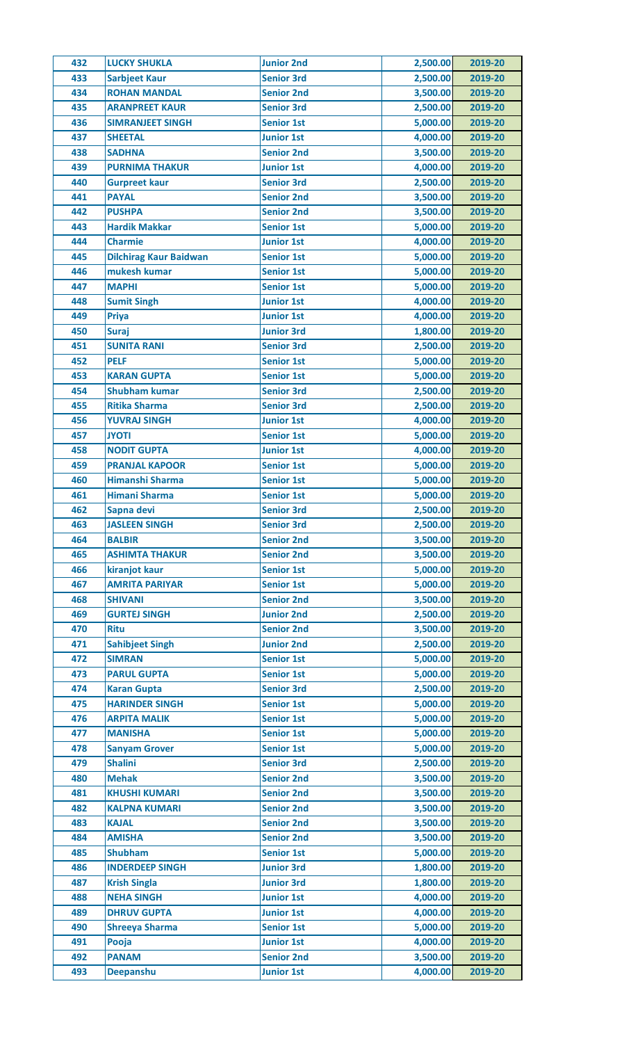| 432 | <b>LUCKY SHUKLA</b>           | <b>Junior 2nd</b> | 2,500.00 | 2019-20 |
|-----|-------------------------------|-------------------|----------|---------|
| 433 | <b>Sarbjeet Kaur</b>          | <b>Senior 3rd</b> | 2,500.00 | 2019-20 |
| 434 | <b>ROHAN MANDAL</b>           | <b>Senior 2nd</b> | 3,500.00 | 2019-20 |
| 435 | <b>ARANPREET KAUR</b>         | <b>Senior 3rd</b> | 2,500.00 | 2019-20 |
| 436 | <b>SIMRANJEET SINGH</b>       | <b>Senior 1st</b> | 5,000.00 | 2019-20 |
| 437 | <b>SHEETAL</b>                | <b>Junior 1st</b> | 4,000.00 | 2019-20 |
| 438 | <b>SADHNA</b>                 | <b>Senior 2nd</b> | 3,500.00 | 2019-20 |
| 439 | <b>PURNIMA THAKUR</b>         | <b>Junior 1st</b> | 4,000.00 | 2019-20 |
| 440 | <b>Gurpreet kaur</b>          | <b>Senior 3rd</b> | 2,500.00 | 2019-20 |
| 441 | <b>PAYAL</b>                  | <b>Senior 2nd</b> | 3,500.00 | 2019-20 |
| 442 | <b>PUSHPA</b>                 | <b>Senior 2nd</b> | 3,500.00 | 2019-20 |
| 443 | <b>Hardik Makkar</b>          | <b>Senior 1st</b> | 5,000.00 | 2019-20 |
| 444 | <b>Charmie</b>                | <b>Junior 1st</b> | 4,000.00 | 2019-20 |
| 445 | <b>Dilchirag Kaur Baidwan</b> | <b>Senior 1st</b> | 5,000.00 | 2019-20 |
| 446 | mukesh kumar                  | <b>Senior 1st</b> | 5,000.00 | 2019-20 |
| 447 | <b>MAPHI</b>                  | <b>Senior 1st</b> | 5,000.00 | 2019-20 |
| 448 | <b>Sumit Singh</b>            | <b>Junior 1st</b> | 4,000.00 | 2019-20 |
| 449 | <b>Priya</b>                  | <b>Junior 1st</b> | 4,000.00 | 2019-20 |
| 450 | <b>Suraj</b>                  | <b>Junior 3rd</b> | 1,800.00 | 2019-20 |
| 451 | <b>SUNITA RANI</b>            | <b>Senior 3rd</b> | 2,500.00 | 2019-20 |
| 452 | <b>PELF</b>                   | <b>Senior 1st</b> | 5,000.00 | 2019-20 |
| 453 | <b>KARAN GUPTA</b>            | <b>Senior 1st</b> | 5,000.00 | 2019-20 |
| 454 | <b>Shubham kumar</b>          | <b>Senior 3rd</b> | 2,500.00 | 2019-20 |
| 455 | <b>Ritika Sharma</b>          | <b>Senior 3rd</b> | 2,500.00 | 2019-20 |
|     |                               |                   |          |         |
| 456 | <b>YUVRAJ SINGH</b>           | <b>Junior 1st</b> | 4,000.00 | 2019-20 |
| 457 | <b>ITOYL</b>                  | <b>Senior 1st</b> | 5,000.00 | 2019-20 |
| 458 | <b>NODIT GUPTA</b>            | <b>Junior 1st</b> | 4,000.00 | 2019-20 |
| 459 | <b>PRANJAL KAPOOR</b>         | <b>Senior 1st</b> | 5,000.00 | 2019-20 |
| 460 | <b>Himanshi Sharma</b>        | <b>Senior 1st</b> | 5,000.00 | 2019-20 |
| 461 | <b>Himani Sharma</b>          | <b>Senior 1st</b> | 5,000.00 | 2019-20 |
| 462 | Sapna devi                    | <b>Senior 3rd</b> | 2,500.00 | 2019-20 |
| 463 | <b>JASLEEN SINGH</b>          | <b>Senior 3rd</b> | 2,500.00 | 2019-20 |
| 464 | <b>BALBIR</b>                 | <b>Senior 2nd</b> | 3,500.00 | 2019-20 |
| 465 | <b>ASHIMTA THAKUR</b>         | <b>Senior 2nd</b> | 3,500.00 | 2019-20 |
| 466 | kiranjot kaur                 | <b>Senior 1st</b> | 5,000.00 | 2019-20 |
| 467 | <b>AMRITA PARIYAR</b>         | <b>Senior 1st</b> | 5,000.00 | 2019-20 |
| 468 | <b>SHIVANI</b>                | <b>Senior 2nd</b> | 3,500.00 | 2019-20 |
| 469 | <b>GURTEJ SINGH</b>           | <b>Junior 2nd</b> | 2,500.00 | 2019-20 |
| 470 | <b>Ritu</b>                   | <b>Senior 2nd</b> | 3,500.00 | 2019-20 |
| 471 | <b>Sahibjeet Singh</b>        | <b>Junior 2nd</b> | 2,500.00 | 2019-20 |
| 472 | <b>SIMRAN</b>                 | <b>Senior 1st</b> | 5,000.00 | 2019-20 |
| 473 | <b>PARUL GUPTA</b>            | <b>Senior 1st</b> | 5,000.00 | 2019-20 |
| 474 | <b>Karan Gupta</b>            | <b>Senior 3rd</b> | 2,500.00 | 2019-20 |
| 475 | <b>HARINDER SINGH</b>         | <b>Senior 1st</b> | 5,000.00 | 2019-20 |
| 476 | <b>ARPITA MALIK</b>           | <b>Senior 1st</b> | 5,000.00 | 2019-20 |
| 477 | <b>MANISHA</b>                | <b>Senior 1st</b> | 5,000.00 | 2019-20 |
| 478 | <b>Sanyam Grover</b>          | <b>Senior 1st</b> | 5,000.00 | 2019-20 |
| 479 | <b>Shalini</b>                | <b>Senior 3rd</b> | 2,500.00 | 2019-20 |
| 480 | <b>Mehak</b>                  | <b>Senior 2nd</b> | 3,500.00 | 2019-20 |
| 481 | <b>KHUSHI KUMARI</b>          | <b>Senior 2nd</b> | 3,500.00 | 2019-20 |
| 482 | <b>KALPNA KUMARI</b>          | <b>Senior 2nd</b> | 3,500.00 | 2019-20 |
| 483 | <b>KAJAL</b>                  | <b>Senior 2nd</b> | 3,500.00 | 2019-20 |
| 484 | <b>AMISHA</b>                 | <b>Senior 2nd</b> | 3,500.00 | 2019-20 |
| 485 | <b>Shubham</b>                | <b>Senior 1st</b> | 5,000.00 | 2019-20 |
| 486 | <b>INDERDEEP SINGH</b>        | <b>Junior 3rd</b> | 1,800.00 | 2019-20 |
| 487 | <b>Krish Singla</b>           | <b>Junior 3rd</b> | 1,800.00 | 2019-20 |
| 488 | <b>NEHA SINGH</b>             | <b>Junior 1st</b> | 4,000.00 | 2019-20 |
| 489 | <b>DHRUV GUPTA</b>            | <b>Junior 1st</b> | 4,000.00 | 2019-20 |
| 490 | <b>Shreeya Sharma</b>         | <b>Senior 1st</b> | 5,000.00 | 2019-20 |
| 491 | Pooja                         | <b>Junior 1st</b> | 4,000.00 | 2019-20 |
|     | <b>PANAM</b>                  | <b>Senior 2nd</b> | 3,500.00 |         |
| 492 |                               |                   |          | 2019-20 |
| 493 | <b>Deepanshu</b>              | <b>Junior 1st</b> | 4,000.00 | 2019-20 |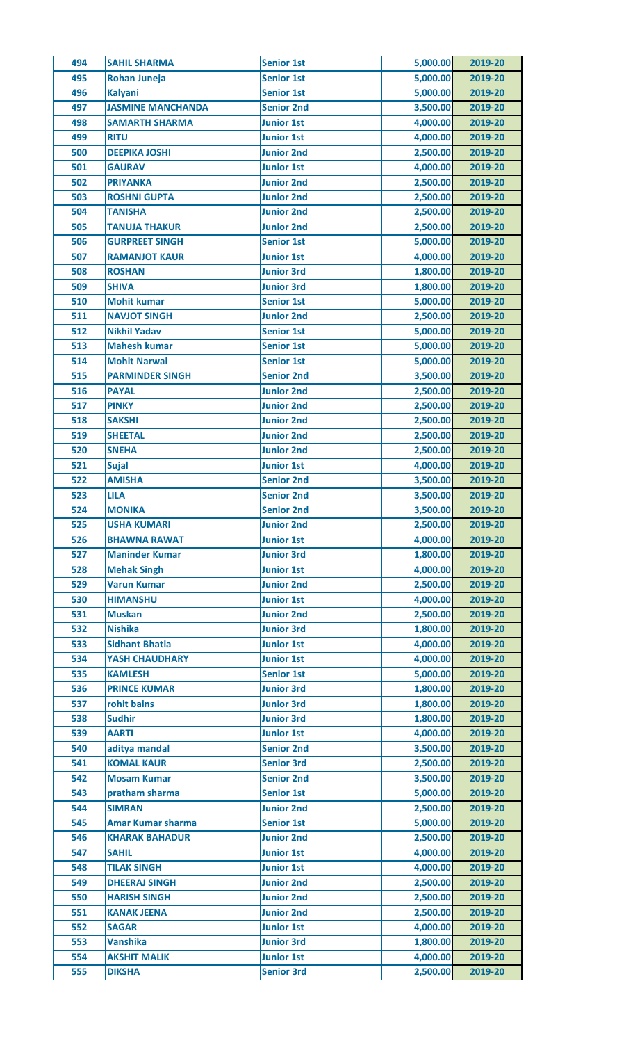| 494 | <b>SAHIL SHARMA</b>      | <b>Senior 1st</b> | 5,000.00 | 2019-20 |
|-----|--------------------------|-------------------|----------|---------|
| 495 | <b>Rohan Juneja</b>      | <b>Senior 1st</b> | 5,000.00 | 2019-20 |
| 496 | <b>Kalyani</b>           | <b>Senior 1st</b> | 5,000.00 | 2019-20 |
| 497 | <b>JASMINE MANCHANDA</b> | <b>Senior 2nd</b> | 3,500.00 | 2019-20 |
| 498 | <b>SAMARTH SHARMA</b>    | <b>Junior 1st</b> | 4,000.00 | 2019-20 |
| 499 | <b>RITU</b>              | <b>Junior 1st</b> | 4,000.00 | 2019-20 |
| 500 | <b>DEEPIKA JOSHI</b>     | <b>Junior 2nd</b> | 2,500.00 | 2019-20 |
| 501 | <b>GAURAV</b>            | <b>Junior 1st</b> | 4,000.00 | 2019-20 |
| 502 | <b>PRIYANKA</b>          | <b>Junior 2nd</b> | 2,500.00 | 2019-20 |
| 503 | <b>ROSHNI GUPTA</b>      | <b>Junior 2nd</b> | 2,500.00 | 2019-20 |
| 504 | <b>TANISHA</b>           | <b>Junior 2nd</b> | 2,500.00 | 2019-20 |
| 505 | <b>TANUJA THAKUR</b>     | <b>Junior 2nd</b> | 2,500.00 | 2019-20 |
| 506 | <b>GURPREET SINGH</b>    | <b>Senior 1st</b> | 5,000.00 | 2019-20 |
| 507 | <b>RAMANJOT KAUR</b>     | <b>Junior 1st</b> | 4,000.00 | 2019-20 |
| 508 | <b>ROSHAN</b>            | <b>Junior 3rd</b> | 1,800.00 | 2019-20 |
| 509 | <b>SHIVA</b>             | <b>Junior 3rd</b> | 1,800.00 | 2019-20 |
| 510 | <b>Mohit kumar</b>       | <b>Senior 1st</b> | 5,000.00 | 2019-20 |
| 511 | <b>NAVJOT SINGH</b>      | <b>Junior 2nd</b> | 2,500.00 | 2019-20 |
| 512 | <b>Nikhil Yadav</b>      | <b>Senior 1st</b> | 5,000.00 | 2019-20 |
| 513 | <b>Mahesh kumar</b>      | <b>Senior 1st</b> | 5,000.00 | 2019-20 |
| 514 | <b>Mohit Narwal</b>      | <b>Senior 1st</b> | 5,000.00 | 2019-20 |
| 515 | <b>PARMINDER SINGH</b>   | <b>Senior 2nd</b> | 3,500.00 | 2019-20 |
| 516 |                          |                   | 2,500.00 |         |
|     | <b>PAYAL</b>             | <b>Junior 2nd</b> |          | 2019-20 |
| 517 | <b>PINKY</b>             | <b>Junior 2nd</b> | 2,500.00 | 2019-20 |
| 518 | <b>SAKSHI</b>            | <b>Junior 2nd</b> | 2,500.00 | 2019-20 |
| 519 | <b>SHEETAL</b>           | <b>Junior 2nd</b> | 2,500.00 | 2019-20 |
| 520 | <b>SNEHA</b>             | <b>Junior 2nd</b> | 2,500.00 | 2019-20 |
| 521 | <b>Sujal</b>             | <b>Junior 1st</b> | 4,000.00 | 2019-20 |
| 522 | <b>AMISHA</b>            | <b>Senior 2nd</b> | 3,500.00 | 2019-20 |
| 523 | <b>LILA</b>              | <b>Senior 2nd</b> | 3,500.00 | 2019-20 |
| 524 | <b>MONIKA</b>            | <b>Senior 2nd</b> | 3,500.00 | 2019-20 |
| 525 | <b>USHA KUMARI</b>       | <b>Junior 2nd</b> | 2,500.00 | 2019-20 |
| 526 | <b>BHAWNA RAWAT</b>      | <b>Junior 1st</b> | 4,000.00 | 2019-20 |
| 527 | <b>Maninder Kumar</b>    | <b>Junior 3rd</b> | 1,800.00 | 2019-20 |
| 528 | <b>Mehak Singh</b>       | <b>Junior 1st</b> | 4,000.00 | 2019-20 |
| 529 | <b>Varun Kumar</b>       | <b>Junior 2nd</b> | 2,500.00 | 2019-20 |
| 530 | <b>HIMANSHU</b>          | <b>Junior 1st</b> | 4,000.00 | 2019-20 |
| 531 | <b>Muskan</b>            | <b>Junior 2nd</b> | 2,500.00 | 2019-20 |
| 532 | <b>Nishika</b>           | <b>Junior 3rd</b> | 1,800.00 | 2019-20 |
| 533 | <b>Sidhant Bhatia</b>    | <b>Junior 1st</b> | 4,000.00 | 2019-20 |
| 534 | <b>YASH CHAUDHARY</b>    | <b>Junior 1st</b> | 4,000.00 | 2019-20 |
| 535 | <b>KAMLESH</b>           | <b>Senior 1st</b> | 5,000.00 | 2019-20 |
| 536 | <b>PRINCE KUMAR</b>      | <b>Junior 3rd</b> | 1,800.00 | 2019-20 |
| 537 | rohit bains              | <b>Junior 3rd</b> | 1,800.00 | 2019-20 |
| 538 | <b>Sudhir</b>            | <b>Junior 3rd</b> | 1,800.00 | 2019-20 |
| 539 | <b>AARTI</b>             | <b>Junior 1st</b> | 4,000.00 | 2019-20 |
| 540 | aditya mandal            | <b>Senior 2nd</b> | 3,500.00 | 2019-20 |
| 541 | <b>KOMAL KAUR</b>        | <b>Senior 3rd</b> | 2,500.00 | 2019-20 |
| 542 | <b>Mosam Kumar</b>       | <b>Senior 2nd</b> | 3,500.00 | 2019-20 |
| 543 | pratham sharma           | <b>Senior 1st</b> | 5,000.00 | 2019-20 |
| 544 | <b>SIMRAN</b>            | <b>Junior 2nd</b> | 2,500.00 | 2019-20 |
| 545 | <b>Amar Kumar sharma</b> | <b>Senior 1st</b> | 5,000.00 | 2019-20 |
| 546 | <b>KHARAK BAHADUR</b>    | <b>Junior 2nd</b> | 2,500.00 | 2019-20 |
| 547 | <b>SAHIL</b>             | <b>Junior 1st</b> | 4,000.00 | 2019-20 |
| 548 | <b>TILAK SINGH</b>       | <b>Junior 1st</b> | 4,000.00 | 2019-20 |
| 549 | <b>DHEERAJ SINGH</b>     | <b>Junior 2nd</b> | 2,500.00 | 2019-20 |
| 550 | <b>HARISH SINGH</b>      | <b>Junior 2nd</b> | 2,500.00 | 2019-20 |
| 551 | <b>KANAK JEENA</b>       | <b>Junior 2nd</b> | 2,500.00 | 2019-20 |
| 552 | <b>SAGAR</b>             | <b>Junior 1st</b> | 4,000.00 | 2019-20 |
| 553 | <b>Vanshika</b>          | <b>Junior 3rd</b> | 1,800.00 | 2019-20 |
| 554 | <b>AKSHIT MALIK</b>      | <b>Junior 1st</b> | 4,000.00 | 2019-20 |
|     |                          | <b>Senior 3rd</b> |          |         |
| 555 | <b>DIKSHA</b>            |                   | 2,500.00 | 2019-20 |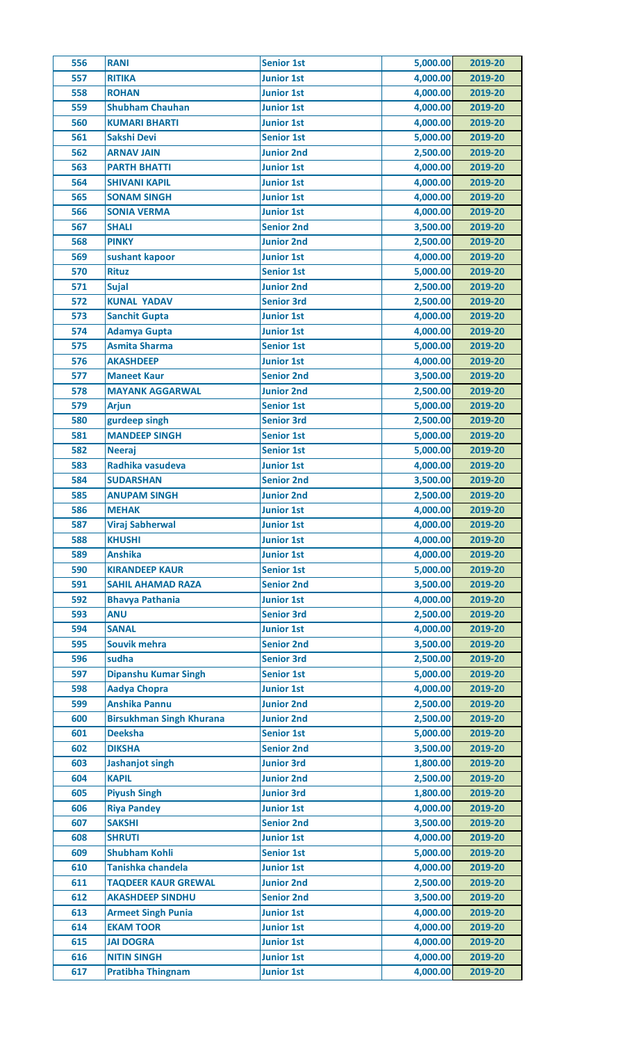| 557<br><b>RITIKA</b><br>4,000.00<br><b>Junior 1st</b><br>2019-20<br>4,000.00<br><b>ROHAN</b><br><b>Junior 1st</b><br>558<br>2019-20<br><b>Shubham Chauhan</b><br>4,000.00<br>559<br><b>Junior 1st</b><br>2019-20<br>4,000.00<br>560<br><b>KUMARI BHARTI</b><br><b>Junior 1st</b><br>2019-20<br>5,000.00<br>561<br><b>Sakshi Devi</b><br><b>Senior 1st</b><br>2019-20<br>562<br><b>Junior 2nd</b><br>2,500.00<br><b>ARNAV JAIN</b><br>2019-20<br>4,000.00<br>563<br><b>PARTH BHATTI</b><br><b>Junior 1st</b><br>2019-20<br>4,000.00<br>564<br><b>SHIVANI KAPIL</b><br><b>Junior 1st</b><br>2019-20<br>4,000.00<br>565<br><b>SONAM SINGH</b><br><b>Junior 1st</b><br>2019-20<br>4,000.00<br>566<br><b>SONIA VERMA</b><br><b>Junior 1st</b><br>2019-20<br>567<br><b>Senior 2nd</b><br>3,500.00<br><b>SHALI</b><br>2019-20<br>2,500.00<br>568<br><b>PINKY</b><br><b>Junior 2nd</b><br>2019-20<br>4,000.00<br>569<br>sushant kapoor<br><b>Junior 1st</b><br>2019-20 |  |
|----------------------------------------------------------------------------------------------------------------------------------------------------------------------------------------------------------------------------------------------------------------------------------------------------------------------------------------------------------------------------------------------------------------------------------------------------------------------------------------------------------------------------------------------------------------------------------------------------------------------------------------------------------------------------------------------------------------------------------------------------------------------------------------------------------------------------------------------------------------------------------------------------------------------------------------------------------------|--|
|                                                                                                                                                                                                                                                                                                                                                                                                                                                                                                                                                                                                                                                                                                                                                                                                                                                                                                                                                                |  |
|                                                                                                                                                                                                                                                                                                                                                                                                                                                                                                                                                                                                                                                                                                                                                                                                                                                                                                                                                                |  |
|                                                                                                                                                                                                                                                                                                                                                                                                                                                                                                                                                                                                                                                                                                                                                                                                                                                                                                                                                                |  |
|                                                                                                                                                                                                                                                                                                                                                                                                                                                                                                                                                                                                                                                                                                                                                                                                                                                                                                                                                                |  |
|                                                                                                                                                                                                                                                                                                                                                                                                                                                                                                                                                                                                                                                                                                                                                                                                                                                                                                                                                                |  |
|                                                                                                                                                                                                                                                                                                                                                                                                                                                                                                                                                                                                                                                                                                                                                                                                                                                                                                                                                                |  |
|                                                                                                                                                                                                                                                                                                                                                                                                                                                                                                                                                                                                                                                                                                                                                                                                                                                                                                                                                                |  |
|                                                                                                                                                                                                                                                                                                                                                                                                                                                                                                                                                                                                                                                                                                                                                                                                                                                                                                                                                                |  |
|                                                                                                                                                                                                                                                                                                                                                                                                                                                                                                                                                                                                                                                                                                                                                                                                                                                                                                                                                                |  |
|                                                                                                                                                                                                                                                                                                                                                                                                                                                                                                                                                                                                                                                                                                                                                                                                                                                                                                                                                                |  |
|                                                                                                                                                                                                                                                                                                                                                                                                                                                                                                                                                                                                                                                                                                                                                                                                                                                                                                                                                                |  |
|                                                                                                                                                                                                                                                                                                                                                                                                                                                                                                                                                                                                                                                                                                                                                                                                                                                                                                                                                                |  |
|                                                                                                                                                                                                                                                                                                                                                                                                                                                                                                                                                                                                                                                                                                                                                                                                                                                                                                                                                                |  |
| 570<br>5,000.00<br><b>Rituz</b><br><b>Senior 1st</b><br>2019-20                                                                                                                                                                                                                                                                                                                                                                                                                                                                                                                                                                                                                                                                                                                                                                                                                                                                                                |  |
| <b>Junior 2nd</b><br>2,500.00<br>571<br><b>Sujal</b><br>2019-20                                                                                                                                                                                                                                                                                                                                                                                                                                                                                                                                                                                                                                                                                                                                                                                                                                                                                                |  |
| 572<br><b>KUNAL YADAV</b><br><b>Senior 3rd</b><br>2,500.00<br>2019-20                                                                                                                                                                                                                                                                                                                                                                                                                                                                                                                                                                                                                                                                                                                                                                                                                                                                                          |  |
| 4,000.00<br>573<br><b>Sanchit Gupta</b><br><b>Junior 1st</b><br>2019-20                                                                                                                                                                                                                                                                                                                                                                                                                                                                                                                                                                                                                                                                                                                                                                                                                                                                                        |  |
| <b>Adamya Gupta</b><br>4,000.00<br>574<br><b>Junior 1st</b><br>2019-20                                                                                                                                                                                                                                                                                                                                                                                                                                                                                                                                                                                                                                                                                                                                                                                                                                                                                         |  |
| <b>Asmita Sharma</b><br>5,000.00<br>575<br><b>Senior 1st</b><br>2019-20                                                                                                                                                                                                                                                                                                                                                                                                                                                                                                                                                                                                                                                                                                                                                                                                                                                                                        |  |
| 4,000.00<br>576<br><b>Junior 1st</b><br><b>AKASHDEEP</b><br>2019-20                                                                                                                                                                                                                                                                                                                                                                                                                                                                                                                                                                                                                                                                                                                                                                                                                                                                                            |  |
| 577<br><b>Senior 2nd</b><br>3,500.00<br><b>Maneet Kaur</b><br>2019-20                                                                                                                                                                                                                                                                                                                                                                                                                                                                                                                                                                                                                                                                                                                                                                                                                                                                                          |  |
| 2,500.00<br>578<br><b>MAYANK AGGARWAL</b><br><b>Junior 2nd</b><br>2019-20                                                                                                                                                                                                                                                                                                                                                                                                                                                                                                                                                                                                                                                                                                                                                                                                                                                                                      |  |
| 5,000.00<br>579<br><b>Arjun</b><br><b>Senior 1st</b><br>2019-20                                                                                                                                                                                                                                                                                                                                                                                                                                                                                                                                                                                                                                                                                                                                                                                                                                                                                                |  |
| 2,500.00<br>580<br>gurdeep singh<br><b>Senior 3rd</b><br>2019-20                                                                                                                                                                                                                                                                                                                                                                                                                                                                                                                                                                                                                                                                                                                                                                                                                                                                                               |  |
| 5,000.00<br>581<br><b>MANDEEP SINGH</b><br><b>Senior 1st</b><br>2019-20                                                                                                                                                                                                                                                                                                                                                                                                                                                                                                                                                                                                                                                                                                                                                                                                                                                                                        |  |
| 5,000.00<br>582<br><b>Senior 1st</b><br>2019-20<br><b>Neeraj</b>                                                                                                                                                                                                                                                                                                                                                                                                                                                                                                                                                                                                                                                                                                                                                                                                                                                                                               |  |
| Radhika vasudeva<br>4,000.00<br>583<br><b>Junior 1st</b><br>2019-20                                                                                                                                                                                                                                                                                                                                                                                                                                                                                                                                                                                                                                                                                                                                                                                                                                                                                            |  |
| 3,500.00<br>584<br><b>SUDARSHAN</b><br><b>Senior 2nd</b><br>2019-20                                                                                                                                                                                                                                                                                                                                                                                                                                                                                                                                                                                                                                                                                                                                                                                                                                                                                            |  |
| 585<br>2,500.00<br>2019-20<br><b>ANUPAM SINGH</b><br><b>Junior 2nd</b>                                                                                                                                                                                                                                                                                                                                                                                                                                                                                                                                                                                                                                                                                                                                                                                                                                                                                         |  |
| 4,000.00<br>586<br><b>MEHAK</b><br><b>Junior 1st</b><br>2019-20                                                                                                                                                                                                                                                                                                                                                                                                                                                                                                                                                                                                                                                                                                                                                                                                                                                                                                |  |
| 587<br><b>Viraj Sabherwal</b><br><b>Junior 1st</b><br>4,000.00<br>2019-20                                                                                                                                                                                                                                                                                                                                                                                                                                                                                                                                                                                                                                                                                                                                                                                                                                                                                      |  |
| 4,000.00<br>588<br><b>KHUSHI</b><br><b>Junior 1st</b><br>2019-20                                                                                                                                                                                                                                                                                                                                                                                                                                                                                                                                                                                                                                                                                                                                                                                                                                                                                               |  |
| <b>Anshika</b><br>4,000.00<br>589<br><b>Junior 1st</b><br>2019-20                                                                                                                                                                                                                                                                                                                                                                                                                                                                                                                                                                                                                                                                                                                                                                                                                                                                                              |  |
| 5,000.00<br>590<br><b>KIRANDEEP KAUR</b><br><b>Senior 1st</b><br>2019-20                                                                                                                                                                                                                                                                                                                                                                                                                                                                                                                                                                                                                                                                                                                                                                                                                                                                                       |  |
| 3,500.00<br>591<br><b>SAHIL AHAMAD RAZA</b><br><b>Senior 2nd</b><br>2019-20                                                                                                                                                                                                                                                                                                                                                                                                                                                                                                                                                                                                                                                                                                                                                                                                                                                                                    |  |
| 4,000.00<br>592<br><b>Bhavya Pathania</b><br><b>Junior 1st</b><br>2019-20                                                                                                                                                                                                                                                                                                                                                                                                                                                                                                                                                                                                                                                                                                                                                                                                                                                                                      |  |
| <b>ANU</b><br>2,500.00<br>593<br><b>Senior 3rd</b><br>2019-20                                                                                                                                                                                                                                                                                                                                                                                                                                                                                                                                                                                                                                                                                                                                                                                                                                                                                                  |  |
| 594<br><b>SANAL</b><br><b>Junior 1st</b><br>4,000.00<br>2019-20                                                                                                                                                                                                                                                                                                                                                                                                                                                                                                                                                                                                                                                                                                                                                                                                                                                                                                |  |
| 3,500.00<br>595<br>Souvik mehra<br><b>Senior 2nd</b><br>2019-20                                                                                                                                                                                                                                                                                                                                                                                                                                                                                                                                                                                                                                                                                                                                                                                                                                                                                                |  |
| 2,500.00<br>596<br>sudha<br><b>Senior 3rd</b><br>2019-20                                                                                                                                                                                                                                                                                                                                                                                                                                                                                                                                                                                                                                                                                                                                                                                                                                                                                                       |  |
| 5,000.00<br>597<br><b>Dipanshu Kumar Singh</b><br><b>Senior 1st</b><br>2019-20                                                                                                                                                                                                                                                                                                                                                                                                                                                                                                                                                                                                                                                                                                                                                                                                                                                                                 |  |
| <b>Aadya Chopra</b><br>4,000.00<br>598<br><b>Junior 1st</b><br>2019-20                                                                                                                                                                                                                                                                                                                                                                                                                                                                                                                                                                                                                                                                                                                                                                                                                                                                                         |  |
| <b>Anshika Pannu</b><br><b>Junior 2nd</b><br>2,500.00<br>599<br>2019-20                                                                                                                                                                                                                                                                                                                                                                                                                                                                                                                                                                                                                                                                                                                                                                                                                                                                                        |  |
| 2,500.00<br>600<br><b>Birsukhman Singh Khurana</b><br>2019-20<br><b>Junior 2nd</b>                                                                                                                                                                                                                                                                                                                                                                                                                                                                                                                                                                                                                                                                                                                                                                                                                                                                             |  |
| 5,000.00<br>601<br><b>Deeksha</b><br><b>Senior 1st</b><br>2019-20                                                                                                                                                                                                                                                                                                                                                                                                                                                                                                                                                                                                                                                                                                                                                                                                                                                                                              |  |
| 602<br><b>DIKSHA</b><br>3,500.00<br><b>Senior 2nd</b><br>2019-20                                                                                                                                                                                                                                                                                                                                                                                                                                                                                                                                                                                                                                                                                                                                                                                                                                                                                               |  |
| <b>Junior 3rd</b><br>1,800.00<br>603<br><b>Jashanjot singh</b><br>2019-20                                                                                                                                                                                                                                                                                                                                                                                                                                                                                                                                                                                                                                                                                                                                                                                                                                                                                      |  |
| <b>KAPIL</b><br>604<br><b>Junior 2nd</b><br>2,500.00<br>2019-20                                                                                                                                                                                                                                                                                                                                                                                                                                                                                                                                                                                                                                                                                                                                                                                                                                                                                                |  |
| <b>Piyush Singh</b><br>605<br><b>Junior 3rd</b><br>1,800.00<br>2019-20                                                                                                                                                                                                                                                                                                                                                                                                                                                                                                                                                                                                                                                                                                                                                                                                                                                                                         |  |
| 4,000.00<br>606<br><b>Riya Pandey</b><br><b>Junior 1st</b><br>2019-20                                                                                                                                                                                                                                                                                                                                                                                                                                                                                                                                                                                                                                                                                                                                                                                                                                                                                          |  |
| 607<br><b>SAKSHI</b><br>3,500.00<br><b>Senior 2nd</b><br>2019-20                                                                                                                                                                                                                                                                                                                                                                                                                                                                                                                                                                                                                                                                                                                                                                                                                                                                                               |  |
| 4,000.00<br>608<br><b>SHRUTI</b><br><b>Junior 1st</b><br>2019-20                                                                                                                                                                                                                                                                                                                                                                                                                                                                                                                                                                                                                                                                                                                                                                                                                                                                                               |  |
| 609<br><b>Shubham Kohli</b><br><b>Senior 1st</b><br>5,000.00<br>2019-20                                                                                                                                                                                                                                                                                                                                                                                                                                                                                                                                                                                                                                                                                                                                                                                                                                                                                        |  |
| 4,000.00<br>610<br>Tanishka chandela<br><b>Junior 1st</b><br>2019-20                                                                                                                                                                                                                                                                                                                                                                                                                                                                                                                                                                                                                                                                                                                                                                                                                                                                                           |  |
| 2,500.00<br>611<br><b>TAQDEER KAUR GREWAL</b><br><b>Junior 2nd</b><br>2019-20                                                                                                                                                                                                                                                                                                                                                                                                                                                                                                                                                                                                                                                                                                                                                                                                                                                                                  |  |
| 612<br><b>AKASHDEEP SINDHU</b><br>3,500.00<br><b>Senior 2nd</b><br>2019-20                                                                                                                                                                                                                                                                                                                                                                                                                                                                                                                                                                                                                                                                                                                                                                                                                                                                                     |  |
| <b>Junior 1st</b><br>4,000.00<br>613<br><b>Armeet Singh Punia</b><br>2019-20                                                                                                                                                                                                                                                                                                                                                                                                                                                                                                                                                                                                                                                                                                                                                                                                                                                                                   |  |
| 614<br><b>EKAM TOOR</b><br><b>Junior 1st</b><br>4,000.00<br>2019-20                                                                                                                                                                                                                                                                                                                                                                                                                                                                                                                                                                                                                                                                                                                                                                                                                                                                                            |  |
| 4,000.00<br>615<br><b>JAI DOGRA</b><br>2019-20<br><b>Junior 1st</b>                                                                                                                                                                                                                                                                                                                                                                                                                                                                                                                                                                                                                                                                                                                                                                                                                                                                                            |  |
| 4,000.00<br>616<br><b>NITIN SINGH</b><br><b>Junior 1st</b><br>2019-20                                                                                                                                                                                                                                                                                                                                                                                                                                                                                                                                                                                                                                                                                                                                                                                                                                                                                          |  |
| 4,000.00<br>617<br><b>Pratibha Thingnam</b><br><b>Junior 1st</b><br>2019-20                                                                                                                                                                                                                                                                                                                                                                                                                                                                                                                                                                                                                                                                                                                                                                                                                                                                                    |  |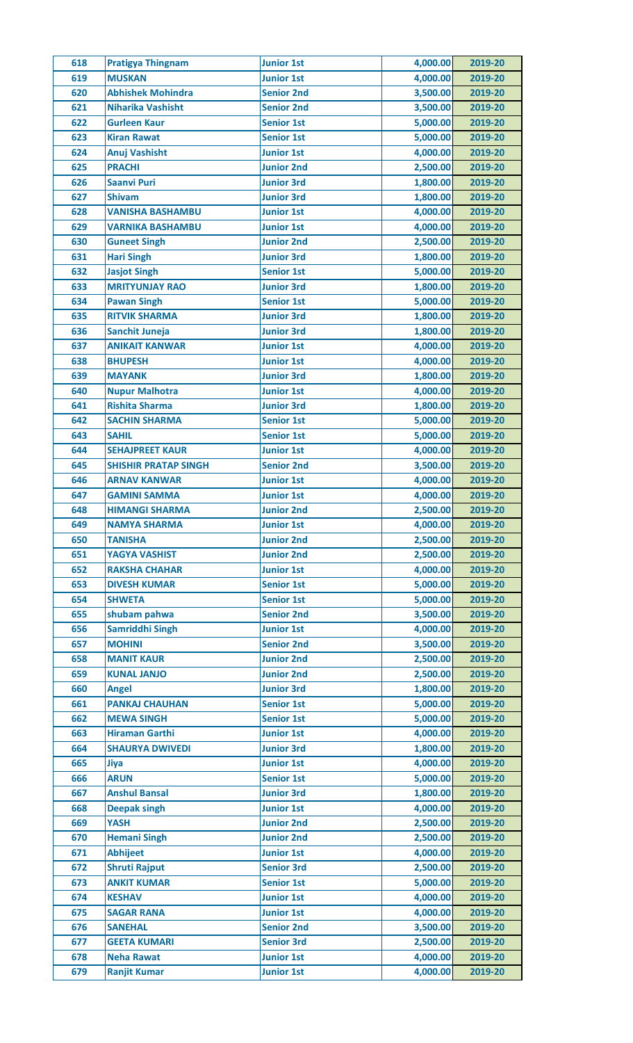| 618 | <b>Pratigya Thingnam</b>    | <b>Junior 1st</b> | 4,000.00 | 2019-20 |
|-----|-----------------------------|-------------------|----------|---------|
| 619 | <b>MUSKAN</b>               | <b>Junior 1st</b> | 4,000.00 | 2019-20 |
| 620 | <b>Abhishek Mohindra</b>    | <b>Senior 2nd</b> | 3,500.00 | 2019-20 |
| 621 | <b>Niharika Vashisht</b>    | <b>Senior 2nd</b> | 3,500.00 | 2019-20 |
| 622 | <b>Gurleen Kaur</b>         | <b>Senior 1st</b> | 5,000.00 | 2019-20 |
| 623 | <b>Kiran Rawat</b>          | <b>Senior 1st</b> | 5,000.00 | 2019-20 |
| 624 | <b>Anuj Vashisht</b>        | <b>Junior 1st</b> | 4,000.00 | 2019-20 |
| 625 | <b>PRACHI</b>               | <b>Junior 2nd</b> | 2,500.00 | 2019-20 |
| 626 | <b>Saanvi Puri</b>          | <b>Junior 3rd</b> | 1,800.00 | 2019-20 |
| 627 | <b>Shivam</b>               | <b>Junior 3rd</b> | 1,800.00 | 2019-20 |
| 628 | <b>VANISHA BASHAMBU</b>     | <b>Junior 1st</b> | 4,000.00 | 2019-20 |
| 629 | <b>VARNIKA BASHAMBU</b>     | <b>Junior 1st</b> | 4,000.00 | 2019-20 |
| 630 | <b>Guneet Singh</b>         | <b>Junior 2nd</b> | 2,500.00 | 2019-20 |
| 631 | <b>Hari Singh</b>           | <b>Junior 3rd</b> | 1,800.00 | 2019-20 |
| 632 | <b>Jasjot Singh</b>         | <b>Senior 1st</b> | 5,000.00 | 2019-20 |
| 633 | <b>MRITYUNJAY RAO</b>       | <b>Junior 3rd</b> | 1,800.00 | 2019-20 |
| 634 | <b>Pawan Singh</b>          | <b>Senior 1st</b> | 5,000.00 | 2019-20 |
| 635 | <b>RITVIK SHARMA</b>        | <b>Junior 3rd</b> | 1,800.00 | 2019-20 |
| 636 | Sanchit Juneja              | <b>Junior 3rd</b> | 1,800.00 | 2019-20 |
| 637 | <b>ANIKAIT KANWAR</b>       | <b>Junior 1st</b> | 4,000.00 | 2019-20 |
| 638 | <b>BHUPESH</b>              | <b>Junior 1st</b> | 4,000.00 | 2019-20 |
|     |                             |                   |          |         |
| 639 | <b>MAYANK</b>               | <b>Junior 3rd</b> | 1,800.00 | 2019-20 |
| 640 | <b>Nupur Malhotra</b>       | <b>Junior 1st</b> | 4,000.00 | 2019-20 |
| 641 | <b>Rishita Sharma</b>       | <b>Junior 3rd</b> | 1,800.00 | 2019-20 |
| 642 | <b>SACHIN SHARMA</b>        | <b>Senior 1st</b> | 5,000.00 | 2019-20 |
| 643 | <b>SAHIL</b>                | <b>Senior 1st</b> | 5,000.00 | 2019-20 |
| 644 | <b>SEHAJPREET KAUR</b>      | <b>Junior 1st</b> | 4,000.00 | 2019-20 |
| 645 | <b>SHISHIR PRATAP SINGH</b> | <b>Senior 2nd</b> | 3,500.00 | 2019-20 |
| 646 | <b>ARNAV KANWAR</b>         | <b>Junior 1st</b> | 4,000.00 | 2019-20 |
| 647 | <b>GAMINI SAMMA</b>         | <b>Junior 1st</b> | 4,000.00 | 2019-20 |
| 648 | <b>HIMANGI SHARMA</b>       | <b>Junior 2nd</b> | 2,500.00 | 2019-20 |
| 649 | <b>NAMYA SHARMA</b>         | <b>Junior 1st</b> | 4,000.00 | 2019-20 |
| 650 | <b>TANISHA</b>              | <b>Junior 2nd</b> | 2,500.00 | 2019-20 |
| 651 | YAGYA VASHIST               | <b>Junior 2nd</b> | 2,500.00 | 2019-20 |
| 652 | <b>RAKSHA CHAHAR</b>        | <b>Junior 1st</b> | 4,000.00 | 2019-20 |
| 653 | <b>DIVESH KUMAR</b>         | <b>Senior 1st</b> | 5,000.00 | 2019-20 |
| 654 | <b>SHWETA</b>               | <b>Senior 1st</b> | 5,000.00 | 2019-20 |
| 655 | shubam pahwa                | <b>Senior 2nd</b> | 3,500.00 | 2019-20 |
| 656 | Samriddhi Singh             | <b>Junior 1st</b> | 4,000.00 | 2019-20 |
| 657 | <b>MOHINI</b>               | <b>Senior 2nd</b> | 3,500.00 | 2019-20 |
| 658 | <b>MANIT KAUR</b>           | <b>Junior 2nd</b> | 2,500.00 | 2019-20 |
| 659 | <b>KUNAL JANJO</b>          | <b>Junior 2nd</b> | 2,500.00 | 2019-20 |
| 660 | <b>Angel</b>                | <b>Junior 3rd</b> | 1,800.00 | 2019-20 |
| 661 | <b>PANKAJ CHAUHAN</b>       | <b>Senior 1st</b> | 5,000.00 | 2019-20 |
| 662 | <b>MEWA SINGH</b>           | <b>Senior 1st</b> | 5,000.00 | 2019-20 |
| 663 | <b>Hiraman Garthi</b>       | <b>Junior 1st</b> | 4,000.00 | 2019-20 |
| 664 | <b>SHAURYA DWIVEDI</b>      | <b>Junior 3rd</b> | 1,800.00 | 2019-20 |
| 665 | Jiya                        | <b>Junior 1st</b> | 4,000.00 | 2019-20 |
| 666 | <b>ARUN</b>                 | <b>Senior 1st</b> | 5,000.00 | 2019-20 |
| 667 | <b>Anshul Bansal</b>        | <b>Junior 3rd</b> | 1,800.00 | 2019-20 |
| 668 | <b>Deepak singh</b>         | <b>Junior 1st</b> | 4,000.00 | 2019-20 |
| 669 | <b>YASH</b>                 | <b>Junior 2nd</b> | 2,500.00 | 2019-20 |
| 670 | <b>Hemani Singh</b>         | <b>Junior 2nd</b> | 2,500.00 | 2019-20 |
| 671 | <b>Abhijeet</b>             | <b>Junior 1st</b> | 4,000.00 | 2019-20 |
| 672 | <b>Shruti Rajput</b>        | <b>Senior 3rd</b> | 2,500.00 | 2019-20 |
| 673 | <b>ANKIT KUMAR</b>          | <b>Senior 1st</b> | 5,000.00 | 2019-20 |
| 674 | <b>KESHAV</b>               | <b>Junior 1st</b> | 4,000.00 | 2019-20 |
|     |                             |                   |          |         |
| 675 | <b>SAGAR RANA</b>           | <b>Junior 1st</b> | 4,000.00 | 2019-20 |
| 676 | <b>SANEHAL</b>              | <b>Senior 2nd</b> | 3,500.00 | 2019-20 |
| 677 | <b>GEETA KUMARI</b>         | <b>Senior 3rd</b> | 2,500.00 | 2019-20 |
| 678 | <b>Neha Rawat</b>           | <b>Junior 1st</b> | 4,000.00 | 2019-20 |
| 679 | <b>Ranjit Kumar</b>         | <b>Junior 1st</b> | 4,000.00 | 2019-20 |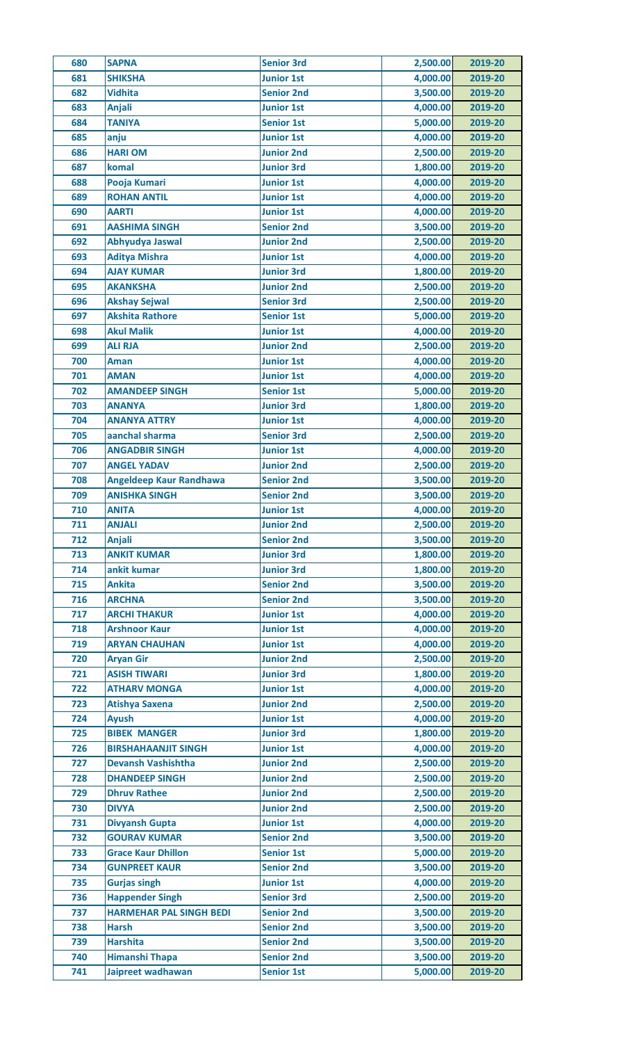| 680 | <b>SAPNA</b>                               | <b>Senior 3rd</b> | 2,500.00 | 2019-20 |
|-----|--------------------------------------------|-------------------|----------|---------|
| 681 | <b>SHIKSHA</b>                             | <b>Junior 1st</b> | 4,000.00 | 2019-20 |
| 682 | <b>Vidhita</b>                             | <b>Senior 2nd</b> | 3,500.00 | 2019-20 |
| 683 | <b>Anjali</b>                              | <b>Junior 1st</b> | 4,000.00 | 2019-20 |
| 684 | <b>TANIYA</b>                              | <b>Senior 1st</b> | 5,000.00 | 2019-20 |
| 685 | anju                                       | <b>Junior 1st</b> | 4,000.00 | 2019-20 |
| 686 | <b>HARI OM</b>                             | <b>Junior 2nd</b> | 2,500.00 | 2019-20 |
| 687 | komal                                      | <b>Junior 3rd</b> | 1,800.00 | 2019-20 |
| 688 | Pooja Kumari                               | <b>Junior 1st</b> | 4,000.00 | 2019-20 |
| 689 | <b>ROHAN ANTIL</b>                         | <b>Junior 1st</b> | 4,000.00 | 2019-20 |
| 690 | <b>AARTI</b>                               | <b>Junior 1st</b> | 4,000.00 | 2019-20 |
| 691 | <b>AASHIMA SINGH</b>                       | <b>Senior 2nd</b> | 3,500.00 | 2019-20 |
| 692 | Abhyudya Jaswal                            | <b>Junior 2nd</b> | 2,500.00 | 2019-20 |
| 693 | <b>Aditya Mishra</b>                       | <b>Junior 1st</b> | 4,000.00 | 2019-20 |
| 694 | <b>AJAY KUMAR</b>                          | <b>Junior 3rd</b> | 1,800.00 | 2019-20 |
| 695 | <b>AKANKSHA</b>                            | <b>Junior 2nd</b> | 2,500.00 | 2019-20 |
| 696 | <b>Akshay Sejwal</b>                       | <b>Senior 3rd</b> | 2,500.00 | 2019-20 |
| 697 | <b>Akshita Rathore</b>                     | <b>Senior 1st</b> | 5,000.00 | 2019-20 |
| 698 | <b>Akul Malik</b>                          | <b>Junior 1st</b> | 4,000.00 | 2019-20 |
| 699 | <b>ALI RJA</b>                             | <b>Junior 2nd</b> | 2,500.00 | 2019-20 |
| 700 | <b>Aman</b>                                | <b>Junior 1st</b> | 4,000.00 | 2019-20 |
| 701 | <b>AMAN</b>                                | <b>Junior 1st</b> | 4,000.00 | 2019-20 |
| 702 | <b>AMANDEEP SINGH</b>                      | <b>Senior 1st</b> | 5,000.00 | 2019-20 |
| 703 | <b>ANANYA</b>                              | <b>Junior 3rd</b> | 1,800.00 | 2019-20 |
| 704 | <b>ANANYA ATTRY</b>                        | <b>Junior 1st</b> | 4,000.00 | 2019-20 |
| 705 | aanchal sharma                             | <b>Senior 3rd</b> | 2,500.00 | 2019-20 |
| 706 | <b>ANGADBIR SINGH</b>                      | <b>Junior 1st</b> | 4,000.00 | 2019-20 |
| 707 | <b>ANGEL YADAV</b>                         | <b>Junior 2nd</b> | 2,500.00 | 2019-20 |
| 708 | <b>Angeldeep Kaur Randhawa</b>             | <b>Senior 2nd</b> | 3,500.00 | 2019-20 |
| 709 | <b>ANISHKA SINGH</b>                       | <b>Senior 2nd</b> | 3,500.00 | 2019-20 |
| 710 | <b>ANITA</b>                               | <b>Junior 1st</b> | 4,000.00 | 2019-20 |
| 711 | <b>ANJALI</b>                              | <b>Junior 2nd</b> | 2,500.00 | 2019-20 |
| 712 | <b>Anjali</b>                              | <b>Senior 2nd</b> | 3,500.00 | 2019-20 |
| 713 | <b>ANKIT KUMAR</b>                         | <b>Junior 3rd</b> | 1,800.00 | 2019-20 |
| 714 | ankit kumar                                | <b>Junior 3rd</b> | 1,800.00 | 2019-20 |
| 715 | <b>Ankita</b>                              | <b>Senior 2nd</b> | 3,500.00 | 2019-20 |
| 716 | <b>ARCHNA</b>                              | <b>Senior 2nd</b> | 3,500.00 | 2019-20 |
| 717 | <b>ARCHI THAKUR</b>                        | <b>Junior 1st</b> | 4,000.00 | 2019-20 |
| 718 | <b>Arshnoor Kaur</b>                       | <b>Junior 1st</b> | 4,000.00 | 2019-20 |
| 719 | <b>ARYAN CHAUHAN</b>                       | <b>Junior 1st</b> | 4,000.00 | 2019-20 |
| 720 | <b>Aryan Gir</b>                           | <b>Junior 2nd</b> | 2,500.00 | 2019-20 |
| 721 | <b>ASISH TIWARI</b>                        | <b>Junior 3rd</b> | 1,800.00 | 2019-20 |
| 722 | <b>ATHARV MONGA</b>                        | <b>Junior 1st</b> | 4,000.00 | 2019-20 |
| 723 | <b>Atishya Saxena</b>                      | <b>Junior 2nd</b> | 2,500.00 | 2019-20 |
| 724 | <b>Ayush</b>                               | <b>Junior 1st</b> | 4,000.00 | 2019-20 |
| 725 | <b>BIBEK MANGER</b>                        | <b>Junior 3rd</b> | 1,800.00 | 2019-20 |
| 726 | <b>BIRSHAHAANJIT SINGH</b>                 | <b>Junior 1st</b> | 4,000.00 | 2019-20 |
| 727 | <b>Devansh Vashishtha</b>                  | <b>Junior 2nd</b> | 2,500.00 | 2019-20 |
| 728 | <b>DHANDEEP SINGH</b>                      | <b>Junior 2nd</b> | 2,500.00 | 2019-20 |
| 729 | <b>Dhruv Rathee</b>                        | <b>Junior 2nd</b> | 2,500.00 | 2019-20 |
| 730 | <b>DIVYA</b>                               | <b>Junior 2nd</b> | 2,500.00 | 2019-20 |
| 731 | <b>Divyansh Gupta</b>                      | <b>Junior 1st</b> | 4,000.00 | 2019-20 |
| 732 | <b>GOURAV KUMAR</b>                        | <b>Senior 2nd</b> | 3,500.00 | 2019-20 |
| 733 | <b>Grace Kaur Dhillon</b>                  | <b>Senior 1st</b> | 5,000.00 | 2019-20 |
| 734 | <b>GUNPREET KAUR</b>                       | <b>Senior 2nd</b> | 3,500.00 | 2019-20 |
| 735 | <b>Gurjas singh</b>                        | <b>Junior 1st</b> | 4,000.00 | 2019-20 |
| 736 | <b>Happender Singh</b>                     | <b>Senior 3rd</b> | 2,500.00 | 2019-20 |
| 737 | <b>HARMEHAR PAL SINGH BEDI</b>             | <b>Senior 2nd</b> | 3,500.00 | 2019-20 |
| 738 | <b>Harsh</b>                               | <b>Senior 2nd</b> | 3,500.00 | 2019-20 |
| 739 | <b>Harshita</b>                            | <b>Senior 2nd</b> | 3,500.00 | 2019-20 |
| 740 |                                            | <b>Senior 2nd</b> | 3,500.00 | 2019-20 |
|     | <b>Himanshi Thapa</b><br>Jaipreet wadhawan |                   |          |         |
| 741 |                                            | <b>Senior 1st</b> | 5,000.00 | 2019-20 |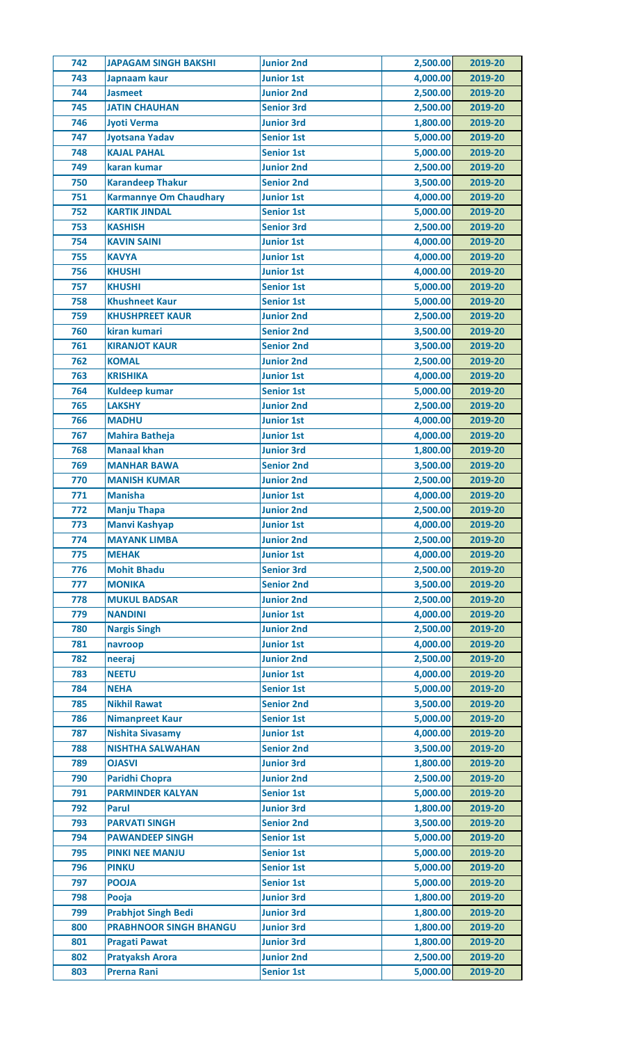| 742 | <b>JAPAGAM SINGH BAKSHI</b>   | <b>Junior 2nd</b> | 2,500.00 | 2019-20 |
|-----|-------------------------------|-------------------|----------|---------|
| 743 | Japnaam kaur                  | <b>Junior 1st</b> | 4,000.00 | 2019-20 |
| 744 | <b>Jasmeet</b>                | <b>Junior 2nd</b> | 2,500.00 | 2019-20 |
| 745 | <b>JATIN CHAUHAN</b>          | <b>Senior 3rd</b> | 2,500.00 | 2019-20 |
| 746 | <b>Jyoti Verma</b>            | <b>Junior 3rd</b> | 1,800.00 | 2019-20 |
| 747 | <b>Jyotsana Yadav</b>         | <b>Senior 1st</b> | 5,000.00 | 2019-20 |
| 748 | <b>KAJAL PAHAL</b>            | <b>Senior 1st</b> | 5,000.00 | 2019-20 |
| 749 | karan kumar                   | <b>Junior 2nd</b> | 2,500.00 | 2019-20 |
| 750 | <b>Karandeep Thakur</b>       | <b>Senior 2nd</b> | 3,500.00 | 2019-20 |
| 751 | <b>Karmannye Om Chaudhary</b> | <b>Junior 1st</b> | 4,000.00 | 2019-20 |
| 752 | <b>KARTIK JINDAL</b>          | <b>Senior 1st</b> | 5,000.00 | 2019-20 |
| 753 | <b>KASHISH</b>                | <b>Senior 3rd</b> | 2,500.00 | 2019-20 |
| 754 | <b>KAVIN SAINI</b>            | <b>Junior 1st</b> | 4,000.00 | 2019-20 |
| 755 | <b>KAVYA</b>                  | <b>Junior 1st</b> | 4,000.00 | 2019-20 |
| 756 | <b>KHUSHI</b>                 | <b>Junior 1st</b> | 4,000.00 | 2019-20 |
| 757 | <b>KHUSHI</b>                 | <b>Senior 1st</b> | 5,000.00 | 2019-20 |
| 758 | <b>Khushneet Kaur</b>         | <b>Senior 1st</b> | 5,000.00 | 2019-20 |
| 759 | <b>KHUSHPREET KAUR</b>        | <b>Junior 2nd</b> | 2,500.00 | 2019-20 |
| 760 | kiran kumari                  | <b>Senior 2nd</b> | 3,500.00 | 2019-20 |
| 761 | <b>KIRANJOT KAUR</b>          | <b>Senior 2nd</b> | 3,500.00 | 2019-20 |
| 762 | <b>KOMAL</b>                  | <b>Junior 2nd</b> | 2,500.00 | 2019-20 |
| 763 | <b>KRISHIKA</b>               | <b>Junior 1st</b> | 4,000.00 | 2019-20 |
| 764 | <b>Kuldeep kumar</b>          | <b>Senior 1st</b> | 5,000.00 | 2019-20 |
| 765 | <b>LAKSHY</b>                 | <b>Junior 2nd</b> | 2,500.00 | 2019-20 |
| 766 | <b>MADHU</b>                  | <b>Junior 1st</b> | 4,000.00 | 2019-20 |
| 767 | <b>Mahira Batheja</b>         | <b>Junior 1st</b> | 4,000.00 | 2019-20 |
| 768 | <b>Manaal khan</b>            | <b>Junior 3rd</b> | 1,800.00 | 2019-20 |
| 769 | <b>MANHAR BAWA</b>            | <b>Senior 2nd</b> | 3,500.00 | 2019-20 |
| 770 | <b>MANISH KUMAR</b>           | <b>Junior 2nd</b> | 2,500.00 | 2019-20 |
| 771 | <b>Manisha</b>                | <b>Junior 1st</b> | 4,000.00 | 2019-20 |
| 772 | <b>Manju Thapa</b>            | <b>Junior 2nd</b> | 2,500.00 | 2019-20 |
| 773 | <b>Manvi Kashyap</b>          | <b>Junior 1st</b> | 4,000.00 | 2019-20 |
| 774 | <b>MAYANK LIMBA</b>           | <b>Junior 2nd</b> | 2,500.00 | 2019-20 |
| 775 | <b>MEHAK</b>                  | <b>Junior 1st</b> | 4,000.00 | 2019-20 |
| 776 | <b>Mohit Bhadu</b>            | <b>Senior 3rd</b> | 2,500.00 | 2019-20 |
| 777 | <b>MONIKA</b>                 | <b>Senior 2nd</b> | 3,500.00 | 2019-20 |
| 778 | <b>MUKUL BADSAR</b>           | <b>Junior 2nd</b> | 2,500.00 | 2019-20 |
| 779 | <b>NANDINI</b>                | <b>Junior 1st</b> | 4,000.00 | 2019-20 |
| 780 | <b>Nargis Singh</b>           | <b>Junior 2nd</b> | 2,500.00 | 2019-20 |
| 781 | navroop                       | <b>Junior 1st</b> | 4,000.00 | 2019-20 |
| 782 | neeraj                        | <b>Junior 2nd</b> | 2,500.00 | 2019-20 |
| 783 | <b>NEETU</b>                  | <b>Junior 1st</b> | 4,000.00 | 2019-20 |
| 784 | <b>NEHA</b>                   | <b>Senior 1st</b> | 5,000.00 | 2019-20 |
| 785 | <b>Nikhil Rawat</b>           | <b>Senior 2nd</b> | 3,500.00 | 2019-20 |
| 786 | <b>Nimanpreet Kaur</b>        | <b>Senior 1st</b> | 5,000.00 | 2019-20 |
| 787 | <b>Nishita Sivasamy</b>       | <b>Junior 1st</b> | 4,000.00 | 2019-20 |
| 788 | <b>NISHTHA SALWAHAN</b>       | <b>Senior 2nd</b> | 3,500.00 | 2019-20 |
| 789 | <b>OJASVI</b>                 | <b>Junior 3rd</b> | 1,800.00 | 2019-20 |
| 790 | <b>Paridhi Chopra</b>         | <b>Junior 2nd</b> | 2,500.00 | 2019-20 |
| 791 | <b>PARMINDER KALYAN</b>       | <b>Senior 1st</b> | 5,000.00 | 2019-20 |
| 792 | <b>Parul</b>                  | <b>Junior 3rd</b> | 1,800.00 | 2019-20 |
| 793 | <b>PARVATI SINGH</b>          | <b>Senior 2nd</b> | 3,500.00 | 2019-20 |
| 794 | <b>PAWANDEEP SINGH</b>        | <b>Senior 1st</b> | 5,000.00 | 2019-20 |
| 795 | <b>PINKI NEE MANJU</b>        | <b>Senior 1st</b> | 5,000.00 | 2019-20 |
| 796 | <b>PINKU</b>                  | <b>Senior 1st</b> | 5,000.00 | 2019-20 |
| 797 | <b>POOJA</b>                  | <b>Senior 1st</b> | 5,000.00 | 2019-20 |
| 798 | Pooja                         | <b>Junior 3rd</b> | 1,800.00 | 2019-20 |
| 799 | <b>Prabhjot Singh Bedi</b>    | <b>Junior 3rd</b> | 1,800.00 | 2019-20 |
| 800 | <b>PRABHNOOR SINGH BHANGU</b> | <b>Junior 3rd</b> | 1,800.00 | 2019-20 |
| 801 | <b>Pragati Pawat</b>          | <b>Junior 3rd</b> | 1,800.00 | 2019-20 |
| 802 | <b>Pratyaksh Arora</b>        | <b>Junior 2nd</b> | 2,500.00 | 2019-20 |
| 803 | <b>Prerna Rani</b>            | <b>Senior 1st</b> | 5,000.00 | 2019-20 |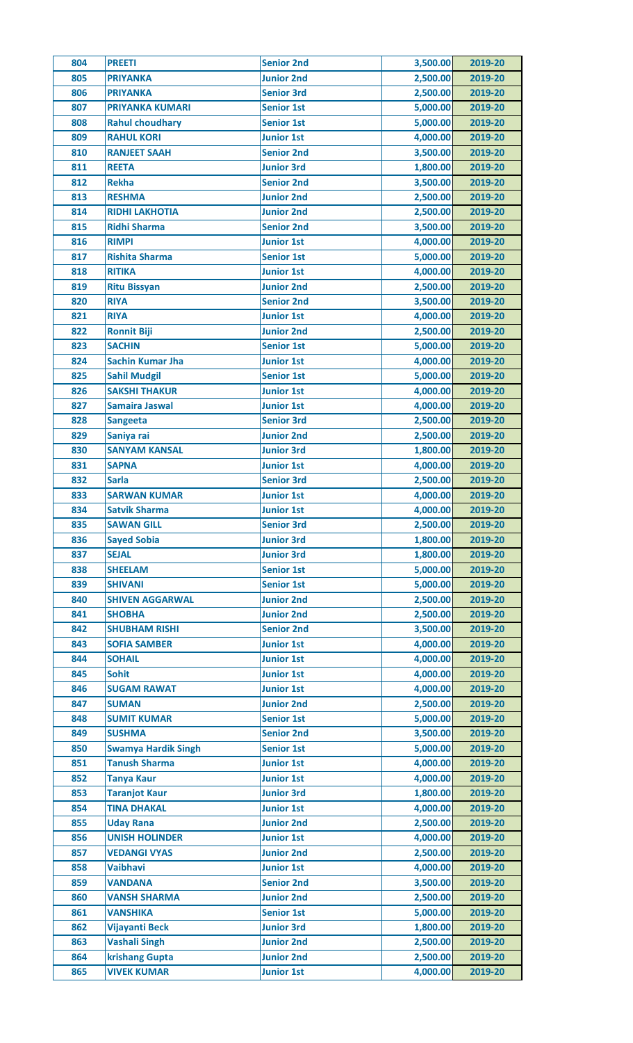| 804 | <b>PREETI</b>              | <b>Senior 2nd</b> | 3,500.00 | 2019-20 |
|-----|----------------------------|-------------------|----------|---------|
| 805 | <b>PRIYANKA</b>            | <b>Junior 2nd</b> | 2,500.00 | 2019-20 |
| 806 | <b>PRIYANKA</b>            | <b>Senior 3rd</b> | 2,500.00 | 2019-20 |
| 807 | <b>PRIYANKA KUMARI</b>     | <b>Senior 1st</b> | 5,000.00 | 2019-20 |
| 808 | <b>Rahul choudhary</b>     | <b>Senior 1st</b> | 5,000.00 | 2019-20 |
| 809 | <b>RAHUL KORI</b>          | <b>Junior 1st</b> | 4,000.00 | 2019-20 |
| 810 | <b>RANJEET SAAH</b>        | <b>Senior 2nd</b> | 3,500.00 | 2019-20 |
| 811 | <b>REETA</b>               | <b>Junior 3rd</b> | 1,800.00 | 2019-20 |
| 812 | <b>Rekha</b>               | <b>Senior 2nd</b> | 3,500.00 | 2019-20 |
| 813 | <b>RESHMA</b>              | <b>Junior 2nd</b> | 2,500.00 | 2019-20 |
| 814 | <b>RIDHI LAKHOTIA</b>      | <b>Junior 2nd</b> | 2,500.00 | 2019-20 |
| 815 | <b>Ridhi Sharma</b>        | <b>Senior 2nd</b> | 3,500.00 | 2019-20 |
| 816 | <b>RIMPI</b>               | <b>Junior 1st</b> | 4,000.00 | 2019-20 |
| 817 | <b>Rishita Sharma</b>      | <b>Senior 1st</b> | 5,000.00 | 2019-20 |
| 818 | <b>RITIKA</b>              | <b>Junior 1st</b> | 4,000.00 | 2019-20 |
| 819 | <b>Ritu Bissyan</b>        | <b>Junior 2nd</b> | 2,500.00 | 2019-20 |
| 820 | <b>RIYA</b>                | <b>Senior 2nd</b> | 3,500.00 | 2019-20 |
| 821 | <b>RIYA</b>                | <b>Junior 1st</b> | 4,000.00 | 2019-20 |
| 822 | <b>Ronnit Biji</b>         | <b>Junior 2nd</b> | 2,500.00 | 2019-20 |
| 823 | <b>SACHIN</b>              | <b>Senior 1st</b> | 5,000.00 | 2019-20 |
| 824 | <b>Sachin Kumar Jha</b>    | <b>Junior 1st</b> | 4,000.00 | 2019-20 |
| 825 | <b>Sahil Mudgil</b>        | <b>Senior 1st</b> | 5,000.00 | 2019-20 |
| 826 | <b>SAKSHI THAKUR</b>       | <b>Junior 1st</b> | 4,000.00 | 2019-20 |
| 827 | <b>Samaira Jaswal</b>      | <b>Junior 1st</b> | 4,000.00 | 2019-20 |
| 828 |                            | <b>Senior 3rd</b> | 2,500.00 | 2019-20 |
|     | <b>Sangeeta</b>            |                   |          |         |
| 829 | Saniya rai                 | <b>Junior 2nd</b> | 2,500.00 | 2019-20 |
| 830 | <b>SANYAM KANSAL</b>       | <b>Junior 3rd</b> | 1,800.00 | 2019-20 |
| 831 | <b>SAPNA</b>               | <b>Junior 1st</b> | 4,000.00 | 2019-20 |
| 832 | <b>Sarla</b>               | <b>Senior 3rd</b> | 2,500.00 | 2019-20 |
| 833 | <b>SARWAN KUMAR</b>        | <b>Junior 1st</b> | 4,000.00 | 2019-20 |
| 834 | <b>Satvik Sharma</b>       | <b>Junior 1st</b> | 4,000.00 | 2019-20 |
| 835 | <b>SAWAN GILL</b>          | <b>Senior 3rd</b> | 2,500.00 | 2019-20 |
| 836 | <b>Sayed Sobia</b>         | <b>Junior 3rd</b> | 1,800.00 | 2019-20 |
| 837 | <b>SEJAL</b>               | <b>Junior 3rd</b> | 1,800.00 | 2019-20 |
| 838 | <b>SHEELAM</b>             | <b>Senior 1st</b> | 5,000.00 | 2019-20 |
| 839 | <b>SHIVANI</b>             | <b>Senior 1st</b> | 5,000.00 | 2019-20 |
| 840 | <b>SHIVEN AGGARWAL</b>     | <b>Junior 2nd</b> | 2,500.00 | 2019-20 |
| 841 | <b>SHOBHA</b>              | <b>Junior 2nd</b> | 2,500.00 | 2019-20 |
| 842 | <b>SHUBHAM RISHI</b>       | <b>Senior 2nd</b> | 3,500.00 | 2019-20 |
| 843 | <b>SOFIA SAMBER</b>        | <b>Junior 1st</b> | 4,000.00 | 2019-20 |
| 844 | <b>SOHAIL</b>              | <b>Junior 1st</b> | 4,000.00 | 2019-20 |
| 845 | <b>Sohit</b>               | <b>Junior 1st</b> | 4,000.00 | 2019-20 |
| 846 | <b>SUGAM RAWAT</b>         | <b>Junior 1st</b> | 4,000.00 | 2019-20 |
| 847 | <b>SUMAN</b>               | <b>Junior 2nd</b> | 2,500.00 | 2019-20 |
| 848 | <b>SUMIT KUMAR</b>         | <b>Senior 1st</b> | 5,000.00 | 2019-20 |
| 849 | <b>SUSHMA</b>              | <b>Senior 2nd</b> | 3,500.00 | 2019-20 |
| 850 | <b>Swamya Hardik Singh</b> | <b>Senior 1st</b> | 5,000.00 | 2019-20 |
| 851 | <b>Tanush Sharma</b>       | <b>Junior 1st</b> | 4,000.00 | 2019-20 |
| 852 | <b>Tanya Kaur</b>          | <b>Junior 1st</b> | 4,000.00 | 2019-20 |
| 853 | <b>Taranjot Kaur</b>       | <b>Junior 3rd</b> | 1,800.00 | 2019-20 |
| 854 | <b>TINA DHAKAL</b>         | <b>Junior 1st</b> | 4,000.00 | 2019-20 |
| 855 | <b>Uday Rana</b>           | <b>Junior 2nd</b> | 2,500.00 | 2019-20 |
| 856 | <b>UNISH HOLINDER</b>      | <b>Junior 1st</b> | 4,000.00 | 2019-20 |
| 857 | <b>VEDANGI VYAS</b>        | <b>Junior 2nd</b> | 2,500.00 | 2019-20 |
| 858 | <b>Vaibhavi</b>            | <b>Junior 1st</b> | 4,000.00 | 2019-20 |
| 859 | <b>VANDANA</b>             | <b>Senior 2nd</b> | 3,500.00 | 2019-20 |
| 860 | <b>VANSH SHARMA</b>        | <b>Junior 2nd</b> | 2,500.00 | 2019-20 |
| 861 | <b>VANSHIKA</b>            | <b>Senior 1st</b> | 5,000.00 | 2019-20 |
| 862 | <b>Vijayanti Beck</b>      | <b>Junior 3rd</b> | 1,800.00 | 2019-20 |
| 863 | <b>Vashali Singh</b>       | <b>Junior 2nd</b> | 2,500.00 | 2019-20 |
| 864 | krishang Gupta             | <b>Junior 2nd</b> | 2,500.00 | 2019-20 |
| 865 | <b>VIVEK KUMAR</b>         | <b>Junior 1st</b> | 4,000.00 | 2019-20 |
|     |                            |                   |          |         |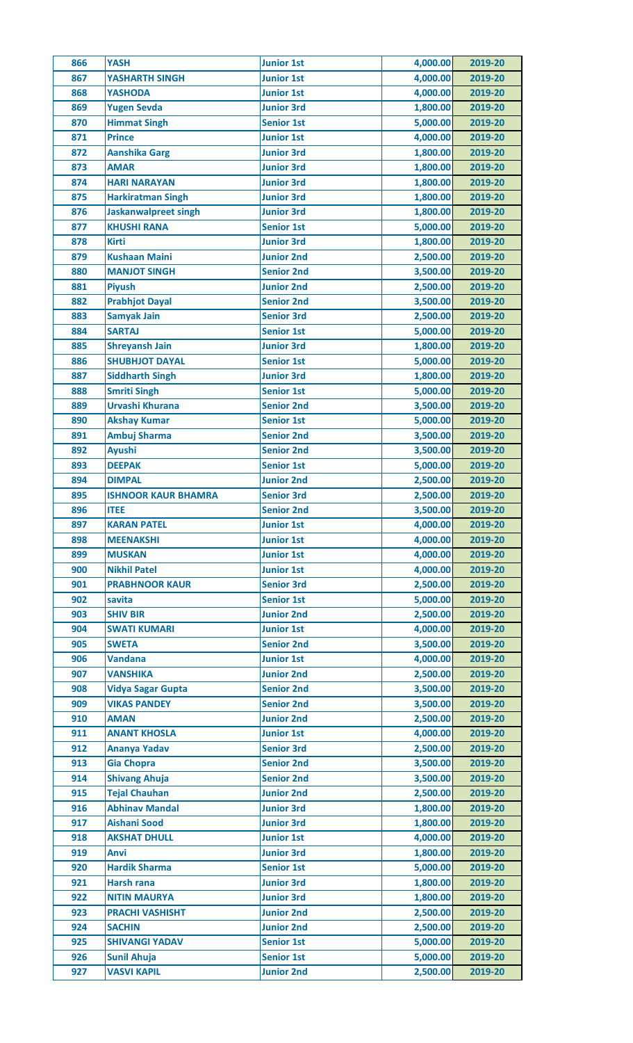| 866        | <b>YASH</b>                 | <b>Junior 1st</b> | 4,000.00 | 2019-20            |
|------------|-----------------------------|-------------------|----------|--------------------|
| 867        | <b>YASHARTH SINGH</b>       | <b>Junior 1st</b> | 4,000.00 | 2019-20            |
| 868        | <b>YASHODA</b>              | <b>Junior 1st</b> | 4,000.00 | 2019-20            |
| 869        | <b>Yugen Sevda</b>          | <b>Junior 3rd</b> | 1,800.00 | 2019-20            |
| 870        | <b>Himmat Singh</b>         | <b>Senior 1st</b> | 5,000.00 | 2019-20            |
| 871        | <b>Prince</b>               | <b>Junior 1st</b> | 4,000.00 | 2019-20            |
| 872        | <b>Aanshika Garg</b>        | <b>Junior 3rd</b> | 1,800.00 | 2019-20            |
| 873        | <b>AMAR</b>                 | <b>Junior 3rd</b> | 1,800.00 | 2019-20            |
| 874        | <b>HARI NARAYAN</b>         | <b>Junior 3rd</b> | 1,800.00 | 2019-20            |
| 875        | <b>Harkiratman Singh</b>    | <b>Junior 3rd</b> | 1,800.00 | 2019-20            |
| 876        | <b>Jaskanwalpreet singh</b> | <b>Junior 3rd</b> | 1,800.00 | 2019-20            |
| 877        | <b>KHUSHI RANA</b>          | <b>Senior 1st</b> | 5,000.00 | 2019-20            |
| 878        | <b>Kirti</b>                | <b>Junior 3rd</b> | 1,800.00 | 2019-20            |
| 879        | <b>Kushaan Maini</b>        | <b>Junior 2nd</b> | 2,500.00 | 2019-20            |
| 880        | <b>MANJOT SINGH</b>         | <b>Senior 2nd</b> | 3,500.00 | 2019-20            |
| 881        | <b>Piyush</b>               | <b>Junior 2nd</b> | 2,500.00 | 2019-20            |
| 882        | <b>Prabhjot Dayal</b>       | <b>Senior 2nd</b> | 3,500.00 | 2019-20            |
| 883        | <b>Samyak Jain</b>          | <b>Senior 3rd</b> | 2,500.00 | 2019-20            |
| 884        | <b>SARTAJ</b>               | <b>Senior 1st</b> | 5,000.00 | 2019-20            |
| 885        | <b>Shreyansh Jain</b>       | <b>Junior 3rd</b> | 1,800.00 | 2019-20            |
|            |                             | <b>Senior 1st</b> |          |                    |
| 886<br>887 | <b>SHUBHJOT DAYAL</b>       | <b>Junior 3rd</b> | 5,000.00 | 2019-20<br>2019-20 |
|            | <b>Siddharth Singh</b>      |                   | 1,800.00 |                    |
| 888        | <b>Smriti Singh</b>         | <b>Senior 1st</b> | 5,000.00 | 2019-20            |
| 889        | Urvashi Khurana             | <b>Senior 2nd</b> | 3,500.00 | 2019-20            |
| 890        | <b>Akshay Kumar</b>         | <b>Senior 1st</b> | 5,000.00 | 2019-20            |
| 891        | Ambuj Sharma                | <b>Senior 2nd</b> | 3,500.00 | 2019-20            |
| 892        | <b>Ayushi</b>               | <b>Senior 2nd</b> | 3,500.00 | 2019-20            |
| 893        | <b>DEEPAK</b>               | <b>Senior 1st</b> | 5,000.00 | 2019-20            |
| 894        | <b>DIMPAL</b>               | <b>Junior 2nd</b> | 2,500.00 | 2019-20            |
| 895        | <b>ISHNOOR KAUR BHAMRA</b>  | <b>Senior 3rd</b> | 2,500.00 | 2019-20            |
| 896        | <b>ITEE</b>                 | <b>Senior 2nd</b> | 3,500.00 | 2019-20            |
| 897        | <b>KARAN PATEL</b>          | <b>Junior 1st</b> | 4,000.00 | 2019-20            |
| 898        | <b>MEENAKSHI</b>            | <b>Junior 1st</b> | 4,000.00 | 2019-20            |
| 899        | <b>MUSKAN</b>               | <b>Junior 1st</b> | 4,000.00 | 2019-20            |
| 900        | <b>Nikhil Patel</b>         | <b>Junior 1st</b> | 4,000.00 | 2019-20            |
| 901        | <b>PRABHNOOR KAUR</b>       | <b>Senior 3rd</b> | 2,500.00 | 2019-20            |
| 902        | savita                      | <b>Senior 1st</b> | 5,000.00 | 2019-20            |
| 903        | <b>SHIV BIR</b>             | <b>Junior 2nd</b> | 2,500.00 | 2019-20            |
| 904        | <b>SWATI KUMARI</b>         | <b>Junior 1st</b> | 4,000.00 | 2019-20            |
| 905        | <b>SWETA</b>                | <b>Senior 2nd</b> | 3,500.00 | 2019-20            |
| 906        | <b>Vandana</b>              | <b>Junior 1st</b> | 4,000.00 | 2019-20            |
| 907        | <b>VANSHIKA</b>             | <b>Junior 2nd</b> | 2,500.00 | 2019-20            |
| 908        | <b>Vidya Sagar Gupta</b>    | <b>Senior 2nd</b> | 3,500.00 | 2019-20            |
| 909        | <b>VIKAS PANDEY</b>         | <b>Senior 2nd</b> | 3,500.00 | 2019-20            |
| 910        | <b>AMAN</b>                 | <b>Junior 2nd</b> | 2,500.00 | 2019-20            |
| 911        | <b>ANANT KHOSLA</b>         | <b>Junior 1st</b> | 4,000.00 | 2019-20            |
| 912        | <b>Ananya Yadav</b>         | <b>Senior 3rd</b> | 2,500.00 | 2019-20            |
| 913        | <b>Gia Chopra</b>           | <b>Senior 2nd</b> | 3,500.00 | 2019-20            |
| 914        | <b>Shivang Ahuja</b>        | <b>Senior 2nd</b> | 3,500.00 | 2019-20            |
| 915        | <b>Tejal Chauhan</b>        | <b>Junior 2nd</b> | 2,500.00 | 2019-20            |
| 916        | <b>Abhinav Mandal</b>       | <b>Junior 3rd</b> | 1,800.00 | 2019-20            |
| 917        | <b>Aishani Sood</b>         | <b>Junior 3rd</b> | 1,800.00 | 2019-20            |
| 918        | <b>AKSHAT DHULL</b>         | <b>Junior 1st</b> | 4,000.00 | 2019-20            |
| 919        | Anvi                        | <b>Junior 3rd</b> | 1,800.00 | 2019-20            |
| 920        | <b>Hardik Sharma</b>        | <b>Senior 1st</b> | 5,000.00 | 2019-20            |
| 921        | <b>Harsh rana</b>           | <b>Junior 3rd</b> | 1,800.00 | 2019-20            |
| 922        | <b>NITIN MAURYA</b>         | <b>Junior 3rd</b> | 1,800.00 | 2019-20            |
| 923        | <b>PRACHI VASHISHT</b>      | <b>Junior 2nd</b> | 2,500.00 | 2019-20            |
| 924        | <b>SACHIN</b>               | <b>Junior 2nd</b> | 2,500.00 | 2019-20            |
| 925        | <b>SHIVANGI YADAV</b>       | <b>Senior 1st</b> | 5,000.00 | 2019-20            |
|            |                             |                   |          |                    |
| 926        | <b>Sunil Ahuja</b>          | <b>Senior 1st</b> | 5,000.00 | 2019-20            |
| 927        | <b>VASVI KAPIL</b>          | <b>Junior 2nd</b> | 2,500.00 | 2019-20            |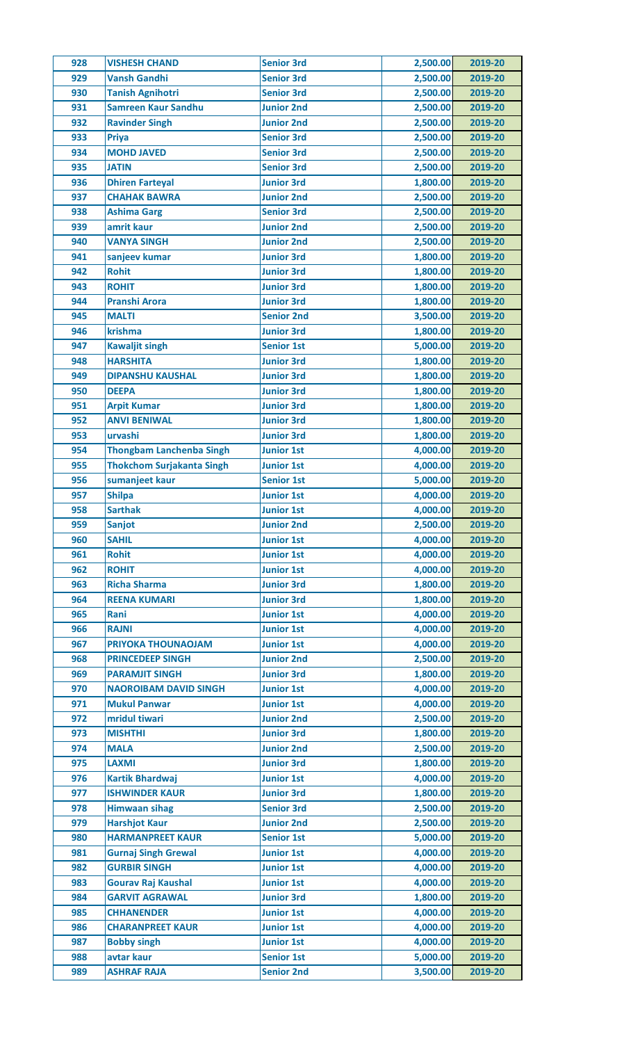| 928 | <b>VISHESH CHAND</b>                      | <b>Senior 3rd</b> | 2,500.00 | 2019-20 |
|-----|-------------------------------------------|-------------------|----------|---------|
| 929 | <b>Vansh Gandhi</b>                       | <b>Senior 3rd</b> | 2,500.00 | 2019-20 |
| 930 | <b>Tanish Agnihotri</b>                   | <b>Senior 3rd</b> | 2,500.00 | 2019-20 |
| 931 | <b>Samreen Kaur Sandhu</b>                | <b>Junior 2nd</b> | 2,500.00 | 2019-20 |
| 932 | <b>Ravinder Singh</b>                     | <b>Junior 2nd</b> | 2,500.00 | 2019-20 |
| 933 | <b>Priya</b>                              | <b>Senior 3rd</b> | 2,500.00 | 2019-20 |
| 934 | <b>MOHD JAVED</b>                         | <b>Senior 3rd</b> | 2,500.00 | 2019-20 |
| 935 | <b>JATIN</b>                              | <b>Senior 3rd</b> | 2,500.00 | 2019-20 |
| 936 | <b>Dhiren Farteyal</b>                    | <b>Junior 3rd</b> | 1,800.00 | 2019-20 |
| 937 | <b>CHAHAK BAWRA</b>                       | <b>Junior 2nd</b> | 2,500.00 | 2019-20 |
| 938 | <b>Ashima Garg</b>                        | <b>Senior 3rd</b> | 2,500.00 | 2019-20 |
| 939 | amrit kaur                                | <b>Junior 2nd</b> | 2,500.00 | 2019-20 |
| 940 | <b>VANYA SINGH</b>                        | <b>Junior 2nd</b> | 2,500.00 | 2019-20 |
| 941 | sanjeev kumar                             | <b>Junior 3rd</b> | 1,800.00 | 2019-20 |
| 942 | <b>Rohit</b>                              | <b>Junior 3rd</b> | 1,800.00 | 2019-20 |
| 943 | <b>ROHIT</b>                              | <b>Junior 3rd</b> | 1,800.00 | 2019-20 |
| 944 | <b>Pranshi Arora</b>                      | <b>Junior 3rd</b> | 1,800.00 | 2019-20 |
| 945 | <b>MALTI</b>                              | <b>Senior 2nd</b> | 3,500.00 | 2019-20 |
| 946 | krishma                                   | <b>Junior 3rd</b> | 1,800.00 | 2019-20 |
| 947 | <b>Kawaljit singh</b>                     | <b>Senior 1st</b> | 5,000.00 | 2019-20 |
| 948 | <b>HARSHITA</b>                           | <b>Junior 3rd</b> | 1,800.00 | 2019-20 |
| 949 | <b>DIPANSHU KAUSHAL</b>                   | <b>Junior 3rd</b> | 1,800.00 | 2019-20 |
| 950 | <b>DEEPA</b>                              | <b>Junior 3rd</b> | 1,800.00 | 2019-20 |
|     |                                           | <b>Junior 3rd</b> | 1,800.00 |         |
| 951 | <b>Arpit Kumar</b><br><b>ANVI BENIWAL</b> | <b>Junior 3rd</b> |          | 2019-20 |
| 952 |                                           |                   | 1,800.00 | 2019-20 |
| 953 | urvashi                                   | <b>Junior 3rd</b> | 1,800.00 | 2019-20 |
| 954 | <b>Thongbam Lanchenba Singh</b>           | <b>Junior 1st</b> | 4,000.00 | 2019-20 |
| 955 | <b>Thokchom Surjakanta Singh</b>          | <b>Junior 1st</b> | 4,000.00 | 2019-20 |
| 956 | sumanjeet kaur                            | <b>Senior 1st</b> | 5,000.00 | 2019-20 |
| 957 | <b>Shilpa</b>                             | <b>Junior 1st</b> | 4,000.00 | 2019-20 |
| 958 | <b>Sarthak</b>                            | <b>Junior 1st</b> | 4,000.00 | 2019-20 |
| 959 | <b>Sanjot</b>                             | Junior 2nd        | 2,500.00 | 2019-20 |
| 960 | <b>SAHIL</b>                              | <b>Junior 1st</b> | 4,000.00 | 2019-20 |
| 961 | <b>Rohit</b>                              | <b>Junior 1st</b> | 4,000.00 | 2019-20 |
| 962 | <b>ROHIT</b>                              | <b>Junior 1st</b> | 4,000.00 | 2019-20 |
| 963 | <b>Richa Sharma</b>                       | <b>Junior 3rd</b> | 1,800.00 | 2019-20 |
| 964 | <b>REENA KUMARI</b>                       | <b>Junior 3rd</b> | 1,800.00 | 2019-20 |
| 965 | Rani                                      | <b>Junior 1st</b> | 4,000.00 | 2019-20 |
| 966 | <b>RAJNI</b>                              | <b>Junior 1st</b> | 4,000.00 | 2019-20 |
| 967 | PRIYOKA THOUNAOJAM                        | <b>Junior 1st</b> | 4,000.00 | 2019-20 |
| 968 | <b>PRINCEDEEP SINGH</b>                   | <b>Junior 2nd</b> | 2,500.00 | 2019-20 |
| 969 | <b>PARAMJIT SINGH</b>                     | <b>Junior 3rd</b> | 1,800.00 | 2019-20 |
| 970 | <b>NAOROIBAM DAVID SINGH</b>              | <b>Junior 1st</b> | 4,000.00 | 2019-20 |
| 971 | <b>Mukul Panwar</b>                       | <b>Junior 1st</b> | 4,000.00 | 2019-20 |
| 972 | mridul tiwari                             | <b>Junior 2nd</b> | 2,500.00 | 2019-20 |
| 973 | <b>MISHTHI</b>                            | <b>Junior 3rd</b> | 1,800.00 | 2019-20 |
| 974 | <b>MALA</b>                               | <b>Junior 2nd</b> | 2,500.00 | 2019-20 |
| 975 | <b>LAXMI</b>                              | <b>Junior 3rd</b> | 1,800.00 | 2019-20 |
| 976 | <b>Kartik Bhardwaj</b>                    | <b>Junior 1st</b> | 4,000.00 | 2019-20 |
| 977 | <b>ISHWINDER KAUR</b>                     | <b>Junior 3rd</b> | 1,800.00 | 2019-20 |
| 978 | <b>Himwaan sihag</b>                      | <b>Senior 3rd</b> | 2,500.00 | 2019-20 |
| 979 | <b>Harshjot Kaur</b>                      | <b>Junior 2nd</b> | 2,500.00 | 2019-20 |
| 980 | <b>HARMANPREET KAUR</b>                   | <b>Senior 1st</b> | 5,000.00 | 2019-20 |
| 981 | <b>Gurnaj Singh Grewal</b>                | <b>Junior 1st</b> | 4,000.00 | 2019-20 |
| 982 | <b>GURBIR SINGH</b>                       | <b>Junior 1st</b> | 4,000.00 | 2019-20 |
| 983 | <b>Gourav Raj Kaushal</b>                 | <b>Junior 1st</b> | 4,000.00 | 2019-20 |
| 984 | <b>GARVIT AGRAWAL</b>                     | <b>Junior 3rd</b> | 1,800.00 | 2019-20 |
| 985 | <b>CHHANENDER</b>                         | <b>Junior 1st</b> | 4,000.00 | 2019-20 |
| 986 | <b>CHARANPREET KAUR</b>                   | <b>Junior 1st</b> | 4,000.00 | 2019-20 |
| 987 | <b>Bobby singh</b>                        | <b>Junior 1st</b> | 4,000.00 | 2019-20 |
| 988 | avtar kaur                                | <b>Senior 1st</b> | 5,000.00 | 2019-20 |
|     |                                           |                   |          |         |
| 989 | <b>ASHRAF RAJA</b>                        | <b>Senior 2nd</b> | 3,500.00 | 2019-20 |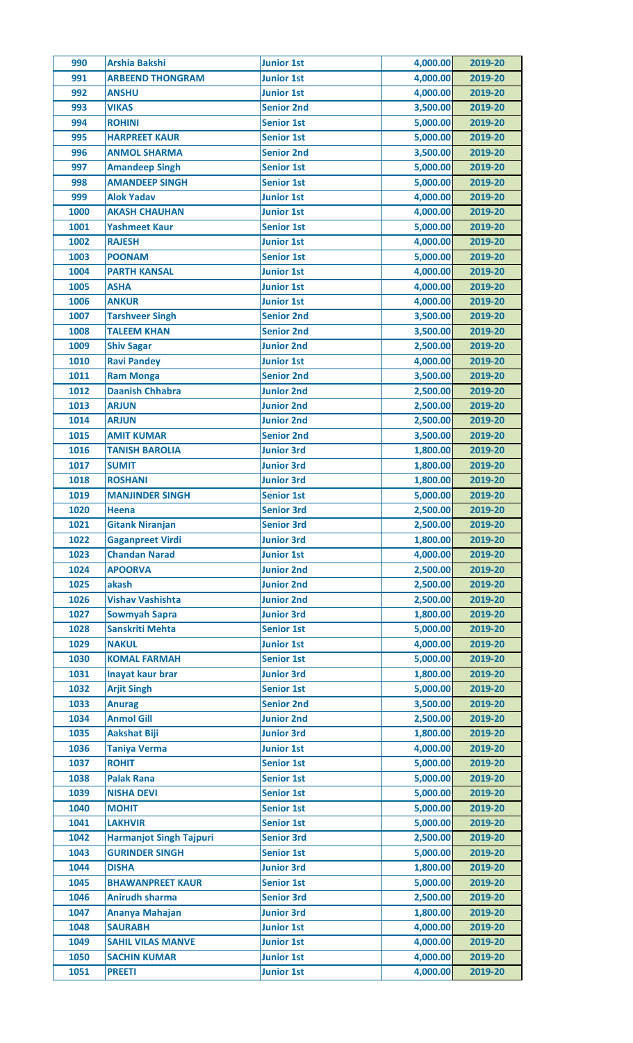| 990          | <b>Arshia Bakshi</b>                   | <b>Junior 1st</b>                      | 4,000.00             | 2019-20            |
|--------------|----------------------------------------|----------------------------------------|----------------------|--------------------|
| 991          | <b>ARBEEND THONGRAM</b>                | <b>Junior 1st</b>                      | 4,000.00             | 2019-20            |
| 992          | <b>ANSHU</b>                           | <b>Junior 1st</b>                      | 4,000.00             | 2019-20            |
| 993          | <b>VIKAS</b>                           | <b>Senior 2nd</b>                      | 3,500.00             | 2019-20            |
| 994          | <b>ROHINI</b>                          | <b>Senior 1st</b>                      | 5,000.00             | 2019-20            |
| 995          | <b>HARPREET KAUR</b>                   | <b>Senior 1st</b>                      | 5,000.00             | 2019-20            |
| 996          | <b>ANMOL SHARMA</b>                    | <b>Senior 2nd</b>                      | 3,500.00             | 2019-20            |
| 997          | <b>Amandeep Singh</b>                  | <b>Senior 1st</b>                      | 5,000.00             | 2019-20            |
| 998          | <b>AMANDEEP SINGH</b>                  | <b>Senior 1st</b>                      | 5,000.00             | 2019-20            |
| 999          | <b>Alok Yadav</b>                      | <b>Junior 1st</b>                      | 4,000.00             | 2019-20            |
| 1000         | <b>AKASH CHAUHAN</b>                   | <b>Junior 1st</b>                      | 4,000.00             | 2019-20            |
| 1001         | <b>Yashmeet Kaur</b>                   | <b>Senior 1st</b>                      | 5,000.00             | 2019-20            |
| 1002         | <b>RAJESH</b>                          | <b>Junior 1st</b>                      | 4,000.00             | 2019-20            |
| 1003         | <b>POONAM</b>                          | <b>Senior 1st</b>                      | 5,000.00             | 2019-20            |
| 1004         | <b>PARTH KANSAL</b>                    | <b>Junior 1st</b>                      | 4,000.00             | 2019-20            |
| 1005         | <b>ASHA</b>                            | <b>Junior 1st</b>                      | 4,000.00             | 2019-20            |
| 1006         | <b>ANKUR</b>                           | <b>Junior 1st</b>                      | 4,000.00             | 2019-20            |
| 1007         | <b>Tarshveer Singh</b>                 | <b>Senior 2nd</b>                      | 3,500.00             | 2019-20            |
| 1008         | <b>TALEEM KHAN</b>                     | <b>Senior 2nd</b>                      | 3,500.00             | 2019-20            |
| 1009         | <b>Shiv Sagar</b>                      | <b>Junior 2nd</b>                      | 2,500.00             | 2019-20            |
| 1010         | <b>Ravi Pandey</b>                     | <b>Junior 1st</b>                      | 4,000.00             | 2019-20            |
| 1011         | <b>Ram Monga</b>                       | <b>Senior 2nd</b>                      | 3,500.00             | 2019-20            |
| 1012         | <b>Daanish Chhabra</b>                 | <b>Junior 2nd</b>                      | 2,500.00             | 2019-20            |
| 1013         | <b>ARJUN</b>                           | <b>Junior 2nd</b>                      | 2,500.00             | 2019-20            |
| 1014         | <b>ARJUN</b>                           | <b>Junior 2nd</b>                      | 2,500.00             | 2019-20            |
| 1015         | <b>AMIT KUMAR</b>                      | <b>Senior 2nd</b>                      | 3,500.00             | 2019-20            |
| 1016         | <b>TANISH BAROLIA</b>                  | <b>Junior 3rd</b>                      | 1,800.00             | 2019-20            |
| 1017         | <b>SUMIT</b>                           | <b>Junior 3rd</b>                      | 1,800.00             | 2019-20            |
| 1018         | <b>ROSHANI</b>                         | <b>Junior 3rd</b>                      | 1,800.00             | 2019-20            |
| 1019         | <b>MANJINDER SINGH</b>                 | <b>Senior 1st</b>                      | 5,000.00             | 2019-20            |
| 1020         | <b>Heena</b>                           | <b>Senior 3rd</b>                      | 2,500.00             | 2019-20            |
| 1021         | <b>Gitank Niranjan</b>                 | <b>Senior 3rd</b>                      | 2,500.00             | 2019-20            |
| 1022         | <b>Gaganpreet Virdi</b>                | <b>Junior 3rd</b>                      | 1,800.00             | 2019-20            |
| 1023         | <b>Chandan Narad</b>                   | <b>Junior 1st</b>                      | 4,000.00             | 2019-20            |
| 1024         | <b>APOORVA</b>                         | <b>Junior 2nd</b>                      | 2,500.00             | 2019-20            |
| 1025         | akash                                  | <b>Junior 2nd</b>                      | 2,500.00             | 2019-20            |
| 1026         | <b>Vishav Vashishta</b>                | <b>Junior 2nd</b>                      | 2,500.00             | 2019-20            |
| 1027         | <b>Sowmyah Sapra</b>                   | <b>Junior 3rd</b>                      | 1,800.00             | 2019-20            |
| 1028         | <b>Sanskriti Mehta</b>                 | <b>Senior 1st</b>                      | 5,000.00             | 2019-20            |
| 1029         | <b>NAKUL</b>                           | <b>Junior 1st</b>                      | 4,000.00             | 2019-20            |
| 1030         | <b>KOMAL FARMAH</b>                    | <b>Senior 1st</b>                      | 5,000.00             | 2019-20            |
| 1031         | Inayat kaur brar                       | <b>Junior 3rd</b>                      | 1,800.00             | 2019-20            |
| 1032         | <b>Arjit Singh</b>                     | <b>Senior 1st</b>                      | 5,000.00             | 2019-20            |
| 1033         |                                        | <b>Senior 2nd</b>                      | 3,500.00             | 2019-20            |
| 1034         | <b>Anurag</b><br><b>Anmol Gill</b>     | <b>Junior 2nd</b>                      | 2,500.00             | 2019-20            |
| 1035         | <b>Aakshat Biji</b>                    | <b>Junior 3rd</b>                      | 1,800.00             |                    |
| 1036         |                                        | <b>Junior 1st</b>                      | 4,000.00             | 2019-20<br>2019-20 |
| 1037         | <b>Taniya Verma</b><br><b>ROHIT</b>    | <b>Senior 1st</b>                      | 5,000.00             | 2019-20            |
|              |                                        |                                        |                      |                    |
| 1038<br>1039 | <b>Palak Rana</b><br><b>NISHA DEVI</b> | <b>Senior 1st</b><br><b>Senior 1st</b> | 5,000.00<br>5,000.00 | 2019-20<br>2019-20 |
|              |                                        |                                        |                      |                    |
| 1040         | <b>MOHIT</b>                           | <b>Senior 1st</b>                      | 5,000.00             | 2019-20            |
| 1041         | <b>LAKHVIR</b>                         | <b>Senior 1st</b>                      | 5,000.00             | 2019-20            |
| 1042         | <b>Harmanjot Singh Tajpuri</b>         | <b>Senior 3rd</b>                      | 2,500.00             | 2019-20            |
| 1043         | <b>GURINDER SINGH</b>                  | <b>Senior 1st</b>                      | 5,000.00             | 2019-20            |
| 1044         | <b>DISHA</b>                           | <b>Junior 3rd</b>                      | 1,800.00             | 2019-20            |
| 1045         | <b>BHAWANPREET KAUR</b>                | <b>Senior 1st</b>                      | 5,000.00             | 2019-20            |
| 1046         | <b>Anirudh sharma</b>                  | <b>Senior 3rd</b>                      | 2,500.00             | 2019-20            |
| 1047         | Ananya Mahajan                         | <b>Junior 3rd</b>                      | 1,800.00             | 2019-20            |
| 1048         | <b>SAURABH</b>                         | <b>Junior 1st</b>                      | 4,000.00             | 2019-20            |
| 1049         | <b>SAHIL VILAS MANVE</b>               | <b>Junior 1st</b>                      | 4,000.00             | 2019-20            |
| 1050         | <b>SACHIN KUMAR</b>                    | <b>Junior 1st</b>                      | 4,000.00             | 2019-20            |
| 1051         | <b>PREETI</b>                          | <b>Junior 1st</b>                      | 4,000.00             | 2019-20            |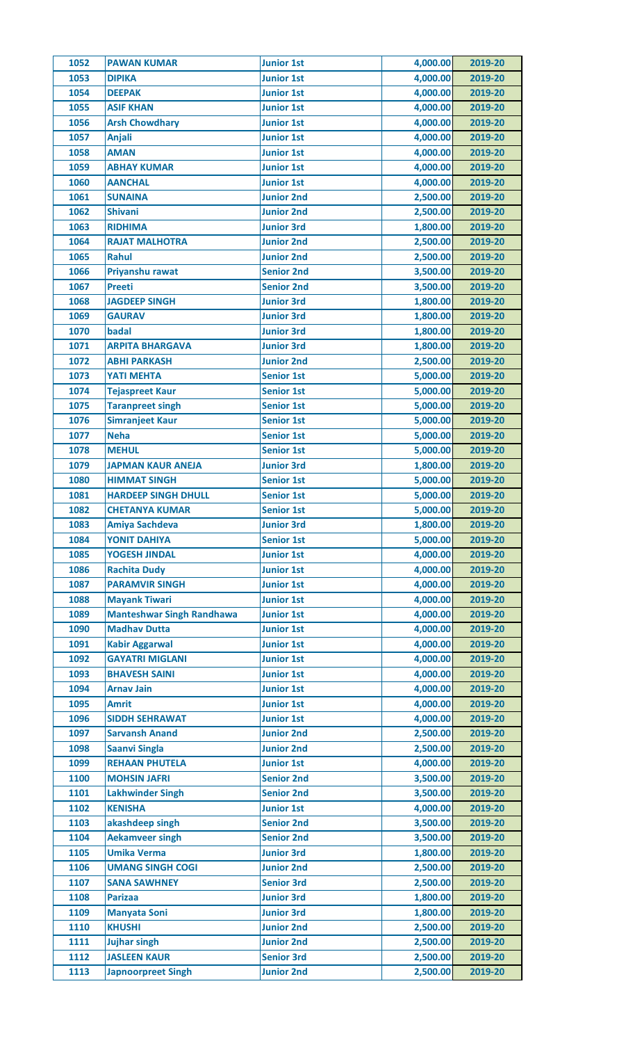| 1052 | <b>PAWAN KUMAR</b>               | <b>Junior 1st</b> | 4,000.00             | 2019-20 |
|------|----------------------------------|-------------------|----------------------|---------|
| 1053 | <b>DIPIKA</b>                    | <b>Junior 1st</b> | 4,000.00             | 2019-20 |
| 1054 | <b>DEEPAK</b>                    | <b>Junior 1st</b> | 4,000.00             | 2019-20 |
| 1055 | <b>ASIF KHAN</b>                 | <b>Junior 1st</b> | 4,000.00             | 2019-20 |
| 1056 | <b>Arsh Chowdhary</b>            | <b>Junior 1st</b> | 4,000.00             | 2019-20 |
| 1057 | <b>Anjali</b>                    | <b>Junior 1st</b> | 4,000.00             | 2019-20 |
| 1058 | <b>AMAN</b>                      | <b>Junior 1st</b> | 4,000.00             | 2019-20 |
| 1059 | <b>ABHAY KUMAR</b>               | <b>Junior 1st</b> | 4,000.00             | 2019-20 |
| 1060 | <b>AANCHAL</b>                   | <b>Junior 1st</b> | 4,000.00             | 2019-20 |
| 1061 | <b>SUNAINA</b>                   | <b>Junior 2nd</b> | 2,500.00             | 2019-20 |
| 1062 | <b>Shivani</b>                   | <b>Junior 2nd</b> | 2,500.00             | 2019-20 |
| 1063 | <b>RIDHIMA</b>                   | <b>Junior 3rd</b> | 1,800.00             | 2019-20 |
| 1064 | <b>RAJAT MALHOTRA</b>            | <b>Junior 2nd</b> | 2,500.00             | 2019-20 |
| 1065 | Rahul                            | <b>Junior 2nd</b> | 2,500.00             | 2019-20 |
| 1066 | Priyanshu rawat                  | <b>Senior 2nd</b> | 3,500.00             | 2019-20 |
| 1067 | <b>Preeti</b>                    | <b>Senior 2nd</b> | 3,500.00             | 2019-20 |
| 1068 | <b>JAGDEEP SINGH</b>             | <b>Junior 3rd</b> | 1,800.00             | 2019-20 |
| 1069 | <b>GAURAV</b>                    | <b>Junior 3rd</b> | 1,800.00             | 2019-20 |
| 1070 | badal                            | <b>Junior 3rd</b> | 1,800.00             | 2019-20 |
| 1071 | <b>ARPITA BHARGAVA</b>           | <b>Junior 3rd</b> | 1,800.00             | 2019-20 |
| 1072 | <b>ABHI PARKASH</b>              | <b>Junior 2nd</b> | 2,500.00             | 2019-20 |
| 1073 | <b>YATI MEHTA</b>                | <b>Senior 1st</b> | 5,000.00             | 2019-20 |
|      |                                  |                   |                      |         |
| 1074 | <b>Tejaspreet Kaur</b>           | <b>Senior 1st</b> | 5,000.00             | 2019-20 |
| 1075 | <b>Taranpreet singh</b>          | <b>Senior 1st</b> | 5,000.00             | 2019-20 |
| 1076 | <b>Simranjeet Kaur</b>           | <b>Senior 1st</b> | 5,000.00             | 2019-20 |
| 1077 | <b>Neha</b>                      | <b>Senior 1st</b> | 5,000.00             | 2019-20 |
| 1078 | <b>MEHUL</b>                     | <b>Senior 1st</b> | 5,000.00             | 2019-20 |
| 1079 | <b>JAPMAN KAUR ANEJA</b>         | <b>Junior 3rd</b> | 1,800.00             | 2019-20 |
| 1080 | <b>HIMMAT SINGH</b>              | <b>Senior 1st</b> | 5,000.00             | 2019-20 |
| 1081 | <b>HARDEEP SINGH DHULL</b>       | <b>Senior 1st</b> | 5,000.00             | 2019-20 |
| 1082 | <b>CHETANYA KUMAR</b>            | <b>Senior 1st</b> | 5,000.00             | 2019-20 |
| 1083 | <b>Amiya Sachdeva</b>            | <b>Junior 3rd</b> | 1,800.00             | 2019-20 |
| 1084 | <b>YONIT DAHIYA</b>              | <b>Senior 1st</b> | 5,000.00             | 2019-20 |
| 1085 | <b>YOGESH JINDAL</b>             | <b>Junior 1st</b> | 4,000.00             | 2019-20 |
| 1086 | <b>Rachita Dudy</b>              | <b>Junior 1st</b> | 4,000.00             | 2019-20 |
| 1087 | <b>PARAMVIR SINGH</b>            | <b>Junior 1st</b> | 4,000.00             | 2019-20 |
| 1088 | <b>Mayank Tiwari</b>             | <b>Junior 1st</b> | 4,000.00             | 2019-20 |
| 1089 | <b>Manteshwar Singh Randhawa</b> | <b>Junior 1st</b> | 4,000.00             | 2019-20 |
| 1090 | <b>Madhav Dutta</b>              | <b>Junior 1st</b> | 4,000.00             | 2019-20 |
| 1091 | <b>Kabir Aggarwal</b>            | <b>Junior 1st</b> | 4,000.00             | 2019-20 |
| 1092 | <b>GAYATRI MIGLANI</b>           | <b>Junior 1st</b> | 4,000.00             | 2019-20 |
| 1093 | <b>BHAVESH SAINI</b>             | <b>Junior 1st</b> | 4,000.00             | 2019-20 |
| 1094 | <b>Arnav Jain</b>                | <b>Junior 1st</b> | 4,000.00             | 2019-20 |
| 1095 | <b>Amrit</b>                     | <b>Junior 1st</b> | 4,000.00             | 2019-20 |
| 1096 | <b>SIDDH SEHRAWAT</b>            | <b>Junior 1st</b> | 4,000.00             | 2019-20 |
| 1097 | <b>Sarvansh Anand</b>            | <b>Junior 2nd</b> | 2,500.00             | 2019-20 |
| 1098 | <b>Saanvi Singla</b>             | <b>Junior 2nd</b> | 2,500.00             | 2019-20 |
| 1099 | <b>REHAAN PHUTELA</b>            | <b>Junior 1st</b> | 4,000.00             | 2019-20 |
| 1100 | <b>MOHSIN JAFRI</b>              | <b>Senior 2nd</b> | 3,500.00             | 2019-20 |
| 1101 | <b>Lakhwinder Singh</b>          | <b>Senior 2nd</b> | 3,500.00             | 2019-20 |
| 1102 | <b>KENISHA</b>                   | <b>Junior 1st</b> | 4,000.00             | 2019-20 |
| 1103 | akashdeep singh                  | <b>Senior 2nd</b> | 3,500.00             | 2019-20 |
| 1104 | <b>Aekamveer singh</b>           | <b>Senior 2nd</b> | 3,500.00             | 2019-20 |
| 1105 | <b>Umika Verma</b>               | <b>Junior 3rd</b> | 1,800.00             | 2019-20 |
| 1106 | <b>UMANG SINGH COGI</b>          | <b>Junior 2nd</b> | 2,500.00             | 2019-20 |
|      |                                  |                   |                      |         |
| 1107 | <b>SANA SAWHNEY</b>              | <b>Senior 3rd</b> | 2,500.00<br>1,800.00 | 2019-20 |
| 1108 | <b>Parizaa</b>                   | <b>Junior 3rd</b> |                      | 2019-20 |
| 1109 | <b>Manyata Soni</b>              | <b>Junior 3rd</b> | 1,800.00             | 2019-20 |
| 1110 | <b>KHUSHI</b>                    | <b>Junior 2nd</b> | 2,500.00             | 2019-20 |
| 1111 | <b>Jujhar singh</b>              | <b>Junior 2nd</b> | 2,500.00             | 2019-20 |
| 1112 | <b>JASLEEN KAUR</b>              | <b>Senior 3rd</b> | 2,500.00             | 2019-20 |
| 1113 | <b>Japnoorpreet Singh</b>        | <b>Junior 2nd</b> | 2,500.00             | 2019-20 |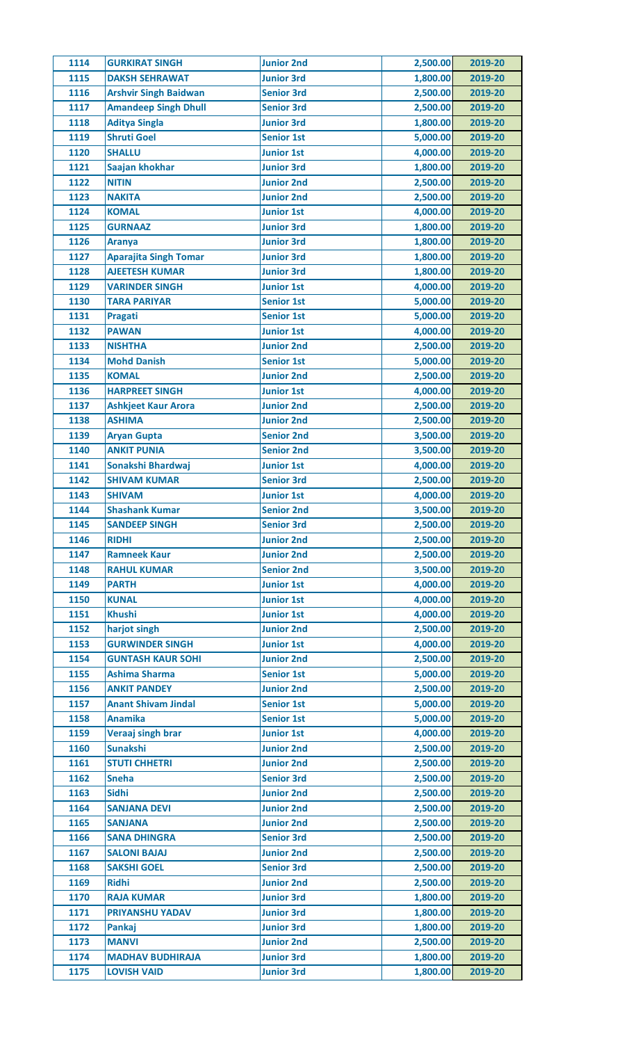| 1114 | <b>GURKIRAT SINGH</b>                       | <b>Junior 2nd</b> | 2,500.00 | 2019-20 |
|------|---------------------------------------------|-------------------|----------|---------|
| 1115 | <b>DAKSH SEHRAWAT</b>                       | <b>Junior 3rd</b> | 1,800.00 | 2019-20 |
| 1116 | <b>Arshvir Singh Baidwan</b>                | <b>Senior 3rd</b> | 2,500.00 | 2019-20 |
| 1117 | <b>Amandeep Singh Dhull</b>                 | <b>Senior 3rd</b> | 2,500.00 | 2019-20 |
| 1118 | <b>Aditya Singla</b>                        | <b>Junior 3rd</b> | 1,800.00 | 2019-20 |
| 1119 | <b>Shruti Goel</b>                          | <b>Senior 1st</b> | 5,000.00 | 2019-20 |
| 1120 | <b>SHALLU</b>                               | <b>Junior 1st</b> | 4,000.00 | 2019-20 |
| 1121 | Saajan khokhar                              | <b>Junior 3rd</b> | 1,800.00 | 2019-20 |
| 1122 | <b>NITIN</b>                                | <b>Junior 2nd</b> | 2,500.00 | 2019-20 |
| 1123 | <b>NAKITA</b>                               | <b>Junior 2nd</b> | 2,500.00 | 2019-20 |
| 1124 | <b>KOMAL</b>                                | <b>Junior 1st</b> | 4,000.00 | 2019-20 |
| 1125 | <b>GURNAAZ</b>                              | <b>Junior 3rd</b> | 1,800.00 | 2019-20 |
| 1126 | <b>Aranya</b>                               | <b>Junior 3rd</b> | 1,800.00 | 2019-20 |
| 1127 | <b>Aparajita Singh Tomar</b>                | <b>Junior 3rd</b> | 1,800.00 | 2019-20 |
| 1128 | <b>AJEETESH KUMAR</b>                       | <b>Junior 3rd</b> | 1,800.00 | 2019-20 |
| 1129 | <b>VARINDER SINGH</b>                       | <b>Junior 1st</b> | 4,000.00 | 2019-20 |
| 1130 | <b>TARA PARIYAR</b>                         | <b>Senior 1st</b> | 5,000.00 | 2019-20 |
| 1131 | Pragati                                     | <b>Senior 1st</b> | 5,000.00 | 2019-20 |
| 1132 | <b>PAWAN</b>                                | <b>Junior 1st</b> | 4,000.00 | 2019-20 |
| 1133 | <b>NISHTHA</b>                              | <b>Junior 2nd</b> | 2,500.00 | 2019-20 |
| 1134 | <b>Mohd Danish</b>                          | <b>Senior 1st</b> | 5,000.00 | 2019-20 |
| 1135 | <b>KOMAL</b>                                | <b>Junior 2nd</b> | 2,500.00 | 2019-20 |
| 1136 | <b>HARPREET SINGH</b>                       | <b>Junior 1st</b> | 4,000.00 | 2019-20 |
| 1137 |                                             | <b>Junior 2nd</b> | 2,500.00 |         |
|      | <b>Ashkjeet Kaur Arora</b><br><b>ASHIMA</b> |                   |          | 2019-20 |
| 1138 |                                             | <b>Junior 2nd</b> | 2,500.00 | 2019-20 |
| 1139 | <b>Aryan Gupta</b>                          | <b>Senior 2nd</b> | 3,500.00 | 2019-20 |
| 1140 | <b>ANKIT PUNIA</b>                          | <b>Senior 2nd</b> | 3,500.00 | 2019-20 |
| 1141 | Sonakshi Bhardwaj                           | <b>Junior 1st</b> | 4,000.00 | 2019-20 |
| 1142 | <b>SHIVAM KUMAR</b>                         | <b>Senior 3rd</b> | 2,500.00 | 2019-20 |
| 1143 | <b>SHIVAM</b>                               | <b>Junior 1st</b> | 4,000.00 | 2019-20 |
| 1144 | <b>Shashank Kumar</b>                       | <b>Senior 2nd</b> | 3,500.00 | 2019-20 |
| 1145 | <b>SANDEEP SINGH</b>                        | <b>Senior 3rd</b> | 2,500.00 | 2019-20 |
| 1146 | <b>RIDHI</b>                                | <b>Junior 2nd</b> | 2,500.00 | 2019-20 |
| 1147 | <b>Ramneek Kaur</b>                         | <b>Junior 2nd</b> | 2,500.00 | 2019-20 |
| 1148 | <b>RAHUL KUMAR</b>                          | <b>Senior 2nd</b> | 3,500.00 | 2019-20 |
| 1149 | <b>PARTH</b>                                | <b>Junior 1st</b> | 4,000.00 | 2019-20 |
| 1150 | <b>KUNAL</b>                                | <b>Junior 1st</b> | 4,000.00 | 2019-20 |
| 1151 | <b>Khushi</b>                               | <b>Junior 1st</b> | 4,000.00 | 2019-20 |
| 1152 | harjot singh                                | <b>Junior 2nd</b> | 2,500.00 | 2019-20 |
| 1153 | <b>GURWINDER SINGH</b>                      | <b>Junior 1st</b> | 4,000.00 | 2019-20 |
| 1154 | <b>GUNTASH KAUR SOHI</b>                    | <b>Junior 2nd</b> | 2,500.00 | 2019-20 |
| 1155 | <b>Ashima Sharma</b>                        | <b>Senior 1st</b> | 5,000.00 | 2019-20 |
| 1156 | <b>ANKIT PANDEY</b>                         | <b>Junior 2nd</b> | 2,500.00 | 2019-20 |
| 1157 | <b>Anant Shivam Jindal</b>                  | <b>Senior 1st</b> | 5,000.00 | 2019-20 |
| 1158 | <b>Anamika</b>                              | <b>Senior 1st</b> | 5,000.00 | 2019-20 |
| 1159 | Veraaj singh brar                           | <b>Junior 1st</b> | 4,000.00 | 2019-20 |
| 1160 | <b>Sunakshi</b>                             | <b>Junior 2nd</b> | 2,500.00 | 2019-20 |
| 1161 | <b>STUTI CHHETRI</b>                        | <b>Junior 2nd</b> | 2,500.00 | 2019-20 |
| 1162 | <b>Sneha</b>                                | <b>Senior 3rd</b> | 2,500.00 | 2019-20 |
| 1163 | <b>Sidhi</b>                                | <b>Junior 2nd</b> | 2,500.00 | 2019-20 |
| 1164 | <b>SANJANA DEVI</b>                         | <b>Junior 2nd</b> | 2,500.00 | 2019-20 |
| 1165 | <b>SANJANA</b>                              | <b>Junior 2nd</b> | 2,500.00 | 2019-20 |
| 1166 | <b>SANA DHINGRA</b>                         | <b>Senior 3rd</b> | 2,500.00 | 2019-20 |
| 1167 | <b>SALONI BAJAJ</b>                         | <b>Junior 2nd</b> | 2,500.00 | 2019-20 |
| 1168 | <b>SAKSHI GOEL</b>                          | <b>Senior 3rd</b> | 2,500.00 | 2019-20 |
| 1169 | <b>Ridhi</b>                                | <b>Junior 2nd</b> | 2,500.00 | 2019-20 |
| 1170 | <b>RAJA KUMAR</b>                           | <b>Junior 3rd</b> | 1,800.00 | 2019-20 |
| 1171 | <b>PRIYANSHU YADAV</b>                      | <b>Junior 3rd</b> | 1,800.00 | 2019-20 |
| 1172 | Pankaj                                      | <b>Junior 3rd</b> | 1,800.00 | 2019-20 |
| 1173 | <b>MANVI</b>                                | <b>Junior 2nd</b> | 2,500.00 | 2019-20 |
| 1174 | <b>MADHAV BUDHIRAJA</b>                     | <b>Junior 3rd</b> | 1,800.00 | 2019-20 |
| 1175 | <b>LOVISH VAID</b>                          | <b>Junior 3rd</b> | 1,800.00 | 2019-20 |
|      |                                             |                   |          |         |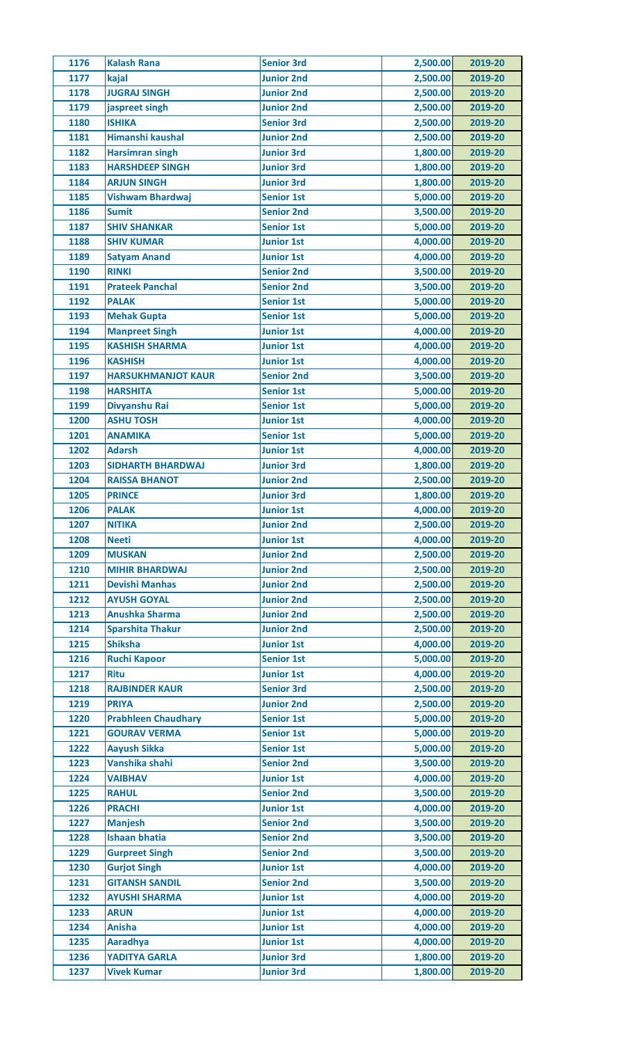| 1176 | <b>Kalash Rana</b>         | <b>Senior 3rd</b> | 2,500.00 | 2019-20 |
|------|----------------------------|-------------------|----------|---------|
| 1177 | kajal                      | <b>Junior 2nd</b> | 2,500.00 | 2019-20 |
| 1178 | <b>JUGRAJ SINGH</b>        | <b>Junior 2nd</b> | 2,500.00 | 2019-20 |
| 1179 | jaspreet singh             | <b>Junior 2nd</b> | 2,500.00 | 2019-20 |
| 1180 | <b>ISHIKA</b>              | <b>Senior 3rd</b> | 2,500.00 | 2019-20 |
| 1181 | Himanshi kaushal           | <b>Junior 2nd</b> | 2,500.00 | 2019-20 |
| 1182 | <b>Harsimran singh</b>     | <b>Junior 3rd</b> | 1,800.00 | 2019-20 |
| 1183 | <b>HARSHDEEP SINGH</b>     | <b>Junior 3rd</b> | 1,800.00 | 2019-20 |
| 1184 | <b>ARJUN SINGH</b>         | <b>Junior 3rd</b> | 1,800.00 | 2019-20 |
| 1185 | <b>Vishwam Bhardwaj</b>    | <b>Senior 1st</b> | 5,000.00 | 2019-20 |
| 1186 | <b>Sumit</b>               | <b>Senior 2nd</b> | 3,500.00 | 2019-20 |
| 1187 | <b>SHIV SHANKAR</b>        | <b>Senior 1st</b> | 5,000.00 | 2019-20 |
| 1188 | <b>SHIV KUMAR</b>          | <b>Junior 1st</b> | 4,000.00 | 2019-20 |
| 1189 | <b>Satyam Anand</b>        | <b>Junior 1st</b> | 4,000.00 | 2019-20 |
| 1190 | <b>RINKI</b>               | <b>Senior 2nd</b> | 3,500.00 | 2019-20 |
| 1191 | <b>Prateek Panchal</b>     | <b>Senior 2nd</b> | 3,500.00 | 2019-20 |
| 1192 | <b>PALAK</b>               | <b>Senior 1st</b> | 5,000.00 | 2019-20 |
| 1193 | <b>Mehak Gupta</b>         | <b>Senior 1st</b> | 5,000.00 | 2019-20 |
| 1194 | <b>Manpreet Singh</b>      | <b>Junior 1st</b> | 4,000.00 | 2019-20 |
| 1195 | <b>KASHISH SHARMA</b>      | <b>Junior 1st</b> | 4,000.00 | 2019-20 |
| 1196 | <b>KASHISH</b>             | <b>Junior 1st</b> | 4,000.00 | 2019-20 |
| 1197 | <b>HARSUKHMANJOT KAUR</b>  | <b>Senior 2nd</b> | 3,500.00 | 2019-20 |
| 1198 | <b>HARSHITA</b>            | <b>Senior 1st</b> | 5,000.00 | 2019-20 |
| 1199 | Divyanshu Rai              | <b>Senior 1st</b> | 5,000.00 | 2019-20 |
| 1200 | <b>ASHU TOSH</b>           | <b>Junior 1st</b> | 4,000.00 | 2019-20 |
|      |                            |                   |          |         |
| 1201 | <b>ANAMIKA</b>             | <b>Senior 1st</b> | 5,000.00 | 2019-20 |
| 1202 | <b>Adarsh</b>              | <b>Junior 1st</b> | 4,000.00 | 2019-20 |
| 1203 | <b>SIDHARTH BHARDWAJ</b>   | <b>Junior 3rd</b> | 1,800.00 | 2019-20 |
| 1204 | <b>RAISSA BHANOT</b>       | <b>Junior 2nd</b> | 2,500.00 | 2019-20 |
| 1205 | <b>PRINCE</b>              | <b>Junior 3rd</b> | 1,800.00 | 2019-20 |
| 1206 | <b>PALAK</b>               | <b>Junior 1st</b> | 4,000.00 | 2019-20 |
| 1207 | <b>NITIKA</b>              | <b>Junior 2nd</b> | 2,500.00 | 2019-20 |
| 1208 | <b>Neeti</b>               | <b>Junior 1st</b> | 4,000.00 | 2019-20 |
| 1209 | <b>MUSKAN</b>              | <b>Junior 2nd</b> | 2,500.00 | 2019-20 |
| 1210 | <b>MIHIR BHARDWAJ</b>      | <b>Junior 2nd</b> | 2,500.00 | 2019-20 |
| 1211 | <b>Devishi Manhas</b>      | <b>Junior 2nd</b> | 2,500.00 | 2019-20 |
| 1212 | <b>AYUSH GOYAL</b>         | <b>Junior 2nd</b> | 2,500.00 | 2019-20 |
| 1213 | <b>Anushka Sharma</b>      | <b>Junior 2nd</b> | 2,500.00 | 2019-20 |
| 1214 | <b>Sparshita Thakur</b>    | <b>Junior 2nd</b> | 2,500.00 | 2019-20 |
| 1215 | <b>Shiksha</b>             | <b>Junior 1st</b> | 4,000.00 | 2019-20 |
| 1216 | <b>Ruchi Kapoor</b>        | <b>Senior 1st</b> | 5,000.00 | 2019-20 |
| 1217 | <b>Ritu</b>                | <b>Junior 1st</b> | 4,000.00 | 2019-20 |
| 1218 | <b>RAJBINDER KAUR</b>      | <b>Senior 3rd</b> | 2,500.00 | 2019-20 |
| 1219 | <b>PRIYA</b>               | <b>Junior 2nd</b> | 2,500.00 | 2019-20 |
| 1220 | <b>Prabhleen Chaudhary</b> | <b>Senior 1st</b> | 5,000.00 | 2019-20 |
| 1221 | <b>GOURAV VERMA</b>        | <b>Senior 1st</b> | 5,000.00 | 2019-20 |
| 1222 | <b>Aayush Sikka</b>        | <b>Senior 1st</b> | 5,000.00 | 2019-20 |
| 1223 | Vanshika shahi             | <b>Senior 2nd</b> | 3,500.00 | 2019-20 |
| 1224 | <b>VAIBHAV</b>             | <b>Junior 1st</b> | 4,000.00 | 2019-20 |
| 1225 | <b>RAHUL</b>               | <b>Senior 2nd</b> | 3,500.00 | 2019-20 |
| 1226 | <b>PRACHI</b>              | <b>Junior 1st</b> | 4,000.00 | 2019-20 |
| 1227 | <b>Manjesh</b>             | <b>Senior 2nd</b> | 3,500.00 | 2019-20 |
| 1228 | <b>Ishaan bhatia</b>       | <b>Senior 2nd</b> | 3,500.00 | 2019-20 |
| 1229 | <b>Gurpreet Singh</b>      | <b>Senior 2nd</b> | 3,500.00 | 2019-20 |
| 1230 | <b>Gurjot Singh</b>        | <b>Junior 1st</b> | 4,000.00 | 2019-20 |
| 1231 | <b>GITANSH SANDIL</b>      | <b>Senior 2nd</b> | 3,500.00 | 2019-20 |
| 1232 | <b>AYUSHI SHARMA</b>       | <b>Junior 1st</b> | 4,000.00 | 2019-20 |
| 1233 | <b>ARUN</b>                | <b>Junior 1st</b> | 4,000.00 | 2019-20 |
| 1234 | <b>Anisha</b>              | <b>Junior 1st</b> | 4,000.00 | 2019-20 |
| 1235 | <b>Aaradhya</b>            | <b>Junior 1st</b> | 4,000.00 | 2019-20 |
| 1236 | <b>YADITYA GARLA</b>       | <b>Junior 3rd</b> | 1,800.00 | 2019-20 |
| 1237 | <b>Vivek Kumar</b>         | <b>Junior 3rd</b> | 1,800.00 | 2019-20 |
|      |                            |                   |          |         |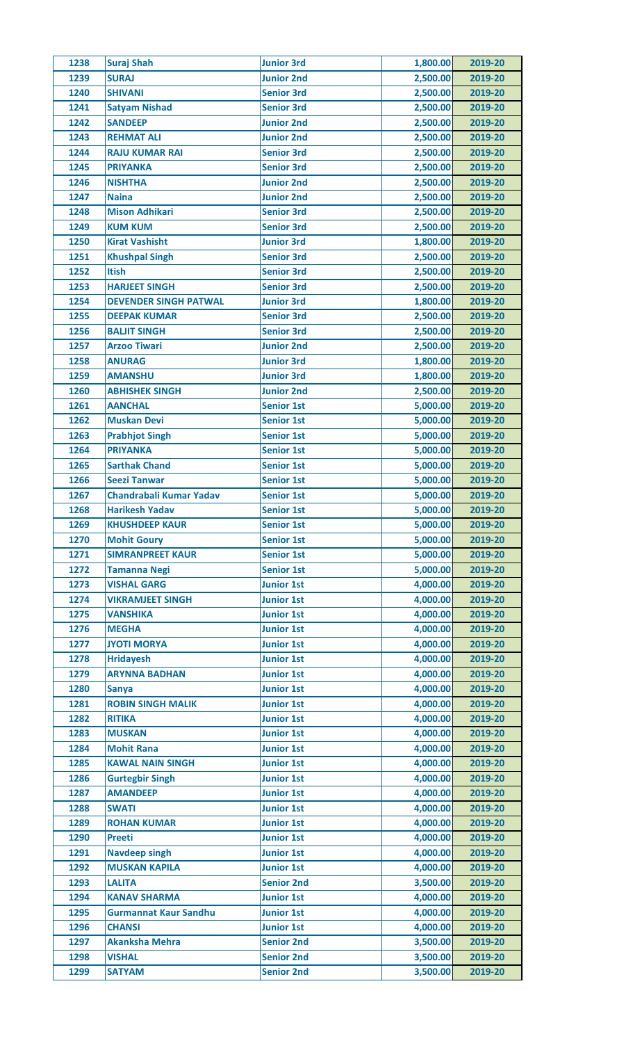| 1238 | <b>Suraj Shah</b>            | <b>Junior 3rd</b> | 1,800.00 | 2019-20 |
|------|------------------------------|-------------------|----------|---------|
| 1239 | <b>SURAJ</b>                 | <b>Junior 2nd</b> | 2,500.00 | 2019-20 |
| 1240 | <b>SHIVANI</b>               | <b>Senior 3rd</b> | 2,500.00 | 2019-20 |
| 1241 | <b>Satyam Nishad</b>         | <b>Senior 3rd</b> | 2,500.00 | 2019-20 |
| 1242 | <b>SANDEEP</b>               | <b>Junior 2nd</b> | 2,500.00 | 2019-20 |
| 1243 | <b>REHMAT ALI</b>            | <b>Junior 2nd</b> | 2,500.00 | 2019-20 |
| 1244 | <b>RAJU KUMAR RAI</b>        | <b>Senior 3rd</b> | 2,500.00 | 2019-20 |
| 1245 | <b>PRIYANKA</b>              | <b>Senior 3rd</b> | 2,500.00 | 2019-20 |
|      |                              |                   |          | 2019-20 |
| 1246 | <b>NISHTHA</b>               | <b>Junior 2nd</b> | 2,500.00 |         |
| 1247 | <b>Naina</b>                 | <b>Junior 2nd</b> | 2,500.00 | 2019-20 |
| 1248 | <b>Mison Adhikari</b>        | <b>Senior 3rd</b> | 2,500.00 | 2019-20 |
| 1249 | <b>KUM KUM</b>               | <b>Senior 3rd</b> | 2,500.00 | 2019-20 |
| 1250 | <b>Kirat Vashisht</b>        | <b>Junior 3rd</b> | 1,800.00 | 2019-20 |
| 1251 | <b>Khushpal Singh</b>        | <b>Senior 3rd</b> | 2,500.00 | 2019-20 |
| 1252 | <b>Itish</b>                 | <b>Senior 3rd</b> | 2,500.00 | 2019-20 |
| 1253 | <b>HARJEET SINGH</b>         | <b>Senior 3rd</b> | 2,500.00 | 2019-20 |
| 1254 | <b>DEVENDER SINGH PATWAL</b> | <b>Junior 3rd</b> | 1,800.00 | 2019-20 |
| 1255 | <b>DEEPAK KUMAR</b>          | <b>Senior 3rd</b> | 2,500.00 | 2019-20 |
| 1256 | <b>BALJIT SINGH</b>          | <b>Senior 3rd</b> | 2,500.00 | 2019-20 |
| 1257 | <b>Arzoo Tiwari</b>          | <b>Junior 2nd</b> | 2,500.00 | 2019-20 |
| 1258 | <b>ANURAG</b>                | <b>Junior 3rd</b> | 1,800.00 | 2019-20 |
| 1259 | <b>AMANSHU</b>               | <b>Junior 3rd</b> | 1,800.00 | 2019-20 |
| 1260 | <b>ABHISHEK SINGH</b>        | <b>Junior 2nd</b> | 2,500.00 | 2019-20 |
| 1261 | <b>AANCHAL</b>               | <b>Senior 1st</b> | 5,000.00 | 2019-20 |
| 1262 | <b>Muskan Devi</b>           | <b>Senior 1st</b> | 5,000.00 | 2019-20 |
|      |                              |                   |          |         |
| 1263 | <b>Prabhjot Singh</b>        | <b>Senior 1st</b> | 5,000.00 | 2019-20 |
| 1264 | <b>PRIYANKA</b>              | <b>Senior 1st</b> | 5,000.00 | 2019-20 |
| 1265 | <b>Sarthak Chand</b>         | <b>Senior 1st</b> | 5,000.00 | 2019-20 |
| 1266 | <b>Seezi Tanwar</b>          | <b>Senior 1st</b> | 5,000.00 | 2019-20 |
| 1267 | Chandrabali Kumar Yadav      | <b>Senior 1st</b> | 5,000.00 | 2019-20 |
| 1268 | <b>Harikesh Yadav</b>        | <b>Senior 1st</b> | 5,000.00 | 2019-20 |
| 1269 | <b>KHUSHDEEP KAUR</b>        | <b>Senior 1st</b> | 5,000.00 | 2019-20 |
| 1270 | <b>Mohit Goury</b>           | <b>Senior 1st</b> | 5,000.00 | 2019-20 |
| 1271 | <b>SIMRANPREET KAUR</b>      | <b>Senior 1st</b> | 5,000.00 | 2019-20 |
| 1272 | <b>Tamanna Negi</b>          | <b>Senior 1st</b> | 5,000.00 | 2019-20 |
| 1273 | <b>VISHAL GARG</b>           | <b>Junior 1st</b> | 4,000.00 | 2019-20 |
| 1274 | <b>VIKRAMJEET SINGH</b>      | <b>Junior 1st</b> | 4,000.00 | 2019-20 |
| 1275 | <b>VANSHIKA</b>              | <b>Junior 1st</b> | 4,000.00 | 2019-20 |
| 1276 | <b>MEGHA</b>                 | <b>Junior 1st</b> | 4,000.00 | 2019-20 |
| 1277 | <b>JYOTI MORYA</b>           | <b>Junior 1st</b> | 4,000.00 | 2019-20 |
| 1278 | <b>Hridayesh</b>             | <b>Junior 1st</b> | 4,000.00 | 2019-20 |
|      | <b>ARYNNA BADHAN</b>         |                   | 4,000.00 |         |
| 1279 |                              | <b>Junior 1st</b> |          | 2019-20 |
| 1280 | <b>Sanya</b>                 | <b>Junior 1st</b> | 4,000.00 | 2019-20 |
| 1281 | <b>ROBIN SINGH MALIK</b>     | <b>Junior 1st</b> | 4,000.00 | 2019-20 |
| 1282 | <b>RITIKA</b>                | <b>Junior 1st</b> | 4,000.00 | 2019-20 |
| 1283 | <b>MUSKAN</b>                | <b>Junior 1st</b> | 4,000.00 | 2019-20 |
| 1284 | <b>Mohit Rana</b>            | <b>Junior 1st</b> | 4,000.00 | 2019-20 |
| 1285 | <b>KAWAL NAIN SINGH</b>      | <b>Junior 1st</b> | 4,000.00 | 2019-20 |
| 1286 | <b>Gurtegbir Singh</b>       | <b>Junior 1st</b> | 4,000.00 | 2019-20 |
| 1287 | <b>AMANDEEP</b>              | <b>Junior 1st</b> | 4,000.00 | 2019-20 |
| 1288 | <b>SWATI</b>                 | <b>Junior 1st</b> | 4,000.00 | 2019-20 |
| 1289 | <b>ROHAN KUMAR</b>           | <b>Junior 1st</b> | 4,000.00 | 2019-20 |
| 1290 | <b>Preeti</b>                | <b>Junior 1st</b> | 4,000.00 | 2019-20 |
| 1291 | <b>Navdeep singh</b>         | <b>Junior 1st</b> | 4,000.00 | 2019-20 |
| 1292 | <b>MUSKAN KAPILA</b>         | <b>Junior 1st</b> | 4,000.00 | 2019-20 |
| 1293 | <b>LALITA</b>                | <b>Senior 2nd</b> | 3,500.00 | 2019-20 |
| 1294 | <b>KANAV SHARMA</b>          | <b>Junior 1st</b> | 4,000.00 | 2019-20 |
| 1295 | <b>Gurmannat Kaur Sandhu</b> | <b>Junior 1st</b> | 4,000.00 | 2019-20 |
|      |                              |                   |          |         |
| 1296 | <b>CHANSI</b>                | <b>Junior 1st</b> | 4,000.00 | 2019-20 |
| 1297 | <b>Akanksha Mehra</b>        | <b>Senior 2nd</b> | 3,500.00 | 2019-20 |
| 1298 | <b>VISHAL</b>                | <b>Senior 2nd</b> | 3,500.00 | 2019-20 |
| 1299 | <b>SATYAM</b>                | <b>Senior 2nd</b> | 3,500.00 | 2019-20 |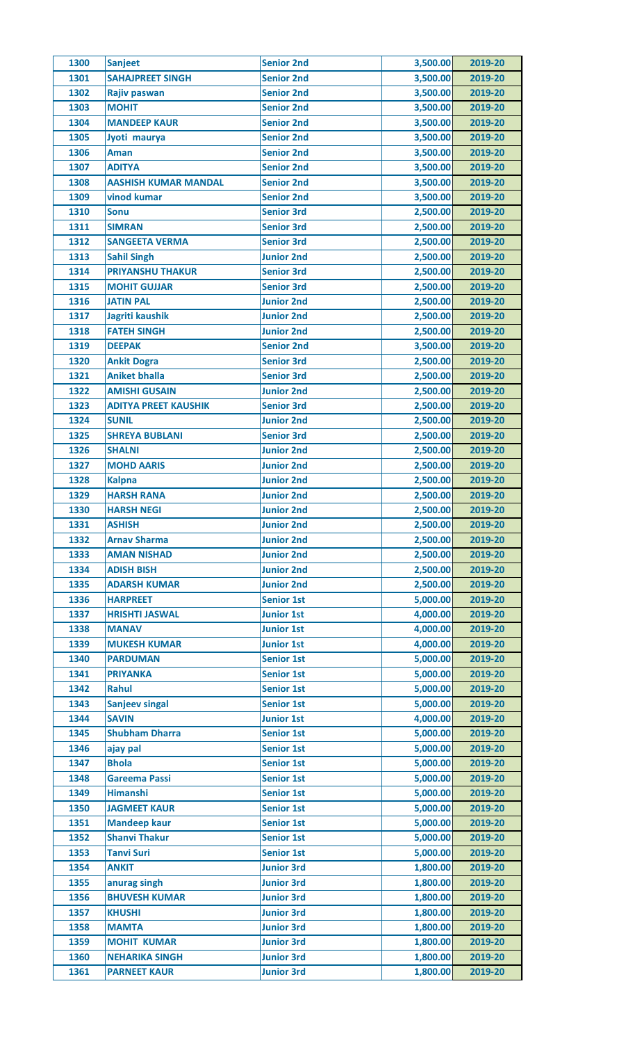| 1300 | Sanjeet                     | <b>Senior 2nd</b>                      | 3,500.00 | 2019-20 |
|------|-----------------------------|----------------------------------------|----------|---------|
| 1301 | <b>SAHAJPREET SINGH</b>     | <b>Senior 2nd</b>                      | 3,500.00 | 2019-20 |
| 1302 | Rajiv paswan                | <b>Senior 2nd</b>                      | 3,500.00 | 2019-20 |
| 1303 | <b>MOHIT</b>                | <b>Senior 2nd</b>                      | 3,500.00 | 2019-20 |
| 1304 | <b>MANDEEP KAUR</b>         | <b>Senior 2nd</b>                      | 3,500.00 | 2019-20 |
| 1305 | Jyoti maurya                | <b>Senior 2nd</b>                      | 3,500.00 | 2019-20 |
| 1306 | Aman                        | <b>Senior 2nd</b>                      | 3,500.00 | 2019-20 |
| 1307 | <b>ADITYA</b>               | <b>Senior 2nd</b>                      | 3,500.00 | 2019-20 |
| 1308 | <b>AASHISH KUMAR MANDAL</b> | <b>Senior 2nd</b>                      | 3,500.00 | 2019-20 |
| 1309 | vinod kumar                 | <b>Senior 2nd</b>                      | 3,500.00 | 2019-20 |
| 1310 | <b>Sonu</b>                 | <b>Senior 3rd</b>                      | 2,500.00 | 2019-20 |
| 1311 | <b>SIMRAN</b>               | <b>Senior 3rd</b>                      | 2,500.00 | 2019-20 |
| 1312 | <b>SANGEETA VERMA</b>       | <b>Senior 3rd</b>                      | 2,500.00 | 2019-20 |
| 1313 | <b>Sahil Singh</b>          | <b>Junior 2nd</b>                      | 2,500.00 | 2019-20 |
| 1314 | <b>PRIYANSHU THAKUR</b>     | <b>Senior 3rd</b>                      | 2,500.00 | 2019-20 |
| 1315 | <b>MOHIT GUJJAR</b>         | <b>Senior 3rd</b>                      | 2,500.00 | 2019-20 |
| 1316 | <b>JATIN PAL</b>            | <b>Junior 2nd</b>                      | 2,500.00 | 2019-20 |
| 1317 | Jagriti kaushik             | <b>Junior 2nd</b>                      | 2,500.00 | 2019-20 |
| 1318 | <b>FATEH SINGH</b>          | <b>Junior 2nd</b>                      | 2,500.00 | 2019-20 |
| 1319 | <b>DEEPAK</b>               | <b>Senior 2nd</b>                      | 3,500.00 | 2019-20 |
| 1320 | <b>Ankit Dogra</b>          | <b>Senior 3rd</b>                      | 2,500.00 | 2019-20 |
| 1321 | <b>Aniket bhalla</b>        | <b>Senior 3rd</b>                      | 2,500.00 | 2019-20 |
| 1322 | <b>AMISHI GUSAIN</b>        | <b>Junior 2nd</b>                      | 2,500.00 | 2019-20 |
| 1323 |                             |                                        |          |         |
|      | <b>ADITYA PREET KAUSHIK</b> | <b>Senior 3rd</b>                      | 2,500.00 | 2019-20 |
| 1324 | <b>SUNIL</b>                | <b>Junior 2nd</b>                      | 2,500.00 | 2019-20 |
| 1325 | <b>SHREYA BUBLANI</b>       | <b>Senior 3rd</b>                      | 2,500.00 | 2019-20 |
| 1326 | <b>SHALNI</b>               | <b>Junior 2nd</b>                      | 2,500.00 | 2019-20 |
| 1327 | <b>MOHD AARIS</b>           | <b>Junior 2nd</b>                      | 2,500.00 | 2019-20 |
| 1328 | <b>Kalpna</b>               | <b>Junior 2nd</b>                      | 2,500.00 | 2019-20 |
| 1329 | <b>HARSH RANA</b>           | <b>Junior 2nd</b>                      | 2,500.00 | 2019-20 |
| 1330 | <b>HARSH NEGI</b>           | <b>Junior 2nd</b>                      | 2,500.00 | 2019-20 |
| 1331 | <b>ASHISH</b>               | <b>Junior 2nd</b>                      | 2,500.00 | 2019-20 |
| 1332 | <b>Arnav Sharma</b>         | <b>Junior 2nd</b>                      | 2,500.00 | 2019-20 |
| 1333 | <b>AMAN NISHAD</b>          | <b>Junior 2nd</b>                      | 2,500.00 | 2019-20 |
| 1334 | <b>ADISH BISH</b>           | <b>Junior 2nd</b>                      | 2,500.00 | 2019-20 |
| 1335 | <b>ADARSH KUMAR</b>         | <b>Junior 2nd</b>                      | 2,500.00 | 2019-20 |
| 1336 | <b>HARPREET</b>             | <b>Senior 1st</b>                      | 5,000.00 | 2019-20 |
| 1337 | <b>HRISHTI JASWAL</b>       | <b>Junior 1st</b>                      | 4,000.00 | 2019-20 |
| 1338 | <b>MANAV</b>                | <b>Junior 1st</b>                      | 4,000.00 | 2019-20 |
| 1339 | <b>MUKESH KUMAR</b>         | <b>Junior 1st</b>                      | 4,000.00 | 2019-20 |
| 1340 | <b>PARDUMAN</b>             | <b>Senior 1st</b>                      | 5,000.00 | 2019-20 |
| 1341 | <b>PRIYANKA</b>             | <b>Senior 1st</b>                      | 5,000.00 | 2019-20 |
| 1342 | Rahul                       | <b>Senior 1st</b>                      | 5,000.00 | 2019-20 |
| 1343 | <b>Sanjeev singal</b>       | <b>Senior 1st</b>                      | 5,000.00 | 2019-20 |
| 1344 | <b>SAVIN</b>                | <b>Junior 1st</b>                      | 4,000.00 | 2019-20 |
| 1345 | <b>Shubham Dharra</b>       | <b>Senior 1st</b>                      | 5,000.00 | 2019-20 |
| 1346 | ajay pal                    | <b>Senior 1st</b>                      | 5,000.00 | 2019-20 |
| 1347 | <b>Bhola</b>                | <b>Senior 1st</b>                      | 5,000.00 | 2019-20 |
| 1348 | <b>Gareema Passi</b>        | <b>Senior 1st</b>                      | 5,000.00 | 2019-20 |
| 1349 | <b>Himanshi</b>             | <b>Senior 1st</b>                      | 5,000.00 | 2019-20 |
| 1350 | <b>JAGMEET KAUR</b>         | <b>Senior 1st</b>                      | 5,000.00 | 2019-20 |
| 1351 | <b>Mandeep kaur</b>         | <b>Senior 1st</b>                      | 5,000.00 | 2019-20 |
| 1352 | <b>Shanvi Thakur</b>        | <b>Senior 1st</b>                      | 5,000.00 | 2019-20 |
| 1353 | <b>Tanvi Suri</b>           | <b>Senior 1st</b>                      | 5,000.00 | 2019-20 |
| 1354 | <b>ANKIT</b>                | <b>Junior 3rd</b>                      | 1,800.00 | 2019-20 |
| 1355 | anurag singh                | <b>Junior 3rd</b>                      | 1,800.00 | 2019-20 |
| 1356 | <b>BHUVESH KUMAR</b>        | <b>Junior 3rd</b>                      | 1,800.00 | 2019-20 |
| 1357 | <b>KHUSHI</b>               | <b>Junior 3rd</b>                      | 1,800.00 | 2019-20 |
|      |                             |                                        |          | 2019-20 |
| 1358 | <b>MAMTA</b>                | <b>Junior 3rd</b><br><b>Junior 3rd</b> | 1,800.00 |         |
| 1359 | <b>MOHIT KUMAR</b>          |                                        | 1,800.00 | 2019-20 |
| 1360 | <b>NEHARIKA SINGH</b>       | <b>Junior 3rd</b>                      | 1,800.00 | 2019-20 |
| 1361 | <b>PARNEET KAUR</b>         | <b>Junior 3rd</b>                      | 1,800.00 | 2019-20 |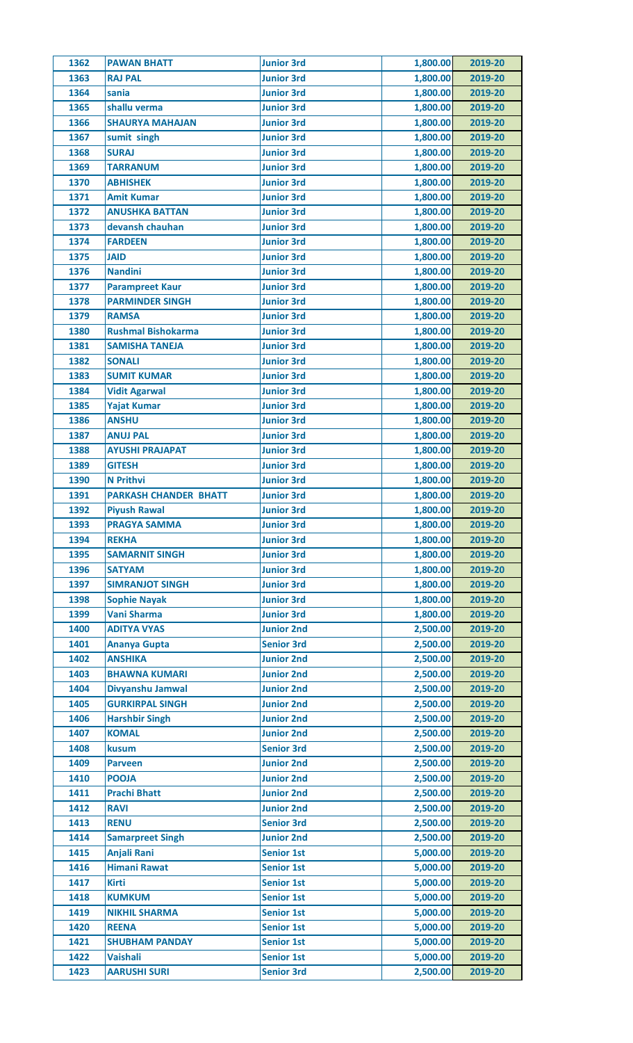| 1362 | <b>PAWAN BHATT</b>           | <b>Junior 3rd</b> | 1,800.00             | 2019-20 |
|------|------------------------------|-------------------|----------------------|---------|
| 1363 | <b>RAJ PAL</b>               | <b>Junior 3rd</b> | 1,800.00             | 2019-20 |
| 1364 | sania                        | <b>Junior 3rd</b> | 1,800.00             | 2019-20 |
| 1365 | shallu verma                 | <b>Junior 3rd</b> | 1,800.00             | 2019-20 |
| 1366 | <b>SHAURYA MAHAJAN</b>       | <b>Junior 3rd</b> | 1,800.00             | 2019-20 |
| 1367 | sumit singh                  | <b>Junior 3rd</b> | 1,800.00             | 2019-20 |
| 1368 | <b>SURAJ</b>                 | <b>Junior 3rd</b> | 1,800.00             | 2019-20 |
| 1369 | <b>TARRANUM</b>              | <b>Junior 3rd</b> | 1,800.00             | 2019-20 |
| 1370 | <b>ABHISHEK</b>              | <b>Junior 3rd</b> | 1,800.00             | 2019-20 |
| 1371 | <b>Amit Kumar</b>            | <b>Junior 3rd</b> | 1,800.00             | 2019-20 |
| 1372 | <b>ANUSHKA BATTAN</b>        | <b>Junior 3rd</b> | 1,800.00             | 2019-20 |
| 1373 | devansh chauhan              | <b>Junior 3rd</b> | 1,800.00             | 2019-20 |
| 1374 | <b>FARDEEN</b>               | <b>Junior 3rd</b> | 1,800.00             | 2019-20 |
|      | <b>JAID</b>                  |                   |                      |         |
| 1375 |                              | <b>Junior 3rd</b> | 1,800.00<br>1,800.00 | 2019-20 |
| 1376 | <b>Nandini</b>               | <b>Junior 3rd</b> |                      | 2019-20 |
| 1377 | <b>Parampreet Kaur</b>       | <b>Junior 3rd</b> | 1,800.00             | 2019-20 |
| 1378 | <b>PARMINDER SINGH</b>       | <b>Junior 3rd</b> | 1,800.00             | 2019-20 |
| 1379 | <b>RAMSA</b>                 | <b>Junior 3rd</b> | 1,800.00             | 2019-20 |
| 1380 | <b>Rushmal Bishokarma</b>    | <b>Junior 3rd</b> | 1,800.00             | 2019-20 |
| 1381 | <b>SAMISHA TANEJA</b>        | <b>Junior 3rd</b> | 1,800.00             | 2019-20 |
| 1382 | <b>SONALI</b>                | <b>Junior 3rd</b> | 1,800.00             | 2019-20 |
| 1383 | <b>SUMIT KUMAR</b>           | <b>Junior 3rd</b> | 1,800.00             | 2019-20 |
| 1384 | <b>Vidit Agarwal</b>         | <b>Junior 3rd</b> | 1,800.00             | 2019-20 |
| 1385 | <b>Yajat Kumar</b>           | <b>Junior 3rd</b> | 1,800.00             | 2019-20 |
| 1386 | <b>ANSHU</b>                 | <b>Junior 3rd</b> | 1,800.00             | 2019-20 |
| 1387 | <b>ANUJ PAL</b>              | <b>Junior 3rd</b> | 1,800.00             | 2019-20 |
| 1388 | <b>AYUSHI PRAJAPAT</b>       | <b>Junior 3rd</b> | 1,800.00             | 2019-20 |
| 1389 | <b>GITESH</b>                | <b>Junior 3rd</b> | 1,800.00             | 2019-20 |
| 1390 | <b>N</b> Prithvi             | <b>Junior 3rd</b> | 1,800.00             | 2019-20 |
| 1391 | <b>PARKASH CHANDER BHATT</b> | <b>Junior 3rd</b> | 1,800.00             | 2019-20 |
| 1392 | <b>Piyush Rawal</b>          | <b>Junior 3rd</b> | 1,800.00             | 2019-20 |
| 1393 | <b>PRAGYA SAMMA</b>          | <b>Junior 3rd</b> | 1,800.00             | 2019-20 |
| 1394 | <b>REKHA</b>                 | <b>Junior 3rd</b> | 1,800.00             | 2019-20 |
| 1395 | <b>SAMARNIT SINGH</b>        | <b>Junior 3rd</b> | 1,800.00             | 2019-20 |
| 1396 | <b>SATYAM</b>                | <b>Junior 3rd</b> | 1,800.00             | 2019-20 |
| 1397 | <b>SIMRANJOT SINGH</b>       | <b>Junior 3rd</b> | 1,800.00             | 2019-20 |
| 1398 | <b>Sophie Nayak</b>          | <b>Junior 3rd</b> | 1,800.00             | 2019-20 |
| 1399 | <b>Vani Sharma</b>           | <b>Junior 3rd</b> | 1,800.00             | 2019-20 |
| 1400 | <b>ADITYA VYAS</b>           | <b>Junior 2nd</b> | 2,500.00             | 2019-20 |
| 1401 | <b>Ananya Gupta</b>          | <b>Senior 3rd</b> | 2,500.00             | 2019-20 |
| 1402 | <b>ANSHIKA</b>               | <b>Junior 2nd</b> | 2,500.00             | 2019-20 |
| 1403 | <b>BHAWNA KUMARI</b>         | <b>Junior 2nd</b> | 2,500.00             | 2019-20 |
| 1404 | Divyanshu Jamwal             | <b>Junior 2nd</b> | 2,500.00             | 2019-20 |
| 1405 | <b>GURKIRPAL SINGH</b>       | <b>Junior 2nd</b> | 2,500.00             | 2019-20 |
| 1406 | <b>Harshbir Singh</b>        | <b>Junior 2nd</b> | 2,500.00             | 2019-20 |
| 1407 | <b>KOMAL</b>                 | <b>Junior 2nd</b> | 2,500.00             | 2019-20 |
| 1408 | kusum                        | <b>Senior 3rd</b> | 2,500.00             | 2019-20 |
| 1409 | <b>Parveen</b>               | <b>Junior 2nd</b> | 2,500.00             | 2019-20 |
| 1410 | <b>POOJA</b>                 | <b>Junior 2nd</b> | 2,500.00             | 2019-20 |
| 1411 | <b>Prachi Bhatt</b>          | <b>Junior 2nd</b> | 2,500.00             | 2019-20 |
|      |                              |                   |                      |         |
| 1412 | <b>RAVI</b>                  | <b>Junior 2nd</b> | 2,500.00             | 2019-20 |
| 1413 | <b>RENU</b>                  | <b>Senior 3rd</b> | 2,500.00             | 2019-20 |
| 1414 | <b>Samarpreet Singh</b>      | <b>Junior 2nd</b> | 2,500.00             | 2019-20 |
| 1415 | <b>Anjali Rani</b>           | <b>Senior 1st</b> | 5,000.00             | 2019-20 |
| 1416 | <b>Himani Rawat</b>          | <b>Senior 1st</b> | 5,000.00             | 2019-20 |
| 1417 | <b>Kirti</b>                 | <b>Senior 1st</b> | 5,000.00             | 2019-20 |
| 1418 | <b>KUMKUM</b>                | <b>Senior 1st</b> | 5,000.00             | 2019-20 |
| 1419 | <b>NIKHIL SHARMA</b>         | <b>Senior 1st</b> | 5,000.00             | 2019-20 |
| 1420 | <b>REENA</b>                 | <b>Senior 1st</b> | 5,000.00             | 2019-20 |
| 1421 | <b>SHUBHAM PANDAY</b>        | <b>Senior 1st</b> | 5,000.00             | 2019-20 |
| 1422 | <b>Vaishali</b>              | <b>Senior 1st</b> | 5,000.00             | 2019-20 |
| 1423 | <b>AARUSHI SURI</b>          | <b>Senior 3rd</b> | 2,500.00             | 2019-20 |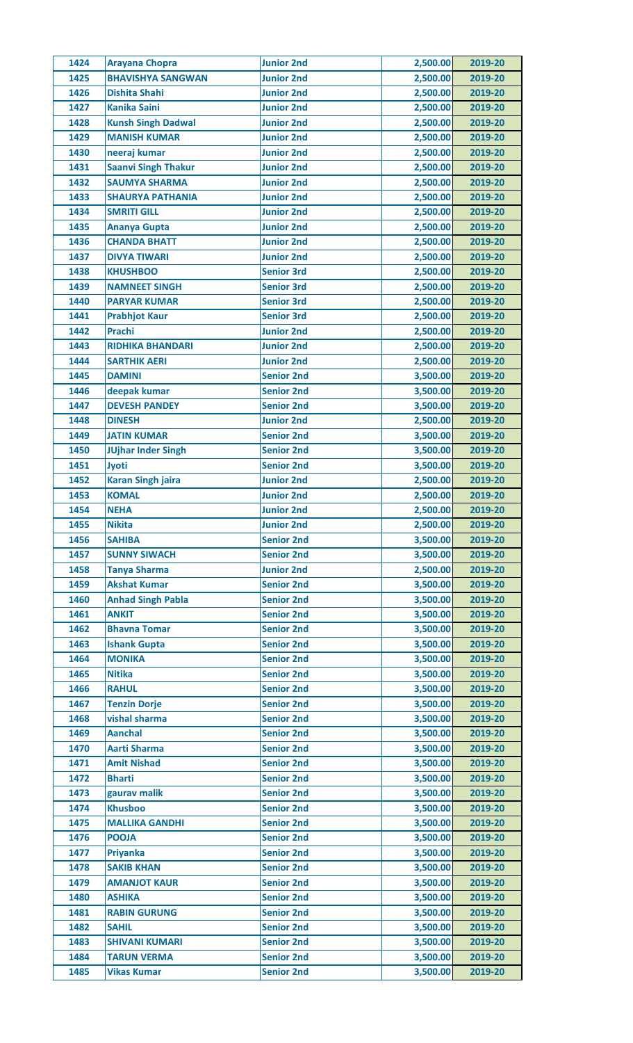| 1424 | <b>Arayana Chopra</b>      | <b>Junior 2nd</b> | 2,500.00 | 2019-20 |
|------|----------------------------|-------------------|----------|---------|
| 1425 | <b>BHAVISHYA SANGWAN</b>   | <b>Junior 2nd</b> | 2,500.00 | 2019-20 |
| 1426 | <b>Dishita Shahi</b>       | <b>Junior 2nd</b> | 2,500.00 | 2019-20 |
| 1427 | <b>Kanika Saini</b>        | <b>Junior 2nd</b> | 2,500.00 | 2019-20 |
| 1428 | <b>Kunsh Singh Dadwal</b>  | <b>Junior 2nd</b> | 2,500.00 | 2019-20 |
| 1429 | <b>MANISH KUMAR</b>        | <b>Junior 2nd</b> | 2,500.00 | 2019-20 |
| 1430 | neeraj kumar               | <b>Junior 2nd</b> | 2,500.00 | 2019-20 |
| 1431 | <b>Saanvi Singh Thakur</b> | <b>Junior 2nd</b> | 2,500.00 | 2019-20 |
| 1432 | <b>SAUMYA SHARMA</b>       | <b>Junior 2nd</b> | 2,500.00 | 2019-20 |
| 1433 | <b>SHAURYA PATHANIA</b>    | <b>Junior 2nd</b> | 2,500.00 | 2019-20 |
| 1434 | <b>SMRITI GILL</b>         | <b>Junior 2nd</b> | 2,500.00 | 2019-20 |
| 1435 | <b>Ananya Gupta</b>        | <b>Junior 2nd</b> | 2,500.00 | 2019-20 |
| 1436 | <b>CHANDA BHATT</b>        | <b>Junior 2nd</b> | 2,500.00 | 2019-20 |
| 1437 | <b>DIVYA TIWARI</b>        | <b>Junior 2nd</b> | 2,500.00 | 2019-20 |
| 1438 | <b>KHUSHBOO</b>            | <b>Senior 3rd</b> | 2,500.00 | 2019-20 |
| 1439 | <b>NAMNEET SINGH</b>       | <b>Senior 3rd</b> | 2,500.00 | 2019-20 |
| 1440 | <b>PARYAR KUMAR</b>        | <b>Senior 3rd</b> | 2,500.00 | 2019-20 |
| 1441 | <b>Prabhjot Kaur</b>       | <b>Senior 3rd</b> | 2,500.00 | 2019-20 |
| 1442 | <b>Prachi</b>              | <b>Junior 2nd</b> | 2,500.00 | 2019-20 |
| 1443 | <b>RIDHIKA BHANDARI</b>    | <b>Junior 2nd</b> | 2,500.00 | 2019-20 |
| 1444 | <b>SARTHIK AERI</b>        | <b>Junior 2nd</b> | 2,500.00 | 2019-20 |
| 1445 | <b>DAMINI</b>              | <b>Senior 2nd</b> | 3,500.00 | 2019-20 |
| 1446 |                            |                   |          | 2019-20 |
|      | deepak kumar               | <b>Senior 2nd</b> | 3,500.00 |         |
| 1447 | <b>DEVESH PANDEY</b>       | <b>Senior 2nd</b> | 3,500.00 | 2019-20 |
| 1448 | <b>DINESH</b>              | <b>Junior 2nd</b> | 2,500.00 | 2019-20 |
| 1449 | <b>JATIN KUMAR</b>         | <b>Senior 2nd</b> | 3,500.00 | 2019-20 |
| 1450 | <b>JUjhar Inder Singh</b>  | <b>Senior 2nd</b> | 3,500.00 | 2019-20 |
| 1451 | Jyoti                      | <b>Senior 2nd</b> | 3,500.00 | 2019-20 |
| 1452 | <b>Karan Singh jaira</b>   | <b>Junior 2nd</b> | 2,500.00 | 2019-20 |
| 1453 | <b>KOMAL</b>               | <b>Junior 2nd</b> | 2,500.00 | 2019-20 |
| 1454 | <b>NEHA</b>                | <b>Junior 2nd</b> | 2,500.00 | 2019-20 |
| 1455 | <b>Nikita</b>              | <b>Junior 2nd</b> | 2,500.00 | 2019-20 |
| 1456 | <b>SAHIBA</b>              | <b>Senior 2nd</b> | 3,500.00 | 2019-20 |
| 1457 | <b>SUNNY SIWACH</b>        | <b>Senior 2nd</b> | 3,500.00 | 2019-20 |
| 1458 | <b>Tanya Sharma</b>        | <b>Junior 2nd</b> | 2,500.00 | 2019-20 |
| 1459 | <b>Akshat Kumar</b>        | <b>Senior 2nd</b> | 3,500.00 | 2019-20 |
| 1460 | <b>Anhad Singh Pabla</b>   | <b>Senior 2nd</b> | 3,500.00 | 2019-20 |
| 1461 | <b>ANKIT</b>               | <b>Senior 2nd</b> | 3,500.00 | 2019-20 |
| 1462 | <b>Bhavna Tomar</b>        | <b>Senior 2nd</b> | 3,500.00 | 2019-20 |
| 1463 | <b>Ishank Gupta</b>        | <b>Senior 2nd</b> | 3,500.00 | 2019-20 |
| 1464 | <b>MONIKA</b>              | <b>Senior 2nd</b> | 3,500.00 | 2019-20 |
| 1465 | <b>Nitika</b>              | <b>Senior 2nd</b> | 3,500.00 | 2019-20 |
| 1466 | <b>RAHUL</b>               | <b>Senior 2nd</b> | 3,500.00 | 2019-20 |
| 1467 | <b>Tenzin Dorje</b>        | <b>Senior 2nd</b> | 3,500.00 | 2019-20 |
| 1468 | vishal sharma              | <b>Senior 2nd</b> | 3,500.00 | 2019-20 |
| 1469 | <b>Aanchal</b>             | <b>Senior 2nd</b> | 3,500.00 | 2019-20 |
| 1470 | <b>Aarti Sharma</b>        | <b>Senior 2nd</b> | 3,500.00 | 2019-20 |
| 1471 | <b>Amit Nishad</b>         | <b>Senior 2nd</b> | 3,500.00 | 2019-20 |
| 1472 | <b>Bharti</b>              | <b>Senior 2nd</b> | 3,500.00 | 2019-20 |
| 1473 | gaurav malik               | <b>Senior 2nd</b> | 3,500.00 | 2019-20 |
| 1474 | <b>Khusboo</b>             | <b>Senior 2nd</b> | 3,500.00 | 2019-20 |
| 1475 | <b>MALLIKA GANDHI</b>      | <b>Senior 2nd</b> | 3,500.00 | 2019-20 |
| 1476 | <b>POOJA</b>               | <b>Senior 2nd</b> | 3,500.00 | 2019-20 |
| 1477 | <b>Priyanka</b>            | <b>Senior 2nd</b> | 3,500.00 | 2019-20 |
| 1478 | <b>SAKIB KHAN</b>          | <b>Senior 2nd</b> | 3,500.00 | 2019-20 |
| 1479 | <b>AMANJOT KAUR</b>        | <b>Senior 2nd</b> | 3,500.00 | 2019-20 |
| 1480 | <b>ASHIKA</b>              | <b>Senior 2nd</b> | 3,500.00 | 2019-20 |
| 1481 | <b>RABIN GURUNG</b>        | <b>Senior 2nd</b> | 3,500.00 | 2019-20 |
| 1482 | <b>SAHIL</b>               | <b>Senior 2nd</b> | 3,500.00 | 2019-20 |
| 1483 | <b>SHIVANI KUMARI</b>      | <b>Senior 2nd</b> | 3,500.00 | 2019-20 |
| 1484 | <b>TARUN VERMA</b>         | <b>Senior 2nd</b> |          |         |
|      |                            |                   | 3,500.00 | 2019-20 |
| 1485 | <b>Vikas Kumar</b>         | <b>Senior 2nd</b> | 3,500.00 | 2019-20 |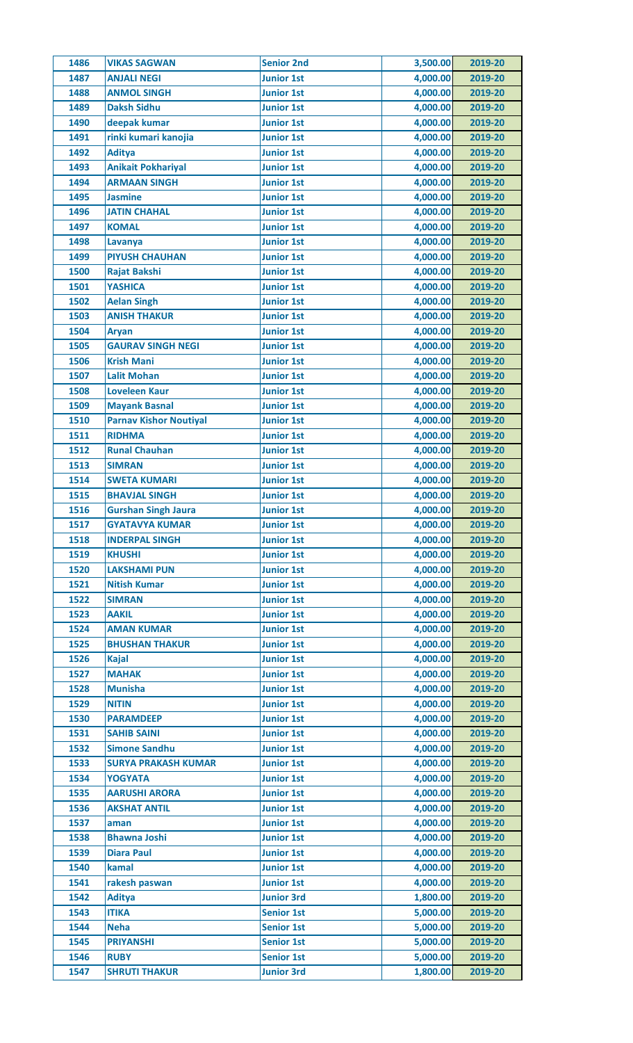| 1486 | <b>VIKAS SAGWAN</b>           | <b>Senior 2nd</b> | 3,500.00 | 2019-20 |
|------|-------------------------------|-------------------|----------|---------|
| 1487 | <b>ANJALI NEGI</b>            | <b>Junior 1st</b> | 4,000.00 | 2019-20 |
| 1488 | <b>ANMOL SINGH</b>            | <b>Junior 1st</b> | 4,000.00 | 2019-20 |
| 1489 | <b>Daksh Sidhu</b>            | <b>Junior 1st</b> | 4,000.00 | 2019-20 |
| 1490 | deepak kumar                  | <b>Junior 1st</b> | 4,000.00 | 2019-20 |
| 1491 | rinki kumari kanojia          | <b>Junior 1st</b> | 4,000.00 | 2019-20 |
| 1492 | <b>Aditya</b>                 | <b>Junior 1st</b> | 4,000.00 | 2019-20 |
| 1493 | <b>Anikait Pokhariyal</b>     | <b>Junior 1st</b> | 4,000.00 | 2019-20 |
| 1494 | <b>ARMAAN SINGH</b>           | <b>Junior 1st</b> | 4,000.00 | 2019-20 |
| 1495 | <b>Jasmine</b>                | <b>Junior 1st</b> | 4,000.00 | 2019-20 |
| 1496 | <b>JATIN CHAHAL</b>           | <b>Junior 1st</b> | 4,000.00 | 2019-20 |
| 1497 | <b>KOMAL</b>                  | <b>Junior 1st</b> | 4,000.00 | 2019-20 |
| 1498 | Lavanya                       | <b>Junior 1st</b> | 4,000.00 | 2019-20 |
| 1499 | <b>PIYUSH CHAUHAN</b>         | <b>Junior 1st</b> | 4,000.00 | 2019-20 |
| 1500 | <b>Rajat Bakshi</b>           | <b>Junior 1st</b> | 4,000.00 | 2019-20 |
| 1501 | <b>YASHICA</b>                | <b>Junior 1st</b> | 4,000.00 | 2019-20 |
| 1502 | <b>Aelan Singh</b>            | <b>Junior 1st</b> | 4,000.00 | 2019-20 |
| 1503 | <b>ANISH THAKUR</b>           | <b>Junior 1st</b> | 4,000.00 | 2019-20 |
| 1504 | <b>Aryan</b>                  | <b>Junior 1st</b> | 4,000.00 | 2019-20 |
| 1505 | <b>GAURAV SINGH NEGI</b>      | <b>Junior 1st</b> | 4,000.00 | 2019-20 |
| 1506 | <b>Krish Mani</b>             | <b>Junior 1st</b> | 4,000.00 | 2019-20 |
| 1507 | <b>Lalit Mohan</b>            | <b>Junior 1st</b> | 4,000.00 | 2019-20 |
|      |                               |                   |          |         |
| 1508 | <b>Loveleen Kaur</b>          | <b>Junior 1st</b> | 4,000.00 | 2019-20 |
| 1509 | <b>Mayank Basnal</b>          | <b>Junior 1st</b> | 4,000.00 | 2019-20 |
| 1510 | <b>Parnav Kishor Noutiyal</b> | <b>Junior 1st</b> | 4,000.00 | 2019-20 |
| 1511 | <b>RIDHMA</b>                 | <b>Junior 1st</b> | 4,000.00 | 2019-20 |
| 1512 | <b>Runal Chauhan</b>          | <b>Junior 1st</b> | 4,000.00 | 2019-20 |
| 1513 | <b>SIMRAN</b>                 | <b>Junior 1st</b> | 4,000.00 | 2019-20 |
| 1514 | <b>SWETA KUMARI</b>           | <b>Junior 1st</b> | 4,000.00 | 2019-20 |
| 1515 | <b>BHAVJAL SINGH</b>          | <b>Junior 1st</b> | 4,000.00 | 2019-20 |
| 1516 | <b>Gurshan Singh Jaura</b>    | <b>Junior 1st</b> | 4,000.00 | 2019-20 |
| 1517 | <b>GYATAVYA KUMAR</b>         | <b>Junior 1st</b> | 4,000.00 | 2019-20 |
| 1518 | <b>INDERPAL SINGH</b>         | <b>Junior 1st</b> | 4,000.00 | 2019-20 |
| 1519 | <b>KHUSHI</b>                 | <b>Junior 1st</b> | 4,000.00 | 2019-20 |
| 1520 | <b>LAKSHAMI PUN</b>           | <b>Junior 1st</b> | 4,000.00 | 2019-20 |
| 1521 | <b>Nitish Kumar</b>           | <b>Junior 1st</b> | 4,000.00 | 2019-20 |
| 1522 | <b>SIMRAN</b>                 | <b>Junior 1st</b> | 4,000.00 | 2019-20 |
| 1523 | <b>AAKIL</b>                  | <b>Junior 1st</b> | 4,000.00 | 2019-20 |
| 1524 | <b>AMAN KUMAR</b>             | <b>Junior 1st</b> | 4,000.00 | 2019-20 |
| 1525 | <b>BHUSHAN THAKUR</b>         | <b>Junior 1st</b> | 4,000.00 | 2019-20 |
| 1526 | <b>Kajal</b>                  | <b>Junior 1st</b> | 4,000.00 | 2019-20 |
| 1527 | <b>MAHAK</b>                  | <b>Junior 1st</b> | 4,000.00 | 2019-20 |
| 1528 | <b>Munisha</b>                | <b>Junior 1st</b> | 4,000.00 | 2019-20 |
| 1529 | <b>NITIN</b>                  | <b>Junior 1st</b> | 4,000.00 | 2019-20 |
| 1530 | <b>PARAMDEEP</b>              | <b>Junior 1st</b> | 4,000.00 | 2019-20 |
| 1531 | <b>SAHIB SAINI</b>            | <b>Junior 1st</b> | 4,000.00 | 2019-20 |
| 1532 | <b>Simone Sandhu</b>          | <b>Junior 1st</b> | 4,000.00 | 2019-20 |
| 1533 | <b>SURYA PRAKASH KUMAR</b>    | <b>Junior 1st</b> | 4,000.00 | 2019-20 |
| 1534 | <b>YOGYATA</b>                | <b>Junior 1st</b> | 4,000.00 | 2019-20 |
| 1535 | <b>AARUSHI ARORA</b>          | <b>Junior 1st</b> | 4,000.00 | 2019-20 |
| 1536 | <b>AKSHAT ANTIL</b>           | <b>Junior 1st</b> | 4,000.00 | 2019-20 |
| 1537 | aman                          | <b>Junior 1st</b> | 4,000.00 | 2019-20 |
| 1538 | <b>Bhawna Joshi</b>           | <b>Junior 1st</b> | 4,000.00 | 2019-20 |
| 1539 | <b>Diara Paul</b>             | <b>Junior 1st</b> | 4,000.00 | 2019-20 |
| 1540 | kamal                         | <b>Junior 1st</b> | 4,000.00 | 2019-20 |
| 1541 | rakesh paswan                 | <b>Junior 1st</b> | 4,000.00 | 2019-20 |
| 1542 | <b>Aditya</b>                 | <b>Junior 3rd</b> | 1,800.00 | 2019-20 |
| 1543 | <b>ITIKA</b>                  | <b>Senior 1st</b> | 5,000.00 | 2019-20 |
| 1544 | <b>Neha</b>                   | <b>Senior 1st</b> | 5,000.00 | 2019-20 |
| 1545 | <b>PRIYANSHI</b>              | <b>Senior 1st</b> | 5,000.00 | 2019-20 |
|      |                               |                   |          |         |
| 1546 | <b>RUBY</b>                   | <b>Senior 1st</b> | 5,000.00 | 2019-20 |
| 1547 | <b>SHRUTI THAKUR</b>          | <b>Junior 3rd</b> | 1,800.00 | 2019-20 |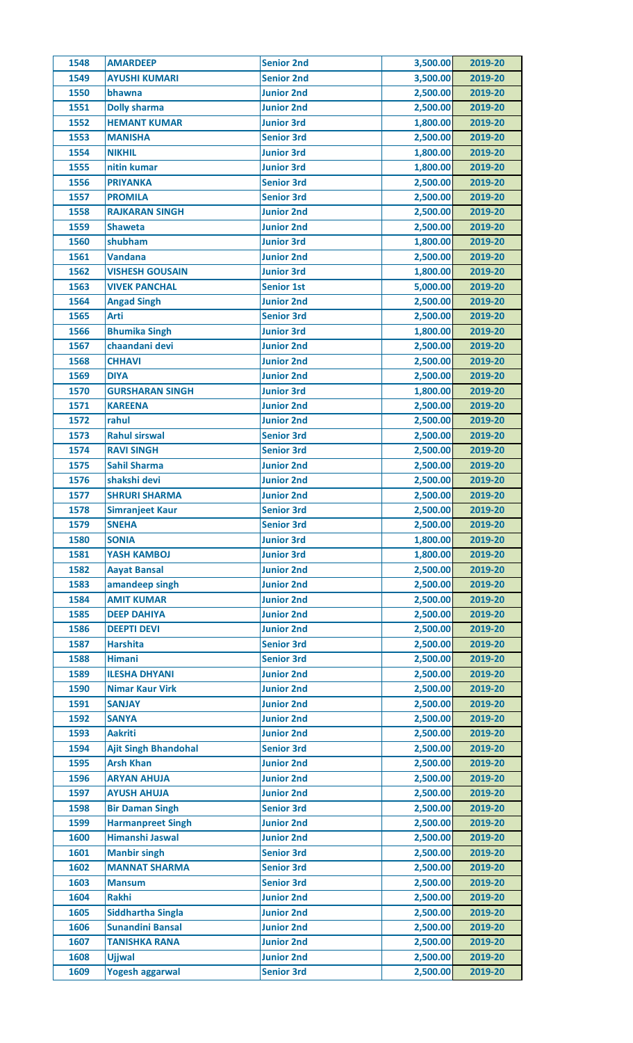| 1548         | <b>AMARDEEP</b>                         | <b>Senior 2nd</b>                      | 3,500.00             | 2019-20            |
|--------------|-----------------------------------------|----------------------------------------|----------------------|--------------------|
| 1549         | <b>AYUSHI KUMARI</b>                    | <b>Senior 2nd</b>                      | 3,500.00             | 2019-20            |
| 1550         | bhawna                                  | <b>Junior 2nd</b>                      | 2,500.00             | 2019-20            |
| 1551         | <b>Dolly sharma</b>                     | <b>Junior 2nd</b>                      | 2,500.00             | 2019-20            |
| 1552         | <b>HEMANT KUMAR</b>                     | <b>Junior 3rd</b>                      | 1,800.00             | 2019-20            |
| 1553         | <b>MANISHA</b>                          | <b>Senior 3rd</b>                      | 2,500.00             | 2019-20            |
| 1554         | <b>NIKHIL</b>                           | <b>Junior 3rd</b>                      | 1,800.00             | 2019-20            |
| 1555         | nitin kumar                             | <b>Junior 3rd</b>                      | 1,800.00             | 2019-20            |
| 1556         | <b>PRIYANKA</b>                         | <b>Senior 3rd</b>                      | 2,500.00             | 2019-20            |
| 1557         | <b>PROMILA</b>                          | <b>Senior 3rd</b>                      | 2,500.00             | 2019-20            |
| 1558         | <b>RAJKARAN SINGH</b>                   | <b>Junior 2nd</b>                      | 2,500.00             | 2019-20            |
| 1559         | <b>Shaweta</b>                          | <b>Junior 2nd</b>                      | 2,500.00             | 2019-20            |
| 1560         | shubham                                 | <b>Junior 3rd</b>                      | 1,800.00             | 2019-20            |
| 1561         | <b>Vandana</b>                          | <b>Junior 2nd</b>                      | 2,500.00             | 2019-20            |
| 1562         | <b>VISHESH GOUSAIN</b>                  | <b>Junior 3rd</b>                      | 1,800.00             | 2019-20            |
| 1563         | <b>VIVEK PANCHAL</b>                    | <b>Senior 1st</b>                      | 5,000.00             | 2019-20            |
| 1564         | <b>Angad Singh</b>                      | <b>Junior 2nd</b>                      | 2,500.00             | 2019-20            |
| 1565         | Arti                                    | <b>Senior 3rd</b>                      | 2,500.00             | 2019-20            |
| 1566         | <b>Bhumika Singh</b>                    | <b>Junior 3rd</b>                      | 1,800.00             | 2019-20            |
| 1567         | chaandani devi                          | <b>Junior 2nd</b>                      |                      | 2019-20            |
|              |                                         |                                        | 2,500.00             |                    |
| 1568         | <b>CHHAVI</b>                           | <b>Junior 2nd</b>                      | 2,500.00             | 2019-20            |
| 1569         | <b>DIYA</b>                             | <b>Junior 2nd</b>                      | 2,500.00             | 2019-20            |
| 1570         | <b>GURSHARAN SINGH</b>                  | <b>Junior 3rd</b>                      | 1,800.00             | 2019-20            |
| 1571         | <b>KAREENA</b>                          | <b>Junior 2nd</b>                      | 2,500.00             | 2019-20            |
| 1572         | rahul                                   | <b>Junior 2nd</b>                      | 2,500.00             | 2019-20            |
| 1573         | <b>Rahul sirswal</b>                    | <b>Senior 3rd</b>                      | 2,500.00             | 2019-20            |
| 1574         | <b>RAVI SINGH</b>                       | <b>Senior 3rd</b>                      | 2,500.00             | 2019-20            |
| 1575         | <b>Sahil Sharma</b>                     | <b>Junior 2nd</b>                      | 2,500.00             | 2019-20            |
| 1576         | shakshi devi                            | <b>Junior 2nd</b>                      | 2,500.00             | 2019-20            |
| 1577         | <b>SHRURI SHARMA</b>                    | <b>Junior 2nd</b>                      | 2,500.00             | 2019-20            |
| 1578         | <b>Simranjeet Kaur</b>                  | <b>Senior 3rd</b>                      | 2,500.00             | 2019-20            |
| 1579         | <b>SNEHA</b>                            | <b>Senior 3rd</b>                      | 2,500.00             | 2019-20            |
| 1580         | <b>SONIA</b>                            | <b>Junior 3rd</b>                      | 1,800.00             | 2019-20            |
| 1581         | <b>YASH KAMBOJ</b>                      | <b>Junior 3rd</b>                      | 1,800.00             | 2019-20            |
| 1582         | <b>Aayat Bansal</b>                     | <b>Junior 2nd</b>                      | 2,500.00             | 2019-20            |
| 1583         | amandeep singh                          | <b>Junior 2nd</b>                      | 2,500.00             | 2019-20            |
| 1584         | <b>AMIT KUMAR</b>                       | <b>Junior 2nd</b>                      | 2,500.00             | 2019-20            |
| 1585         | <b>DEEP DAHIYA</b>                      | <b>Junior 2nd</b>                      | 2,500.00             | 2019-20            |
| 1586         | <b>DEEPTI DEVI</b>                      | <b>Junior 2nd</b>                      | 2,500.00             | 2019-20            |
| 1587         | <b>Harshita</b>                         | <b>Senior 3rd</b>                      | 2,500.00             | 2019-20            |
| 1588         | <b>Himani</b>                           | <b>Senior 3rd</b>                      | 2,500.00             | 2019-20            |
| 1589         | <b>ILESHA DHYANI</b>                    | <b>Junior 2nd</b>                      | 2,500.00             | 2019-20            |
| 1590         | <b>Nimar Kaur Virk</b>                  | <b>Junior 2nd</b>                      | 2,500.00             | 2019-20            |
| 1591         | <b>SANJAY</b>                           | <b>Junior 2nd</b>                      | 2,500.00             | 2019-20            |
| 1592         | <b>SANYA</b>                            | <b>Junior 2nd</b>                      | 2,500.00             | 2019-20            |
| 1593         | <b>Aakriti</b>                          | <b>Junior 2nd</b>                      | 2,500.00             | 2019-20            |
| 1594         | <b>Ajit Singh Bhandohal</b>             | <b>Senior 3rd</b>                      | 2,500.00             | 2019-20            |
| 1595         | <b>Arsh Khan</b>                        | <b>Junior 2nd</b>                      | 2,500.00             | 2019-20            |
| 1596         | <b>ARYAN AHUJA</b>                      | <b>Junior 2nd</b>                      | 2,500.00             | 2019-20            |
| 1597         | <b>AYUSH AHUJA</b>                      | <b>Junior 2nd</b>                      | 2,500.00             | 2019-20            |
| 1598         | <b>Bir Daman Singh</b>                  | <b>Senior 3rd</b>                      | 2,500.00             | 2019-20            |
| 1599         | <b>Harmanpreet Singh</b>                | <b>Junior 2nd</b>                      | 2,500.00             | 2019-20            |
| 1600         |                                         |                                        |                      |                    |
|              |                                         |                                        |                      |                    |
|              | Himanshi Jaswal                         | <b>Junior 2nd</b>                      | 2,500.00             | 2019-20            |
| 1601         | <b>Manbir singh</b>                     | <b>Senior 3rd</b>                      | 2,500.00             | 2019-20            |
| 1602         | <b>MANNAT SHARMA</b>                    | <b>Senior 3rd</b>                      | 2,500.00             | 2019-20            |
| 1603         | <b>Mansum</b>                           | <b>Senior 3rd</b>                      | 2,500.00             | 2019-20            |
| 1604         | <b>Rakhi</b>                            | <b>Junior 2nd</b>                      | 2,500.00             | 2019-20            |
| 1605         | <b>Siddhartha Singla</b>                | <b>Junior 2nd</b>                      | 2,500.00             | 2019-20            |
| 1606         | <b>Sunandini Bansal</b>                 | <b>Junior 2nd</b>                      | 2,500.00             | 2019-20            |
| 1607         | <b>TANISHKA RANA</b>                    | <b>Junior 2nd</b>                      | 2,500.00             | 2019-20            |
| 1608<br>1609 | <b>Ujjwal</b><br><b>Yogesh aggarwal</b> | <b>Junior 2nd</b><br><b>Senior 3rd</b> | 2,500.00<br>2,500.00 | 2019-20<br>2019-20 |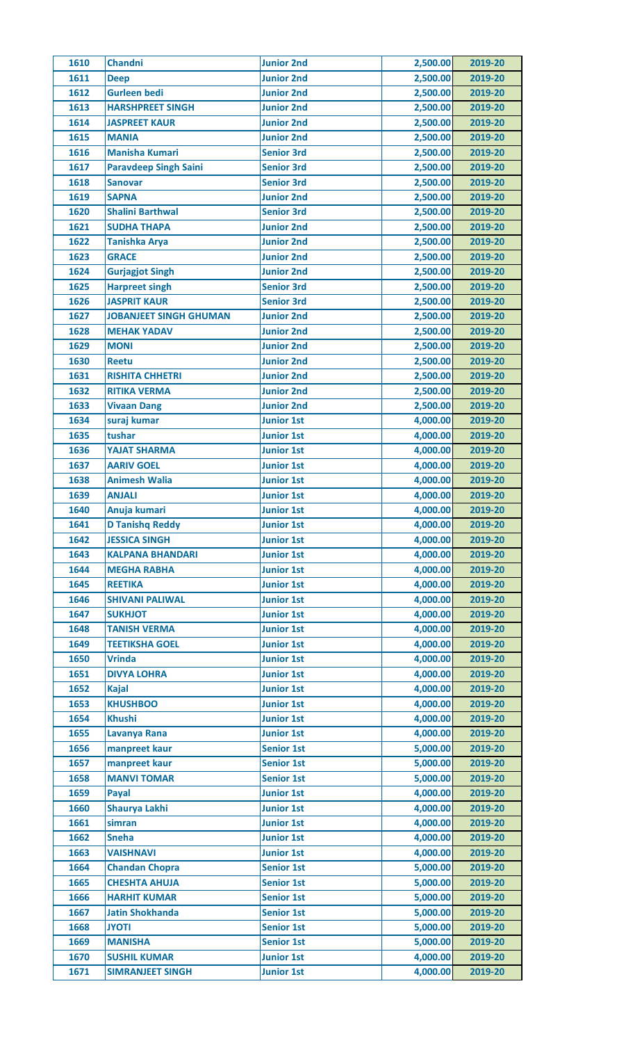| 1610 | <b>Chandni</b>                                | <b>Junior 2nd</b> | 2,500.00 | 2019-20            |
|------|-----------------------------------------------|-------------------|----------|--------------------|
| 1611 | <b>Deep</b>                                   | <b>Junior 2nd</b> | 2,500.00 | 2019-20            |
| 1612 | <b>Gurleen bedi</b>                           | <b>Junior 2nd</b> | 2,500.00 | 2019-20            |
| 1613 | <b>HARSHPREET SINGH</b>                       | <b>Junior 2nd</b> | 2,500.00 | 2019-20            |
| 1614 | <b>JASPREET KAUR</b>                          | <b>Junior 2nd</b> | 2,500.00 | 2019-20            |
| 1615 | <b>MANIA</b>                                  | <b>Junior 2nd</b> | 2,500.00 | 2019-20            |
| 1616 | <b>Manisha Kumari</b>                         | <b>Senior 3rd</b> | 2,500.00 | 2019-20            |
| 1617 | <b>Paravdeep Singh Saini</b>                  | <b>Senior 3rd</b> | 2,500.00 | 2019-20            |
| 1618 | <b>Sanovar</b>                                | <b>Senior 3rd</b> | 2,500.00 | 2019-20            |
| 1619 | <b>SAPNA</b>                                  | <b>Junior 2nd</b> | 2,500.00 | 2019-20            |
| 1620 | <b>Shalini Barthwal</b>                       | <b>Senior 3rd</b> | 2,500.00 | 2019-20            |
| 1621 | <b>SUDHA THAPA</b>                            | <b>Junior 2nd</b> | 2,500.00 | 2019-20            |
| 1622 | <b>Tanishka Arya</b>                          | <b>Junior 2nd</b> | 2,500.00 | 2019-20            |
| 1623 | <b>GRACE</b>                                  | <b>Junior 2nd</b> | 2,500.00 | 2019-20            |
| 1624 | <b>Gurjagjot Singh</b>                        | <b>Junior 2nd</b> | 2,500.00 | 2019-20            |
| 1625 | <b>Harpreet singh</b>                         | <b>Senior 3rd</b> | 2,500.00 | 2019-20            |
| 1626 | <b>JASPRIT KAUR</b>                           | <b>Senior 3rd</b> | 2,500.00 | 2019-20            |
| 1627 | <b>JOBANJEET SINGH GHUMAN</b>                 | <b>Junior 2nd</b> | 2,500.00 | 2019-20            |
| 1628 | <b>MEHAK YADAV</b>                            | <b>Junior 2nd</b> | 2,500.00 | 2019-20            |
| 1629 | <b>MONI</b>                                   | <b>Junior 2nd</b> | 2,500.00 | 2019-20            |
| 1630 | Reetu                                         | <b>Junior 2nd</b> | 2,500.00 | 2019-20            |
| 1631 | <b>RISHITA CHHETRI</b>                        | <b>Junior 2nd</b> | 2,500.00 | 2019-20            |
| 1632 | <b>RITIKA VERMA</b>                           | <b>Junior 2nd</b> | 2,500.00 | 2019-20            |
| 1633 | <b>Vivaan Dang</b>                            | <b>Junior 2nd</b> | 2,500.00 | 2019-20            |
| 1634 | suraj kumar                                   | <b>Junior 1st</b> | 4,000.00 | 2019-20            |
| 1635 | tushar                                        | <b>Junior 1st</b> | 4,000.00 | 2019-20            |
| 1636 | <b>YAJAT SHARMA</b>                           | <b>Junior 1st</b> | 4,000.00 | 2019-20            |
| 1637 | <b>AARIV GOEL</b>                             | <b>Junior 1st</b> | 4,000.00 | 2019-20            |
| 1638 | <b>Animesh Walia</b>                          | <b>Junior 1st</b> | 4,000.00 | 2019-20            |
| 1639 | <b>ANJALI</b>                                 | <b>Junior 1st</b> | 4,000.00 | 2019-20            |
| 1640 | Anuja kumari                                  | <b>Junior 1st</b> | 4,000.00 | 2019-20            |
| 1641 | <b>D Tanishq Reddy</b>                        | <b>Junior 1st</b> | 4,000.00 | 2019-20            |
| 1642 | <b>JESSICA SINGH</b>                          | <b>Junior 1st</b> | 4,000.00 | 2019-20            |
| 1643 |                                               | <b>Junior 1st</b> | 4,000.00 |                    |
| 1644 | <b>KALPANA BHANDARI</b><br><b>MEGHA RABHA</b> | <b>Junior 1st</b> | 4,000.00 | 2019-20<br>2019-20 |
| 1645 | <b>REETIKA</b>                                | <b>Junior 1st</b> | 4,000.00 | 2019-20            |
| 1646 | <b>SHIVANI PALIWAL</b>                        | <b>Junior 1st</b> | 4,000.00 | 2019-20            |
| 1647 | <b>SUKHJOT</b>                                | <b>Junior 1st</b> | 4,000.00 | 2019-20            |
|      |                                               | <b>Junior 1st</b> |          |                    |
| 1648 | <b>TANISH VERMA</b>                           |                   | 4,000.00 | 2019-20            |
| 1649 | <b>TEETIKSHA GOEL</b>                         | <b>Junior 1st</b> | 4,000.00 | 2019-20            |
| 1650 | <b>Vrinda</b>                                 | <b>Junior 1st</b> | 4,000.00 | 2019-20            |
| 1651 | <b>DIVYA LOHRA</b>                            | <b>Junior 1st</b> | 4,000.00 | 2019-20            |
| 1652 | <b>Kajal</b>                                  | <b>Junior 1st</b> | 4,000.00 | 2019-20            |
| 1653 | <b>KHUSHBOO</b>                               | <b>Junior 1st</b> | 4,000.00 | 2019-20            |
| 1654 | <b>Khushi</b>                                 | <b>Junior 1st</b> | 4,000.00 | 2019-20            |
| 1655 | Lavanya Rana                                  | <b>Junior 1st</b> | 4,000.00 | 2019-20            |
| 1656 | manpreet kaur                                 | <b>Senior 1st</b> | 5,000.00 | 2019-20            |
| 1657 | manpreet kaur                                 | <b>Senior 1st</b> | 5,000.00 | 2019-20            |
| 1658 | <b>MANVI TOMAR</b>                            | <b>Senior 1st</b> | 5,000.00 | 2019-20            |
| 1659 | Payal                                         | <b>Junior 1st</b> | 4,000.00 | 2019-20            |
| 1660 | Shaurya Lakhi                                 | <b>Junior 1st</b> | 4,000.00 | 2019-20            |
| 1661 | simran                                        | <b>Junior 1st</b> | 4,000.00 | 2019-20            |
| 1662 | <b>Sneha</b>                                  | <b>Junior 1st</b> | 4,000.00 | 2019-20            |
| 1663 | <b>VAISHNAVI</b>                              | <b>Junior 1st</b> | 4,000.00 | 2019-20            |
| 1664 | <b>Chandan Chopra</b>                         | <b>Senior 1st</b> | 5,000.00 | 2019-20            |
| 1665 | <b>CHESHTA AHUJA</b>                          | <b>Senior 1st</b> | 5,000.00 | 2019-20            |
| 1666 | <b>HARHIT KUMAR</b>                           | <b>Senior 1st</b> | 5,000.00 | 2019-20            |
| 1667 | <b>Jatin Shokhanda</b>                        | <b>Senior 1st</b> | 5,000.00 | 2019-20            |
| 1668 | <b>ITOYL</b>                                  | <b>Senior 1st</b> | 5,000.00 | 2019-20            |
| 1669 | <b>MANISHA</b>                                | <b>Senior 1st</b> | 5,000.00 | 2019-20            |
| 1670 | <b>SUSHIL KUMAR</b>                           | <b>Junior 1st</b> | 4,000.00 | 2019-20            |
| 1671 | <b>SIMRANJEET SINGH</b>                       | <b>Junior 1st</b> | 4,000.00 | 2019-20            |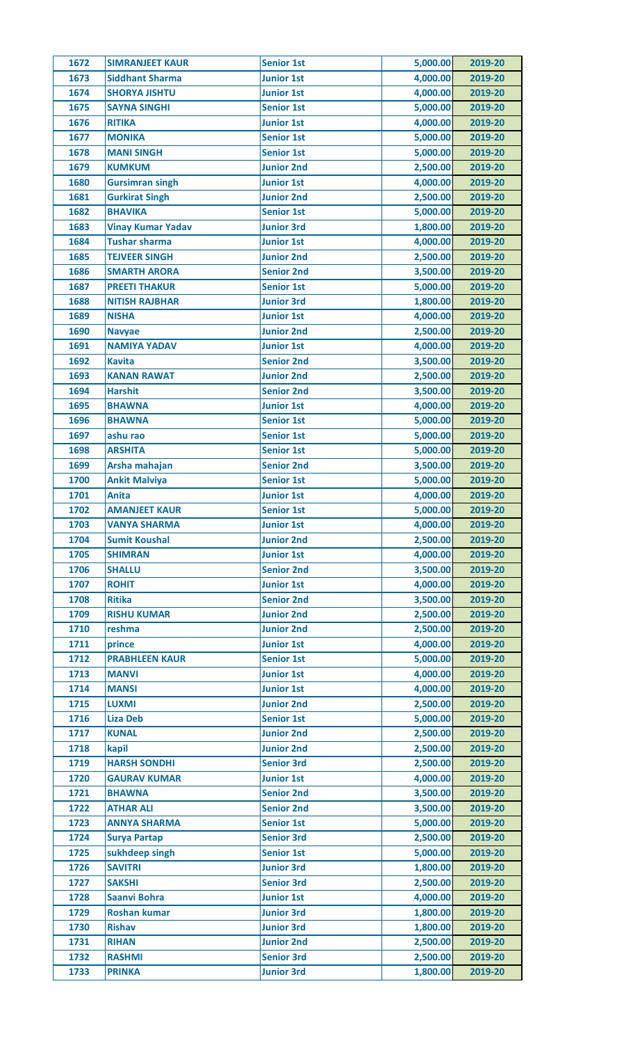| 1672 | <b>SIMRANJEET KAUR</b>   | <b>Senior 1st</b> | 5,000.00 | 2019-20 |
|------|--------------------------|-------------------|----------|---------|
| 1673 | <b>Siddhant Sharma</b>   | <b>Junior 1st</b> | 4,000.00 | 2019-20 |
| 1674 | <b>SHORYA JISHTU</b>     | <b>Junior 1st</b> | 4,000.00 | 2019-20 |
| 1675 | <b>SAYNA SINGHI</b>      | <b>Senior 1st</b> | 5,000.00 | 2019-20 |
| 1676 | <b>RITIKA</b>            | <b>Junior 1st</b> | 4,000.00 | 2019-20 |
| 1677 | <b>MONIKA</b>            | <b>Senior 1st</b> | 5,000.00 | 2019-20 |
| 1678 | <b>MANI SINGH</b>        | <b>Senior 1st</b> | 5,000.00 | 2019-20 |
| 1679 | <b>KUMKUM</b>            | <b>Junior 2nd</b> | 2,500.00 | 2019-20 |
| 1680 | <b>Gursimran singh</b>   | <b>Junior 1st</b> | 4,000.00 | 2019-20 |
| 1681 | <b>Gurkirat Singh</b>    | <b>Junior 2nd</b> | 2,500.00 | 2019-20 |
| 1682 | <b>BHAVIKA</b>           | <b>Senior 1st</b> | 5,000.00 | 2019-20 |
| 1683 | <b>Vinay Kumar Yadav</b> | <b>Junior 3rd</b> | 1,800.00 | 2019-20 |
| 1684 | <b>Tushar sharma</b>     | <b>Junior 1st</b> | 4,000.00 | 2019-20 |
| 1685 | <b>TEJVEER SINGH</b>     | <b>Junior 2nd</b> | 2,500.00 | 2019-20 |
| 1686 | <b>SMARTH ARORA</b>      | <b>Senior 2nd</b> | 3,500.00 | 2019-20 |
| 1687 | <b>PREETI THAKUR</b>     | <b>Senior 1st</b> | 5,000.00 | 2019-20 |
| 1688 | <b>NITISH RAJBHAR</b>    | <b>Junior 3rd</b> | 1,800.00 | 2019-20 |
| 1689 | <b>NISHA</b>             | <b>Junior 1st</b> | 4,000.00 | 2019-20 |
| 1690 | <b>Navyae</b>            | <b>Junior 2nd</b> | 2,500.00 | 2019-20 |
| 1691 | <b>NAMIYA YADAV</b>      | <b>Junior 1st</b> | 4,000.00 | 2019-20 |
| 1692 | <b>Kavita</b>            | <b>Senior 2nd</b> | 3,500.00 | 2019-20 |
| 1693 | <b>KANAN RAWAT</b>       | <b>Junior 2nd</b> | 2,500.00 | 2019-20 |
|      |                          |                   |          |         |
| 1694 | <b>Harshit</b>           | <b>Senior 2nd</b> | 3,500.00 | 2019-20 |
| 1695 | <b>BHAWNA</b>            | <b>Junior 1st</b> | 4,000.00 | 2019-20 |
| 1696 | <b>BHAWNA</b>            | <b>Senior 1st</b> | 5,000.00 | 2019-20 |
| 1697 | ashu rao                 | <b>Senior 1st</b> | 5,000.00 | 2019-20 |
| 1698 | <b>ARSHITA</b>           | <b>Senior 1st</b> | 5,000.00 | 2019-20 |
| 1699 | Arsha mahajan            | <b>Senior 2nd</b> | 3,500.00 | 2019-20 |
| 1700 | <b>Ankit Malviya</b>     | <b>Senior 1st</b> | 5,000.00 | 2019-20 |
| 1701 | <b>Anita</b>             | <b>Junior 1st</b> | 4,000.00 | 2019-20 |
| 1702 | <b>AMANJEET KAUR</b>     | <b>Senior 1st</b> | 5,000.00 | 2019-20 |
| 1703 | <b>VANYA SHARMA</b>      | <b>Junior 1st</b> | 4,000.00 | 2019-20 |
| 1704 | <b>Sumit Koushal</b>     | <b>Junior 2nd</b> | 2,500.00 | 2019-20 |
| 1705 | <b>SHIMRAN</b>           | <b>Junior 1st</b> | 4,000.00 | 2019-20 |
| 1706 | <b>SHALLU</b>            | <b>Senior 2nd</b> | 3,500.00 | 2019-20 |
| 1707 | <b>ROHIT</b>             | <b>Junior 1st</b> | 4,000.00 | 2019-20 |
| 1708 | <b>Ritika</b>            | <b>Senior 2nd</b> | 3,500.00 | 2019-20 |
| 1709 | <b>RISHU KUMAR</b>       | <b>Junior 2nd</b> | 2,500.00 | 2019-20 |
| 1710 | reshma                   | <b>Junior 2nd</b> | 2,500.00 | 2019-20 |
| 1711 | prince                   | <b>Junior 1st</b> | 4,000.00 | 2019-20 |
| 1712 | <b>PRABHLEEN KAUR</b>    | <b>Senior 1st</b> | 5,000.00 | 2019-20 |
| 1713 | <b>MANVI</b>             | <b>Junior 1st</b> | 4,000.00 | 2019-20 |
| 1714 | <b>MANSI</b>             | <b>Junior 1st</b> | 4,000.00 | 2019-20 |
| 1715 | <b>LUXMI</b>             | <b>Junior 2nd</b> | 2,500.00 | 2019-20 |
| 1716 | <b>Liza Deb</b>          | <b>Senior 1st</b> | 5,000.00 | 2019-20 |
| 1717 | <b>KUNAL</b>             | <b>Junior 2nd</b> | 2,500.00 | 2019-20 |
| 1718 | kapil                    | <b>Junior 2nd</b> | 2,500.00 | 2019-20 |
| 1719 | <b>HARSH SONDHI</b>      | <b>Senior 3rd</b> | 2,500.00 | 2019-20 |
| 1720 | <b>GAURAV KUMAR</b>      | <b>Junior 1st</b> | 4,000.00 | 2019-20 |
| 1721 | <b>BHAWNA</b>            | <b>Senior 2nd</b> | 3,500.00 | 2019-20 |
| 1722 | <b>ATHAR ALI</b>         | <b>Senior 2nd</b> | 3,500.00 | 2019-20 |
| 1723 | <b>ANNYA SHARMA</b>      | <b>Senior 1st</b> | 5,000.00 | 2019-20 |
| 1724 | <b>Surya Partap</b>      | <b>Senior 3rd</b> | 2,500.00 | 2019-20 |
| 1725 | sukhdeep singh           | <b>Senior 1st</b> | 5,000.00 | 2019-20 |
| 1726 | <b>SAVITRI</b>           | <b>Junior 3rd</b> | 1,800.00 | 2019-20 |
| 1727 | <b>SAKSHI</b>            | <b>Senior 3rd</b> | 2,500.00 | 2019-20 |
| 1728 | <b>Saanvi Bohra</b>      | <b>Junior 1st</b> | 4,000.00 | 2019-20 |
| 1729 | <b>Roshan kumar</b>      | <b>Junior 3rd</b> | 1,800.00 | 2019-20 |
| 1730 | <b>Rishav</b>            | <b>Junior 3rd</b> | 1,800.00 | 2019-20 |
| 1731 | <b>RIHAN</b>             | <b>Junior 2nd</b> | 2,500.00 | 2019-20 |
|      |                          |                   |          | 2019-20 |
| 1732 | <b>RASHMI</b>            | <b>Senior 3rd</b> | 2,500.00 |         |
| 1733 | <b>PRINKA</b>            | <b>Junior 3rd</b> | 1,800.00 | 2019-20 |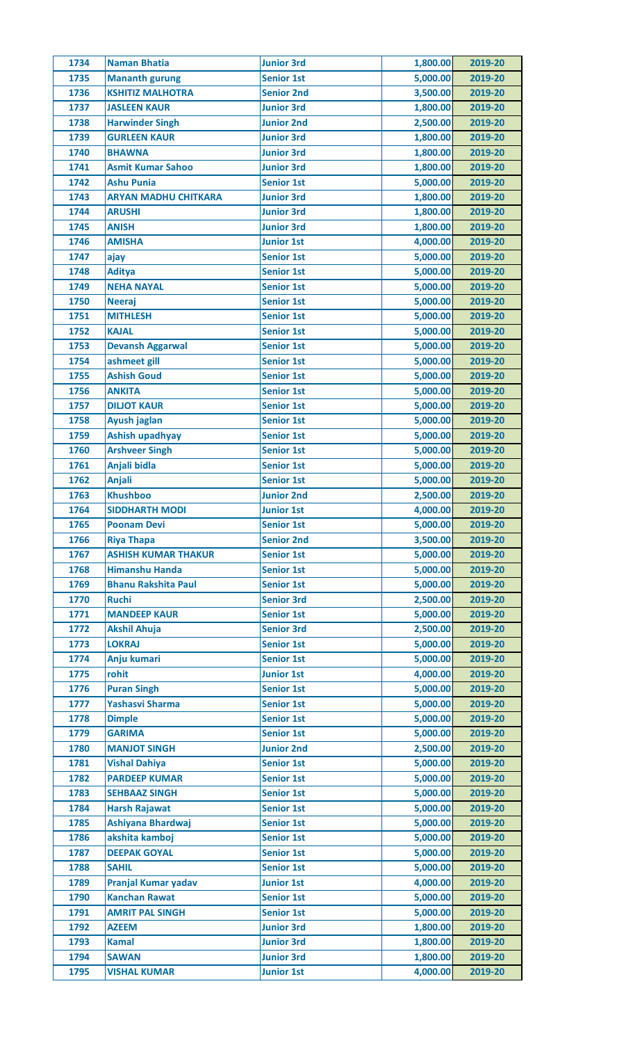| 1734         | <b>Naman Bhatia</b>                                | <b>Junior 3rd</b> | 1,800.00 | 2019-20 |
|--------------|----------------------------------------------------|-------------------|----------|---------|
| 1735         | <b>Mananth gurung</b>                              | <b>Senior 1st</b> | 5,000.00 | 2019-20 |
| 1736         | <b>KSHITIZ MALHOTRA</b>                            | <b>Senior 2nd</b> | 3,500.00 | 2019-20 |
| 1737         | <b>JASLEEN KAUR</b>                                | <b>Junior 3rd</b> | 1,800.00 | 2019-20 |
| 1738         | <b>Harwinder Singh</b>                             | <b>Junior 2nd</b> | 2,500.00 | 2019-20 |
| 1739         | <b>GURLEEN KAUR</b>                                | <b>Junior 3rd</b> | 1,800.00 | 2019-20 |
| 1740         | <b>BHAWNA</b>                                      | <b>Junior 3rd</b> | 1,800.00 | 2019-20 |
| 1741         | <b>Asmit Kumar Sahoo</b>                           | <b>Junior 3rd</b> | 1,800.00 | 2019-20 |
| 1742         | <b>Ashu Punia</b>                                  | <b>Senior 1st</b> | 5,000.00 | 2019-20 |
| 1743         | <b>ARYAN MADHU CHITKARA</b>                        | <b>Junior 3rd</b> | 1,800.00 | 2019-20 |
| 1744         | <b>ARUSHI</b>                                      | <b>Junior 3rd</b> | 1,800.00 | 2019-20 |
| 1745         | <b>ANISH</b>                                       | <b>Junior 3rd</b> | 1,800.00 | 2019-20 |
| 1746         | <b>AMISHA</b>                                      | <b>Junior 1st</b> | 4,000.00 | 2019-20 |
| 1747         | ajay                                               | <b>Senior 1st</b> | 5,000.00 | 2019-20 |
| 1748         | <b>Aditya</b>                                      | <b>Senior 1st</b> | 5,000.00 | 2019-20 |
| 1749         | <b>NEHA NAYAL</b>                                  | <b>Senior 1st</b> | 5,000.00 | 2019-20 |
| 1750         | <b>Neeraj</b>                                      | <b>Senior 1st</b> | 5,000.00 | 2019-20 |
| 1751         | <b>MITHLESH</b>                                    | <b>Senior 1st</b> | 5,000.00 | 2019-20 |
| 1752         | <b>KAJAL</b>                                       | <b>Senior 1st</b> | 5,000.00 | 2019-20 |
| 1753         | <b>Devansh Aggarwal</b>                            | <b>Senior 1st</b> | 5,000.00 | 2019-20 |
| 1754         | ashmeet gill                                       | <b>Senior 1st</b> | 5,000.00 | 2019-20 |
| 1755         | <b>Ashish Goud</b>                                 | <b>Senior 1st</b> | 5,000.00 | 2019-20 |
|              |                                                    |                   |          |         |
| 1756         | <b>ANKITA</b>                                      | <b>Senior 1st</b> | 5,000.00 | 2019-20 |
| 1757         | <b>DILJOT KAUR</b>                                 | <b>Senior 1st</b> | 5,000.00 | 2019-20 |
| 1758         | Ayush jaglan                                       | <b>Senior 1st</b> | 5,000.00 | 2019-20 |
| 1759         | Ashish upadhyay                                    | <b>Senior 1st</b> | 5,000.00 | 2019-20 |
| 1760         | <b>Arshveer Singh</b>                              | <b>Senior 1st</b> | 5,000.00 | 2019-20 |
| 1761         | Anjali bidla                                       | <b>Senior 1st</b> | 5,000.00 | 2019-20 |
| 1762         | <b>Anjali</b>                                      | <b>Senior 1st</b> | 5,000.00 | 2019-20 |
| 1763         | <b>Khushboo</b>                                    | <b>Junior 2nd</b> | 2,500.00 | 2019-20 |
| 1764         | <b>SIDDHARTH MODI</b>                              | <b>Junior 1st</b> | 4,000.00 | 2019-20 |
| 1765         | <b>Poonam Devi</b>                                 | <b>Senior 1st</b> | 5,000.00 | 2019-20 |
| 1766         | <b>Riya Thapa</b>                                  | <b>Senior 2nd</b> | 3,500.00 | 2019-20 |
| 1767         | <b>ASHISH KUMAR THAKUR</b>                         | <b>Senior 1st</b> | 5,000.00 | 2019-20 |
| 1768         | <b>Himanshu Handa</b>                              | <b>Senior 1st</b> | 5,000.00 | 2019-20 |
| 1769         | <b>Bhanu Rakshita Paul</b>                         | <b>Senior 1st</b> | 5,000.00 | 2019-20 |
| 1770         | <b>Ruchi</b>                                       | <b>Senior 3rd</b> | 2,500.00 | 2019-20 |
| 1771         | <b>MANDEEP KAUR</b>                                | <b>Senior 1st</b> | 5,000.00 | 2019-20 |
| 1772         | <b>Akshil Ahuja</b>                                | <b>Senior 3rd</b> | 2,500.00 | 2019-20 |
| 1773         | <b>LOKRAJ</b>                                      | <b>Senior 1st</b> | 5,000.00 | 2019-20 |
| 1774         | Anju kumari                                        | <b>Senior 1st</b> | 5,000.00 | 2019-20 |
| 1775         | rohit                                              | <b>Junior 1st</b> | 4,000.00 | 2019-20 |
| 1776         | <b>Puran Singh</b>                                 | <b>Senior 1st</b> | 5,000.00 | 2019-20 |
| 1777         | Yashasvi Sharma                                    | <b>Senior 1st</b> | 5,000.00 | 2019-20 |
| 1778         | <b>Dimple</b>                                      | <b>Senior 1st</b> | 5,000.00 | 2019-20 |
| 1779         | <b>GARIMA</b>                                      | <b>Senior 1st</b> | 5,000.00 | 2019-20 |
| 1780         | <b>MANJOT SINGH</b>                                | <b>Junior 2nd</b> | 2,500.00 | 2019-20 |
| 1781         | <b>Vishal Dahiya</b>                               | <b>Senior 1st</b> | 5,000.00 | 2019-20 |
| 1782         | <b>PARDEEP KUMAR</b>                               | <b>Senior 1st</b> | 5,000.00 | 2019-20 |
| 1783         | <b>SEHBAAZ SINGH</b>                               | <b>Senior 1st</b> | 5,000.00 | 2019-20 |
| 1784         | <b>Harsh Rajawat</b>                               | <b>Senior 1st</b> | 5,000.00 | 2019-20 |
| 1785         | Ashiyana Bhardwaj                                  | <b>Senior 1st</b> | 5,000.00 | 2019-20 |
| 1786         | akshita kamboj                                     | <b>Senior 1st</b> | 5,000.00 | 2019-20 |
| 1787         | <b>DEEPAK GOYAL</b>                                | <b>Senior 1st</b> | 5,000.00 | 2019-20 |
| 1788         | <b>SAHIL</b>                                       | <b>Senior 1st</b> | 5,000.00 | 2019-20 |
|              |                                                    | <b>Junior 1st</b> | 4,000.00 |         |
| 1789         | <b>Pranjal Kumar yadav</b><br><b>Kanchan Rawat</b> |                   |          | 2019-20 |
| 1790<br>1791 |                                                    | <b>Senior 1st</b> | 5,000.00 | 2019-20 |
|              | <b>AMRIT PAL SINGH</b>                             | <b>Senior 1st</b> | 5,000.00 | 2019-20 |
| 1792         | <b>AZEEM</b>                                       | <b>Junior 3rd</b> | 1,800.00 | 2019-20 |
| 1793         | <b>Kamal</b>                                       | <b>Junior 3rd</b> | 1,800.00 | 2019-20 |
| 1794         | <b>SAWAN</b>                                       | <b>Junior 3rd</b> | 1,800.00 | 2019-20 |
| 1795         | <b>VISHAL KUMAR</b>                                | <b>Junior 1st</b> | 4,000.00 | 2019-20 |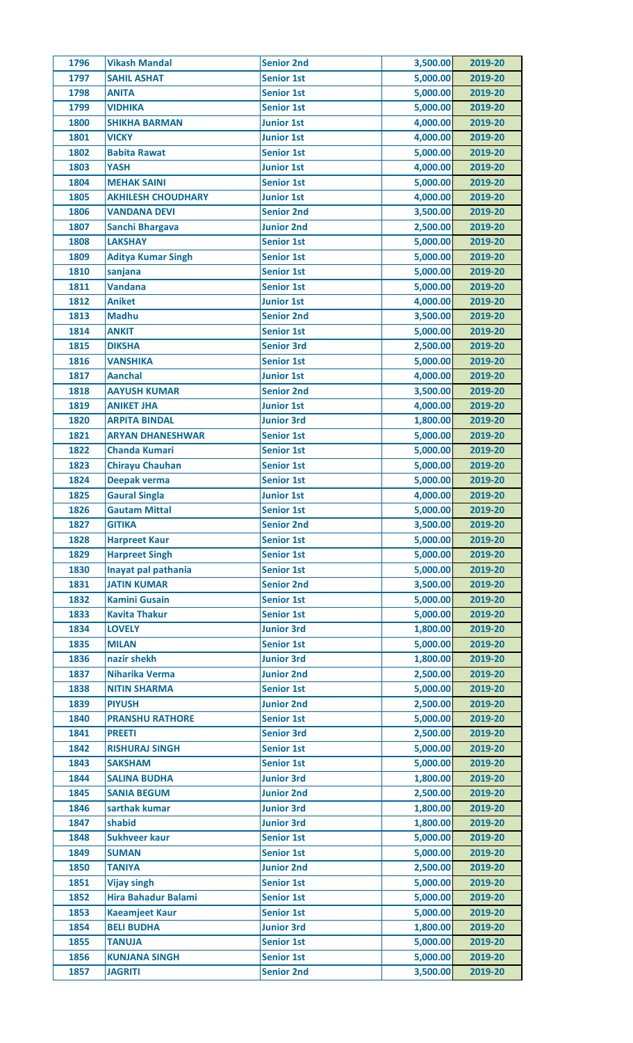| 1796 | <b>Vikash Mandal</b>       | <b>Senior 2nd</b> | 3,500.00 | 2019-20 |
|------|----------------------------|-------------------|----------|---------|
| 1797 | <b>SAHIL ASHAT</b>         | <b>Senior 1st</b> | 5,000.00 | 2019-20 |
| 1798 | <b>ANITA</b>               | <b>Senior 1st</b> | 5,000.00 | 2019-20 |
| 1799 | <b>VIDHIKA</b>             | <b>Senior 1st</b> | 5,000.00 | 2019-20 |
| 1800 | <b>SHIKHA BARMAN</b>       | <b>Junior 1st</b> | 4,000.00 | 2019-20 |
| 1801 | <b>VICKY</b>               | <b>Junior 1st</b> | 4,000.00 | 2019-20 |
| 1802 | <b>Babita Rawat</b>        | <b>Senior 1st</b> | 5,000.00 | 2019-20 |
| 1803 | <b>YASH</b>                | <b>Junior 1st</b> | 4,000.00 | 2019-20 |
| 1804 | <b>MEHAK SAINI</b>         | <b>Senior 1st</b> | 5,000.00 | 2019-20 |
| 1805 | <b>AKHILESH CHOUDHARY</b>  | <b>Junior 1st</b> | 4,000.00 | 2019-20 |
| 1806 | <b>VANDANA DEVI</b>        | <b>Senior 2nd</b> | 3,500.00 | 2019-20 |
| 1807 | <b>Sanchi Bhargava</b>     | <b>Junior 2nd</b> | 2,500.00 | 2019-20 |
| 1808 | <b>LAKSHAY</b>             | <b>Senior 1st</b> | 5,000.00 | 2019-20 |
| 1809 | <b>Aditya Kumar Singh</b>  | <b>Senior 1st</b> | 5,000.00 | 2019-20 |
| 1810 | sanjana                    | <b>Senior 1st</b> | 5,000.00 | 2019-20 |
| 1811 | <b>Vandana</b>             | <b>Senior 1st</b> | 5,000.00 | 2019-20 |
| 1812 | <b>Aniket</b>              | <b>Junior 1st</b> | 4,000.00 | 2019-20 |
| 1813 | <b>Madhu</b>               | <b>Senior 2nd</b> | 3,500.00 | 2019-20 |
| 1814 | <b>ANKIT</b>               | <b>Senior 1st</b> | 5,000.00 | 2019-20 |
| 1815 | <b>DIKSHA</b>              | <b>Senior 3rd</b> | 2,500.00 | 2019-20 |
| 1816 | <b>VANSHIKA</b>            | <b>Senior 1st</b> | 5,000.00 | 2019-20 |
| 1817 | <b>Aanchal</b>             | <b>Junior 1st</b> | 4,000.00 | 2019-20 |
| 1818 | <b>AAYUSH KUMAR</b>        | <b>Senior 2nd</b> | 3,500.00 | 2019-20 |
| 1819 | <b>ANIKET JHA</b>          |                   | 4,000.00 |         |
|      |                            | <b>Junior 1st</b> |          | 2019-20 |
| 1820 | <b>ARPITA BINDAL</b>       | <b>Junior 3rd</b> | 1,800.00 | 2019-20 |
| 1821 | <b>ARYAN DHANESHWAR</b>    | <b>Senior 1st</b> | 5,000.00 | 2019-20 |
| 1822 | <b>Chanda Kumari</b>       | <b>Senior 1st</b> | 5,000.00 | 2019-20 |
| 1823 | <b>Chirayu Chauhan</b>     | <b>Senior 1st</b> | 5,000.00 | 2019-20 |
| 1824 | Deepak verma               | <b>Senior 1st</b> | 5,000.00 | 2019-20 |
| 1825 | <b>Gaural Singla</b>       | <b>Junior 1st</b> | 4,000.00 | 2019-20 |
| 1826 | <b>Gautam Mittal</b>       | <b>Senior 1st</b> | 5,000.00 | 2019-20 |
| 1827 | <b>GITIKA</b>              | <b>Senior 2nd</b> | 3,500.00 | 2019-20 |
| 1828 | <b>Harpreet Kaur</b>       | <b>Senior 1st</b> | 5,000.00 | 2019-20 |
| 1829 | <b>Harpreet Singh</b>      | <b>Senior 1st</b> | 5,000.00 | 2019-20 |
| 1830 | Inayat pal pathania        | <b>Senior 1st</b> | 5,000.00 | 2019-20 |
| 1831 | <b>JATIN KUMAR</b>         | <b>Senior 2nd</b> | 3,500.00 | 2019-20 |
| 1832 | <b>Kamini Gusain</b>       | <b>Senior 1st</b> | 5,000.00 | 2019-20 |
| 1833 | <b>Kavita Thakur</b>       | <b>Senior 1st</b> | 5,000.00 | 2019-20 |
| 1834 | <b>LOVELY</b>              | <b>Junior 3rd</b> | 1,800.00 | 2019-20 |
| 1835 | <b>MILAN</b>               | <b>Senior 1st</b> | 5,000.00 | 2019-20 |
| 1836 | nazir shekh                | <b>Junior 3rd</b> | 1,800.00 | 2019-20 |
| 1837 | <b>Niharika Verma</b>      | <b>Junior 2nd</b> | 2,500.00 | 2019-20 |
| 1838 | <b>NITIN SHARMA</b>        | <b>Senior 1st</b> | 5,000.00 | 2019-20 |
| 1839 | <b>PIYUSH</b>              | <b>Junior 2nd</b> | 2,500.00 | 2019-20 |
| 1840 | <b>PRANSHU RATHORE</b>     | <b>Senior 1st</b> | 5,000.00 | 2019-20 |
| 1841 | <b>PREETI</b>              | <b>Senior 3rd</b> | 2,500.00 | 2019-20 |
| 1842 | <b>RISHURAJ SINGH</b>      | <b>Senior 1st</b> | 5,000.00 | 2019-20 |
| 1843 | <b>SAKSHAM</b>             | <b>Senior 1st</b> | 5,000.00 | 2019-20 |
| 1844 | <b>SALINA BUDHA</b>        | <b>Junior 3rd</b> | 1,800.00 | 2019-20 |
| 1845 | <b>SANIA BEGUM</b>         | <b>Junior 2nd</b> | 2,500.00 | 2019-20 |
| 1846 | sarthak kumar              | <b>Junior 3rd</b> | 1,800.00 | 2019-20 |
| 1847 | shabid                     | <b>Junior 3rd</b> | 1,800.00 | 2019-20 |
| 1848 | <b>Sukhveer kaur</b>       | <b>Senior 1st</b> | 5,000.00 | 2019-20 |
| 1849 | <b>SUMAN</b>               | <b>Senior 1st</b> | 5,000.00 | 2019-20 |
| 1850 | <b>TANIYA</b>              | <b>Junior 2nd</b> | 2,500.00 | 2019-20 |
| 1851 | <b>Vijay singh</b>         | <b>Senior 1st</b> | 5,000.00 | 2019-20 |
| 1852 | <b>Hira Bahadur Balami</b> | <b>Senior 1st</b> | 5,000.00 | 2019-20 |
| 1853 | <b>Kaeamjeet Kaur</b>      | <b>Senior 1st</b> | 5,000.00 | 2019-20 |
| 1854 | <b>BELI BUDHA</b>          | <b>Junior 3rd</b> | 1,800.00 | 2019-20 |
| 1855 | <b>TANUJA</b>              | <b>Senior 1st</b> | 5,000.00 | 2019-20 |
|      | <b>KUNJANA SINGH</b>       |                   | 5,000.00 | 2019-20 |
| 1856 |                            | <b>Senior 1st</b> |          |         |
| 1857 | <b>JAGRITI</b>             | <b>Senior 2nd</b> | 3,500.00 | 2019-20 |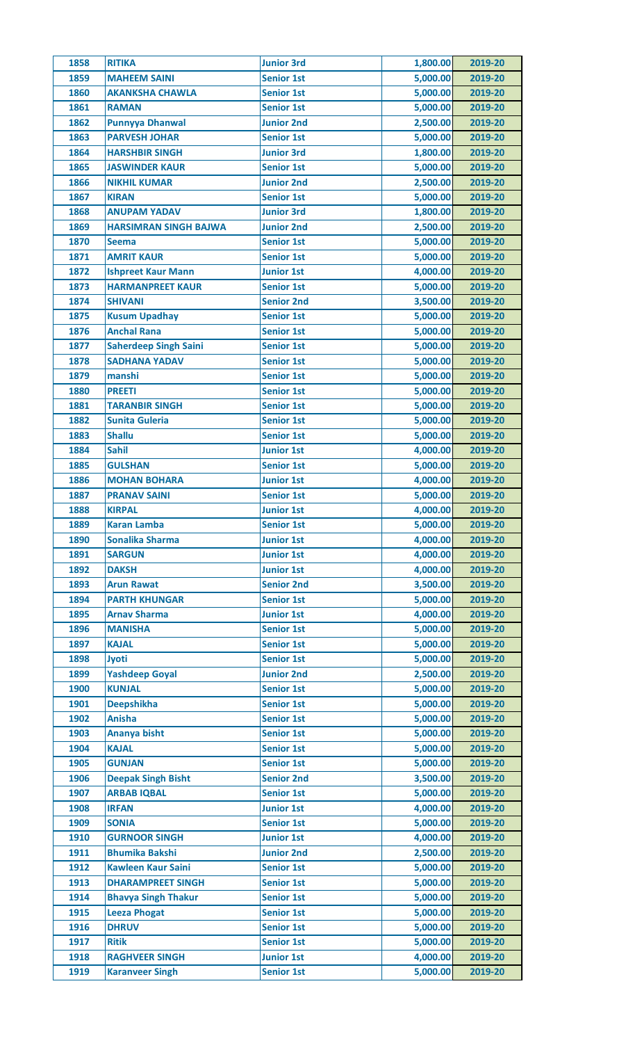| 1858 | <b>RITIKA</b>                | <b>Junior 3rd</b> | 1,800.00 | 2019-20 |
|------|------------------------------|-------------------|----------|---------|
| 1859 | <b>MAHEEM SAINI</b>          | <b>Senior 1st</b> | 5,000.00 | 2019-20 |
| 1860 | <b>AKANKSHA CHAWLA</b>       | <b>Senior 1st</b> | 5,000.00 | 2019-20 |
| 1861 | <b>RAMAN</b>                 | <b>Senior 1st</b> | 5,000.00 | 2019-20 |
| 1862 | <b>Punnyya Dhanwal</b>       | <b>Junior 2nd</b> | 2,500.00 | 2019-20 |
| 1863 | <b>PARVESH JOHAR</b>         | <b>Senior 1st</b> | 5,000.00 | 2019-20 |
| 1864 | <b>HARSHBIR SINGH</b>        | <b>Junior 3rd</b> | 1,800.00 | 2019-20 |
| 1865 | <b>JASWINDER KAUR</b>        | <b>Senior 1st</b> | 5,000.00 | 2019-20 |
| 1866 | <b>NIKHIL KUMAR</b>          | <b>Junior 2nd</b> | 2,500.00 | 2019-20 |
| 1867 | <b>KIRAN</b>                 | <b>Senior 1st</b> | 5,000.00 | 2019-20 |
| 1868 | <b>ANUPAM YADAV</b>          | <b>Junior 3rd</b> | 1,800.00 | 2019-20 |
| 1869 | <b>HARSIMRAN SINGH BAJWA</b> | <b>Junior 2nd</b> | 2,500.00 | 2019-20 |
| 1870 | <b>Seema</b>                 | <b>Senior 1st</b> | 5,000.00 | 2019-20 |
| 1871 | <b>AMRIT KAUR</b>            | <b>Senior 1st</b> | 5,000.00 | 2019-20 |
| 1872 | <b>Ishpreet Kaur Mann</b>    | <b>Junior 1st</b> | 4,000.00 | 2019-20 |
| 1873 | <b>HARMANPREET KAUR</b>      | <b>Senior 1st</b> | 5,000.00 | 2019-20 |
| 1874 | <b>SHIVANI</b>               | <b>Senior 2nd</b> | 3,500.00 | 2019-20 |
| 1875 | <b>Kusum Upadhay</b>         | <b>Senior 1st</b> | 5,000.00 | 2019-20 |
| 1876 | <b>Anchal Rana</b>           | <b>Senior 1st</b> | 5,000.00 | 2019-20 |
| 1877 | <b>Saherdeep Singh Saini</b> | <b>Senior 1st</b> | 5,000.00 | 2019-20 |
| 1878 | <b>SADHANA YADAV</b>         | <b>Senior 1st</b> | 5,000.00 | 2019-20 |
| 1879 | manshi                       | <b>Senior 1st</b> | 5,000.00 | 2019-20 |
| 1880 | <b>PREETI</b>                | <b>Senior 1st</b> | 5,000.00 | 2019-20 |
| 1881 | <b>TARANBIR SINGH</b>        | <b>Senior 1st</b> | 5,000.00 | 2019-20 |
| 1882 | <b>Sunita Guleria</b>        | <b>Senior 1st</b> | 5,000.00 | 2019-20 |
| 1883 | <b>Shallu</b>                | <b>Senior 1st</b> | 5,000.00 | 2019-20 |
| 1884 | <b>Sahil</b>                 | <b>Junior 1st</b> | 4,000.00 | 2019-20 |
| 1885 | <b>GULSHAN</b>               | <b>Senior 1st</b> | 5,000.00 | 2019-20 |
| 1886 | <b>MOHAN BOHARA</b>          | <b>Junior 1st</b> | 4,000.00 | 2019-20 |
| 1887 | <b>PRANAV SAINI</b>          | <b>Senior 1st</b> | 5,000.00 | 2019-20 |
| 1888 | <b>KIRPAL</b>                | <b>Junior 1st</b> | 4,000.00 | 2019-20 |
| 1889 | <b>Karan Lamba</b>           | <b>Senior 1st</b> | 5,000.00 | 2019-20 |
| 1890 | <b>Sonalika Sharma</b>       | <b>Junior 1st</b> | 4,000.00 | 2019-20 |
| 1891 | <b>SARGUN</b>                | <b>Junior 1st</b> | 4,000.00 | 2019-20 |
| 1892 | <b>DAKSH</b>                 | <b>Junior 1st</b> | 4,000.00 | 2019-20 |
| 1893 | <b>Arun Rawat</b>            | <b>Senior 2nd</b> | 3,500.00 | 2019-20 |
| 1894 | <b>PARTH KHUNGAR</b>         | <b>Senior 1st</b> | 5,000.00 | 2019-20 |
| 1895 | <b>Arnav Sharma</b>          | <b>Junior 1st</b> | 4,000.00 | 2019-20 |
| 1896 | <b>MANISHA</b>               | <b>Senior 1st</b> | 5,000.00 | 2019-20 |
| 1897 | <b>KAJAL</b>                 | <b>Senior 1st</b> | 5,000.00 | 2019-20 |
| 1898 | <b>Jyoti</b>                 | <b>Senior 1st</b> | 5,000.00 | 2019-20 |
| 1899 | <b>Yashdeep Goyal</b>        | <b>Junior 2nd</b> | 2,500.00 | 2019-20 |
| 1900 | <b>KUNJAL</b>                | <b>Senior 1st</b> | 5,000.00 | 2019-20 |
| 1901 | <b>Deepshikha</b>            | <b>Senior 1st</b> | 5,000.00 | 2019-20 |
| 1902 | <b>Anisha</b>                | <b>Senior 1st</b> | 5,000.00 | 2019-20 |
| 1903 | <b>Ananya bisht</b>          | <b>Senior 1st</b> | 5,000.00 | 2019-20 |
| 1904 | <b>KAJAL</b>                 | <b>Senior 1st</b> | 5,000.00 | 2019-20 |
| 1905 | <b>GUNJAN</b>                | <b>Senior 1st</b> | 5,000.00 | 2019-20 |
| 1906 | <b>Deepak Singh Bisht</b>    | <b>Senior 2nd</b> | 3,500.00 | 2019-20 |
| 1907 | <b>ARBAB IQBAL</b>           | <b>Senior 1st</b> | 5,000.00 | 2019-20 |
| 1908 | <b>IRFAN</b>                 | <b>Junior 1st</b> | 4,000.00 | 2019-20 |
| 1909 | <b>SONIA</b>                 | <b>Senior 1st</b> | 5,000.00 | 2019-20 |
| 1910 | <b>GURNOOR SINGH</b>         | <b>Junior 1st</b> | 4,000.00 | 2019-20 |
| 1911 | <b>Bhumika Bakshi</b>        | <b>Junior 2nd</b> | 2,500.00 | 2019-20 |
| 1912 | <b>Kawleen Kaur Saini</b>    | <b>Senior 1st</b> | 5,000.00 | 2019-20 |
| 1913 | <b>DHARAMPREET SINGH</b>     | <b>Senior 1st</b> | 5,000.00 | 2019-20 |
| 1914 | <b>Bhavya Singh Thakur</b>   | <b>Senior 1st</b> | 5,000.00 | 2019-20 |
| 1915 | <b>Leeza Phogat</b>          | <b>Senior 1st</b> | 5,000.00 | 2019-20 |
| 1916 | <b>DHRUV</b>                 | <b>Senior 1st</b> | 5,000.00 | 2019-20 |
| 1917 | <b>Ritik</b>                 | <b>Senior 1st</b> | 5,000.00 | 2019-20 |
| 1918 | <b>RAGHVEER SINGH</b>        | <b>Junior 1st</b> | 4,000.00 | 2019-20 |
| 1919 | <b>Karanveer Singh</b>       | <b>Senior 1st</b> | 5,000.00 | 2019-20 |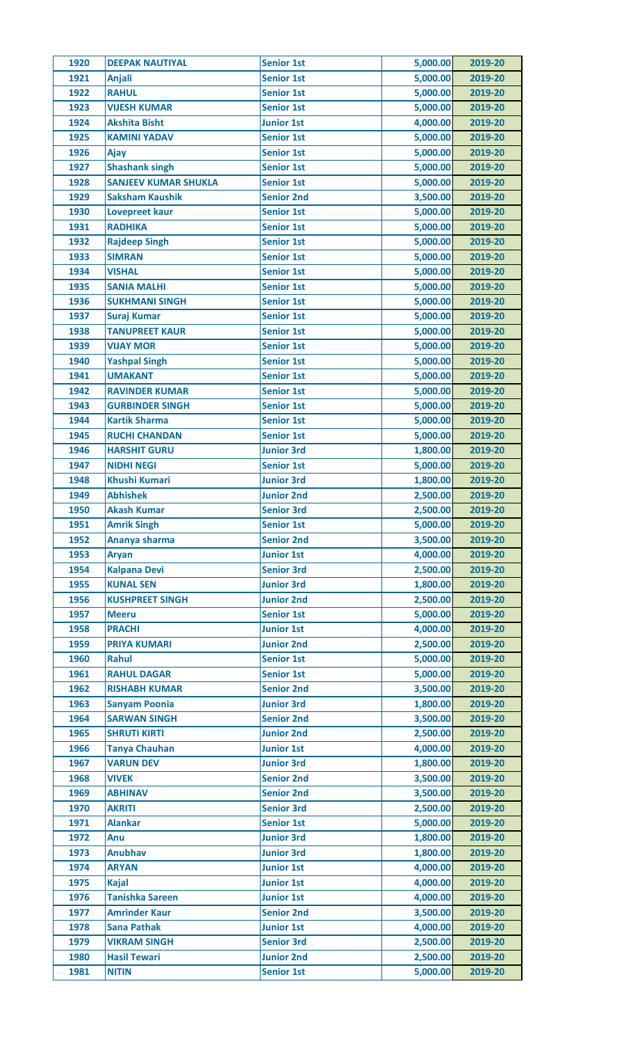| 1920         | <b>DEEPAK NAUTIYAL</b>                      | <b>Senior 1st</b>                      | 5,000.00             | 2019-20            |
|--------------|---------------------------------------------|----------------------------------------|----------------------|--------------------|
| 1921         | <b>Anjali</b>                               | <b>Senior 1st</b>                      | 5,000.00             | 2019-20            |
| 1922         | <b>RAHUL</b>                                | <b>Senior 1st</b>                      | 5,000.00             | 2019-20            |
| 1923         | <b>VIJESH KUMAR</b>                         | <b>Senior 1st</b>                      | 5,000.00             | 2019-20            |
| 1924         | <b>Akshita Bisht</b>                        | <b>Junior 1st</b>                      | 4,000.00             | 2019-20            |
| 1925         | <b>KAMINI YADAV</b>                         | <b>Senior 1st</b>                      | 5,000.00             | 2019-20            |
| 1926         | Ajay                                        | <b>Senior 1st</b>                      | 5,000.00             | 2019-20            |
| 1927         | <b>Shashank singh</b>                       | <b>Senior 1st</b>                      | 5,000.00             | 2019-20            |
| 1928         | <b>SANJEEV KUMAR SHUKLA</b>                 | <b>Senior 1st</b>                      | 5,000.00             | 2019-20            |
| 1929         | <b>Saksham Kaushik</b>                      | <b>Senior 2nd</b>                      | 3,500.00             | 2019-20            |
| 1930         | <b>Lovepreet kaur</b>                       | <b>Senior 1st</b>                      | 5,000.00             | 2019-20            |
| 1931         | <b>RADHIKA</b>                              | <b>Senior 1st</b>                      | 5,000.00             | 2019-20            |
| 1932         | <b>Rajdeep Singh</b>                        | <b>Senior 1st</b>                      | 5,000.00             | 2019-20            |
| 1933         | <b>SIMRAN</b>                               | <b>Senior 1st</b>                      | 5,000.00             | 2019-20            |
| 1934         | <b>VISHAL</b>                               | <b>Senior 1st</b>                      | 5,000.00             | 2019-20            |
| 1935         | <b>SANIA MALHI</b>                          | <b>Senior 1st</b>                      | 5,000.00             | 2019-20            |
| 1936         | <b>SUKHMANI SINGH</b>                       | <b>Senior 1st</b>                      | 5,000.00             | 2019-20            |
| 1937         | <b>Suraj Kumar</b>                          | <b>Senior 1st</b>                      | 5,000.00             | 2019-20            |
| 1938         | <b>TANUPREET KAUR</b>                       | <b>Senior 1st</b>                      | 5,000.00             | 2019-20            |
| 1939         | <b>VIJAY MOR</b>                            | <b>Senior 1st</b>                      | 5,000.00             | 2019-20            |
| 1940         | <b>Yashpal Singh</b>                        | <b>Senior 1st</b>                      | 5,000.00             | 2019-20            |
| 1941         | <b>UMAKANT</b>                              | <b>Senior 1st</b>                      | 5,000.00             | 2019-20            |
| 1942         | <b>RAVINDER KUMAR</b>                       | <b>Senior 1st</b>                      | 5,000.00             | 2019-20            |
| 1943         | <b>GURBINDER SINGH</b>                      | <b>Senior 1st</b>                      | 5,000.00             | 2019-20            |
| 1944         | <b>Kartik Sharma</b>                        | <b>Senior 1st</b>                      | 5,000.00             | 2019-20            |
| 1945         | <b>RUCHI CHANDAN</b>                        | <b>Senior 1st</b>                      | 5,000.00             | 2019-20            |
| 1946         | <b>HARSHIT GURU</b>                         | <b>Junior 3rd</b>                      | 1,800.00             | 2019-20            |
| 1947         | <b>NIDHI NEGI</b>                           | <b>Senior 1st</b>                      | 5,000.00             | 2019-20            |
| 1948         | <b>Khushi Kumari</b>                        | <b>Junior 3rd</b>                      | 1,800.00             | 2019-20            |
| 1949         | <b>Abhishek</b>                             | <b>Junior 2nd</b>                      | 2,500.00             | 2019-20            |
| 1950         | <b>Akash Kumar</b>                          | <b>Senior 3rd</b>                      | 2,500.00             | 2019-20            |
| 1951         | <b>Amrik Singh</b>                          | <b>Senior 1st</b>                      | 5,000.00             | 2019-20            |
| 1952         | Ananya sharma                               | <b>Senior 2nd</b>                      | 3,500.00             | 2019-20            |
| 1953         | <b>Aryan</b>                                | <b>Junior 1st</b>                      | 4,000.00             | 2019-20            |
| 1954         | <b>Kalpana Devi</b>                         | <b>Senior 3rd</b>                      | 2,500.00             | 2019-20            |
| 1955         | <b>KUNAL SEN</b>                            | <b>Junior 3rd</b>                      | 1,800.00             | 2019-20            |
| 1956         | <b>KUSHPREET SINGH</b>                      | <b>Junior 2nd</b>                      | 2,500.00             | 2019-20            |
| 1957         | <b>Meeru</b>                                | <b>Senior 1st</b>                      | 5,000.00             | 2019-20            |
| 1958         | <b>PRACHI</b>                               | <b>Junior 1st</b>                      | 4,000.00             | 2019-20            |
| 1959         | <b>PRIYA KUMARI</b>                         | <b>Junior 2nd</b>                      | 2,500.00             | 2019-20            |
| 1960         | Rahul                                       | <b>Senior 1st</b>                      | 5,000.00             | 2019-20            |
| 1961         | <b>RAHUL DAGAR</b>                          | <b>Senior 1st</b>                      | 5,000.00             | 2019-20            |
| 1962         | <b>RISHABH KUMAR</b>                        | <b>Senior 2nd</b>                      | 3,500.00             | 2019-20            |
|              |                                             |                                        |                      |                    |
| 1963<br>1964 | <b>Sanyam Poonia</b><br><b>SARWAN SINGH</b> | <b>Junior 3rd</b><br><b>Senior 2nd</b> | 1,800.00<br>3,500.00 | 2019-20<br>2019-20 |
| 1965         | <b>SHRUTI KIRTI</b>                         | <b>Junior 2nd</b>                      | 2,500.00             | 2019-20            |
| 1966         | <b>Tanya Chauhan</b>                        | <b>Junior 1st</b>                      | 4,000.00             | 2019-20            |
| 1967         | <b>VARUN DEV</b>                            | <b>Junior 3rd</b>                      | 1,800.00             |                    |
|              |                                             |                                        |                      | 2019-20            |
| 1968         | <b>VIVEK</b><br><b>ABHINAV</b>              | <b>Senior 2nd</b>                      | 3,500.00             | 2019-20            |
| 1969         |                                             | <b>Senior 2nd</b>                      | 3,500.00             | 2019-20            |
| 1970<br>1971 | <b>AKRITI</b>                               | <b>Senior 3rd</b>                      | 2,500.00             | 2019-20            |
| 1972         | <b>Alankar</b><br>Anu                       | <b>Senior 1st</b><br><b>Junior 3rd</b> | 5,000.00<br>1,800.00 | 2019-20<br>2019-20 |
|              |                                             |                                        |                      |                    |
| 1973         | <b>Anubhav</b>                              | <b>Junior 3rd</b>                      | 1,800.00             | 2019-20            |
| 1974         | <b>ARYAN</b>                                | <b>Junior 1st</b>                      | 4,000.00             | 2019-20            |
| 1975         | <b>Kajal</b>                                | <b>Junior 1st</b>                      | 4,000.00             | 2019-20            |
| 1976         | <b>Tanishka Sareen</b>                      | <b>Junior 1st</b>                      | 4,000.00             | 2019-20            |
| 1977         | <b>Amrinder Kaur</b>                        | <b>Senior 2nd</b>                      | 3,500.00             | 2019-20            |
| 1978         | <b>Sana Pathak</b>                          | <b>Junior 1st</b>                      | 4,000.00             | 2019-20            |
| 1979         | <b>VIKRAM SINGH</b>                         | <b>Senior 3rd</b>                      | 2,500.00             | 2019-20            |
| 1980         | <b>Hasil Tewari</b>                         | <b>Junior 2nd</b>                      | 2,500.00             | 2019-20            |
| 1981         | <b>NITIN</b>                                | <b>Senior 1st</b>                      | 5,000.00             | 2019-20            |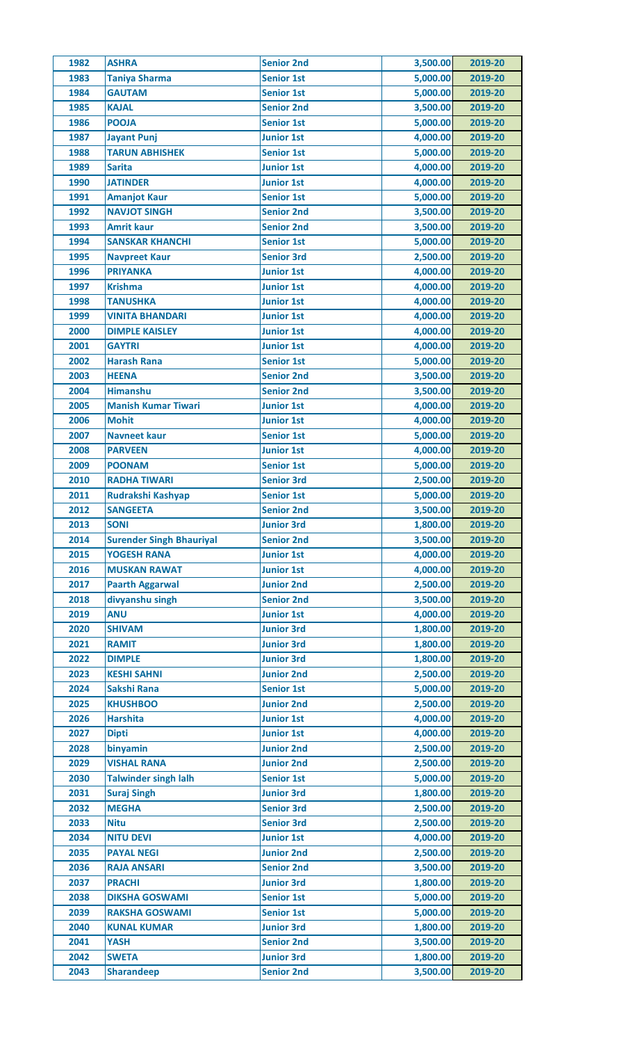| 1982 | <b>ASHRA</b>                    | <b>Senior 2nd</b> | 3,500.00             | 2019-20 |
|------|---------------------------------|-------------------|----------------------|---------|
| 1983 | <b>Taniya Sharma</b>            | <b>Senior 1st</b> | 5,000.00             | 2019-20 |
| 1984 | <b>GAUTAM</b>                   | <b>Senior 1st</b> | 5,000.00             | 2019-20 |
| 1985 | <b>KAJAL</b>                    | <b>Senior 2nd</b> | 3,500.00             | 2019-20 |
| 1986 | <b>POOJA</b>                    | <b>Senior 1st</b> | 5,000.00             | 2019-20 |
| 1987 | <b>Jayant Punj</b>              | <b>Junior 1st</b> | 4,000.00             | 2019-20 |
| 1988 | <b>TARUN ABHISHEK</b>           | <b>Senior 1st</b> | 5,000.00             | 2019-20 |
| 1989 | <b>Sarita</b>                   | <b>Junior 1st</b> | 4,000.00             | 2019-20 |
| 1990 | <b>JATINDER</b>                 | <b>Junior 1st</b> | 4,000.00             | 2019-20 |
| 1991 | <b>Amanjot Kaur</b>             | <b>Senior 1st</b> | 5,000.00             | 2019-20 |
| 1992 | <b>NAVJOT SINGH</b>             | <b>Senior 2nd</b> | 3,500.00             | 2019-20 |
| 1993 | <b>Amrit kaur</b>               | <b>Senior 2nd</b> | 3,500.00             | 2019-20 |
| 1994 | <b>SANSKAR KHANCHI</b>          | <b>Senior 1st</b> | 5,000.00             | 2019-20 |
| 1995 | <b>Navpreet Kaur</b>            | <b>Senior 3rd</b> | 2,500.00             | 2019-20 |
| 1996 | <b>PRIYANKA</b>                 | <b>Junior 1st</b> | 4,000.00             | 2019-20 |
| 1997 | <b>Krishma</b>                  | <b>Junior 1st</b> | 4,000.00             | 2019-20 |
| 1998 | <b>TANUSHKA</b>                 | <b>Junior 1st</b> | 4,000.00             | 2019-20 |
| 1999 | <b>VINITA BHANDARI</b>          | <b>Junior 1st</b> | 4,000.00             | 2019-20 |
|      |                                 |                   | 4,000.00             |         |
| 2000 | <b>DIMPLE KAISLEY</b>           | <b>Junior 1st</b> |                      | 2019-20 |
| 2001 | <b>GAYTRI</b>                   | <b>Junior 1st</b> | 4,000.00             | 2019-20 |
| 2002 | <b>Harash Rana</b>              | <b>Senior 1st</b> | 5,000.00             | 2019-20 |
| 2003 | <b>HEENA</b>                    | <b>Senior 2nd</b> | 3,500.00             | 2019-20 |
| 2004 | <b>Himanshu</b>                 | <b>Senior 2nd</b> | 3,500.00             | 2019-20 |
| 2005 | <b>Manish Kumar Tiwari</b>      | <b>Junior 1st</b> | 4,000.00             | 2019-20 |
| 2006 | <b>Mohit</b>                    | <b>Junior 1st</b> | 4,000.00             | 2019-20 |
| 2007 | <b>Navneet kaur</b>             | <b>Senior 1st</b> | 5,000.00             | 2019-20 |
| 2008 | <b>PARVEEN</b>                  | <b>Junior 1st</b> | 4,000.00             | 2019-20 |
| 2009 | <b>POONAM</b>                   | <b>Senior 1st</b> | 5,000.00             | 2019-20 |
| 2010 | <b>RADHA TIWARI</b>             | <b>Senior 3rd</b> | 2,500.00             | 2019-20 |
| 2011 | Rudrakshi Kashyap               | <b>Senior 1st</b> | 5,000.00             | 2019-20 |
| 2012 | <b>SANGEETA</b>                 | <b>Senior 2nd</b> | 3,500.00             | 2019-20 |
| 2013 | <b>SONI</b>                     | <b>Junior 3rd</b> | 1,800.00             | 2019-20 |
| 2014 | <b>Surender Singh Bhauriyal</b> | <b>Senior 2nd</b> | 3,500.00             | 2019-20 |
| 2015 | <b>YOGESH RANA</b>              | <b>Junior 1st</b> | 4,000.00             | 2019-20 |
| 2016 | <b>MUSKAN RAWAT</b>             | <b>Junior 1st</b> | 4,000.00             | 2019-20 |
| 2017 | <b>Paarth Aggarwal</b>          | <b>Junior 2nd</b> | 2,500.00             | 2019-20 |
| 2018 | divyanshu singh                 | <b>Senior 2nd</b> | 3,500.00             | 2019-20 |
| 2019 | <b>ANU</b>                      | <b>Junior 1st</b> | 4,000.00             | 2019-20 |
| 2020 | <b>SHIVAM</b>                   | <b>Junior 3rd</b> | 1,800.00             | 2019-20 |
| 2021 | <b>RAMIT</b>                    | <b>Junior 3rd</b> | 1,800.00             | 2019-20 |
| 2022 | <b>DIMPLE</b>                   | <b>Junior 3rd</b> | 1,800.00             | 2019-20 |
| 2023 | <b>KESHI SAHNI</b>              | <b>Junior 2nd</b> | 2,500.00             | 2019-20 |
| 2024 | <b>Sakshi Rana</b>              | <b>Senior 1st</b> | 5,000.00             | 2019-20 |
| 2025 | <b>KHUSHBOO</b>                 | <b>Junior 2nd</b> | 2,500.00             | 2019-20 |
| 2026 | <b>Harshita</b>                 | <b>Junior 1st</b> | 4,000.00             | 2019-20 |
| 2027 | <b>Dipti</b>                    | <b>Junior 1st</b> | 4,000.00             | 2019-20 |
| 2028 | binyamin                        | <b>Junior 2nd</b> | 2,500.00             | 2019-20 |
| 2029 | <b>VISHAL RANA</b>              | <b>Junior 2nd</b> | 2,500.00             | 2019-20 |
| 2030 | <b>Talwinder singh lalh</b>     | <b>Senior 1st</b> | 5,000.00             | 2019-20 |
| 2031 | <b>Suraj Singh</b>              | <b>Junior 3rd</b> | 1,800.00             | 2019-20 |
| 2032 | <b>MEGHA</b>                    | <b>Senior 3rd</b> | 2,500.00             | 2019-20 |
| 2033 | <b>Nitu</b>                     | <b>Senior 3rd</b> | 2,500.00             | 2019-20 |
| 2034 | <b>NITU DEVI</b>                | <b>Junior 1st</b> | 4,000.00             | 2019-20 |
| 2035 | <b>PAYAL NEGI</b>               | <b>Junior 2nd</b> | 2,500.00             | 2019-20 |
| 2036 | <b>RAJA ANSARI</b>              | <b>Senior 2nd</b> | 3,500.00             | 2019-20 |
| 2037 | <b>PRACHI</b>                   | <b>Junior 3rd</b> | 1,800.00             | 2019-20 |
| 2038 | <b>DIKSHA GOSWAMI</b>           | <b>Senior 1st</b> | 5,000.00             | 2019-20 |
| 2039 | <b>RAKSHA GOSWAMI</b>           | <b>Senior 1st</b> | 5,000.00             | 2019-20 |
|      |                                 |                   |                      |         |
| 2040 | <b>KUNAL KUMAR</b>              | <b>Junior 3rd</b> | 1,800.00<br>3,500.00 | 2019-20 |
| 2041 | <b>YASH</b>                     | <b>Senior 2nd</b> |                      | 2019-20 |
| 2042 | <b>SWETA</b>                    | <b>Junior 3rd</b> | 1,800.00             | 2019-20 |
| 2043 | <b>Sharandeep</b>               | <b>Senior 2nd</b> | 3,500.00             | 2019-20 |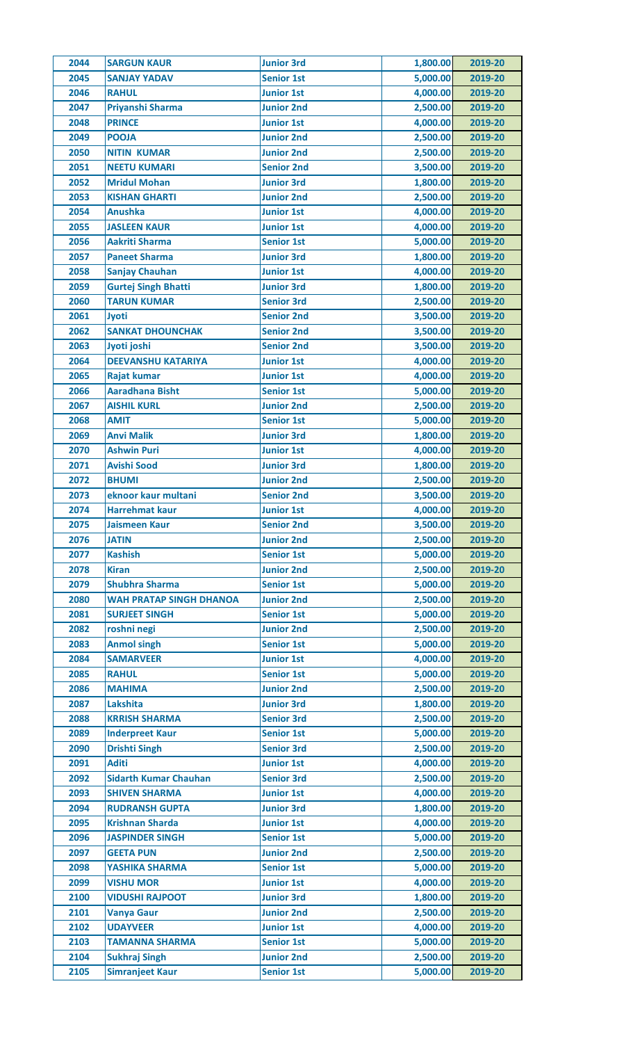| 2044 | <b>SARGUN KAUR</b>                | <b>Junior 3rd</b> | 1,800.00 | 2019-20 |
|------|-----------------------------------|-------------------|----------|---------|
| 2045 | <b>SANJAY YADAV</b>               | <b>Senior 1st</b> | 5,000.00 | 2019-20 |
| 2046 | <b>RAHUL</b>                      | <b>Junior 1st</b> | 4,000.00 | 2019-20 |
| 2047 | Priyanshi Sharma                  | <b>Junior 2nd</b> | 2,500.00 | 2019-20 |
| 2048 | <b>PRINCE</b>                     | <b>Junior 1st</b> | 4,000.00 | 2019-20 |
| 2049 | <b>POOJA</b>                      | <b>Junior 2nd</b> | 2,500.00 | 2019-20 |
| 2050 | <b>NITIN KUMAR</b>                | <b>Junior 2nd</b> | 2,500.00 | 2019-20 |
| 2051 | <b>NEETU KUMARI</b>               | <b>Senior 2nd</b> | 3,500.00 | 2019-20 |
| 2052 | <b>Mridul Mohan</b>               | <b>Junior 3rd</b> | 1,800.00 | 2019-20 |
| 2053 | <b>KISHAN GHARTI</b>              | <b>Junior 2nd</b> | 2,500.00 | 2019-20 |
| 2054 | <b>Anushka</b>                    | <b>Junior 1st</b> | 4,000.00 | 2019-20 |
| 2055 | <b>JASLEEN KAUR</b>               | <b>Junior 1st</b> | 4,000.00 | 2019-20 |
| 2056 | <b>Aakriti Sharma</b>             | <b>Senior 1st</b> | 5,000.00 | 2019-20 |
| 2057 | <b>Paneet Sharma</b>              | <b>Junior 3rd</b> | 1,800.00 | 2019-20 |
| 2058 | <b>Sanjay Chauhan</b>             | <b>Junior 1st</b> | 4,000.00 | 2019-20 |
| 2059 | <b>Gurtej Singh Bhatti</b>        | <b>Junior 3rd</b> | 1,800.00 | 2019-20 |
| 2060 | <b>TARUN KUMAR</b>                | <b>Senior 3rd</b> | 2,500.00 | 2019-20 |
| 2061 | Jyoti                             | <b>Senior 2nd</b> | 3,500.00 | 2019-20 |
| 2062 | <b>SANKAT DHOUNCHAK</b>           | <b>Senior 2nd</b> | 3,500.00 | 2019-20 |
| 2063 | Jyoti joshi                       | <b>Senior 2nd</b> | 3,500.00 | 2019-20 |
| 2064 | <b>DEEVANSHU KATARIYA</b>         | <b>Junior 1st</b> | 4,000.00 | 2019-20 |
| 2065 | <b>Rajat kumar</b>                | <b>Junior 1st</b> | 4,000.00 | 2019-20 |
| 2066 | <b>Aaradhana Bisht</b>            |                   | 5,000.00 | 2019-20 |
|      |                                   | <b>Senior 1st</b> |          |         |
| 2067 | <b>AISHIL KURL</b><br><b>AMIT</b> | <b>Junior 2nd</b> | 2,500.00 | 2019-20 |
| 2068 |                                   | <b>Senior 1st</b> | 5,000.00 | 2019-20 |
| 2069 | <b>Anvi Malik</b>                 | <b>Junior 3rd</b> | 1,800.00 | 2019-20 |
| 2070 | <b>Ashwin Puri</b>                | <b>Junior 1st</b> | 4,000.00 | 2019-20 |
| 2071 | <b>Avishi Sood</b>                | <b>Junior 3rd</b> | 1,800.00 | 2019-20 |
| 2072 | <b>BHUMI</b>                      | <b>Junior 2nd</b> | 2,500.00 | 2019-20 |
| 2073 | eknoor kaur multani               | <b>Senior 2nd</b> | 3,500.00 | 2019-20 |
| 2074 | Harrehmat kaur                    | <b>Junior 1st</b> | 4,000.00 | 2019-20 |
| 2075 | <b>Jaismeen Kaur</b>              | <b>Senior 2nd</b> | 3,500.00 | 2019-20 |
| 2076 | <b>JATIN</b>                      | <b>Junior 2nd</b> | 2,500.00 | 2019-20 |
| 2077 | <b>Kashish</b>                    | <b>Senior 1st</b> | 5,000.00 | 2019-20 |
| 2078 | <b>Kiran</b>                      | <b>Junior 2nd</b> | 2,500.00 | 2019-20 |
| 2079 | <b>Shubhra Sharma</b>             | <b>Senior 1st</b> | 5,000.00 | 2019-20 |
| 2080 | <b>WAH PRATAP SINGH DHANOA</b>    | <b>Junior 2nd</b> | 2,500.00 | 2019-20 |
| 2081 | <b>SURJEET SINGH</b>              | <b>Senior 1st</b> | 5,000.00 | 2019-20 |
| 2082 | roshni negi                       | <b>Junior 2nd</b> | 2,500.00 | 2019-20 |
| 2083 | <b>Anmol singh</b>                | <b>Senior 1st</b> | 5,000.00 | 2019-20 |
| 2084 | <b>SAMARVEER</b>                  | <b>Junior 1st</b> | 4,000.00 | 2019-20 |
| 2085 | <b>RAHUL</b>                      | <b>Senior 1st</b> | 5,000.00 | 2019-20 |
| 2086 | <b>MAHIMA</b>                     | <b>Junior 2nd</b> | 2,500.00 | 2019-20 |
| 2087 | <b>Lakshita</b>                   | <b>Junior 3rd</b> | 1,800.00 | 2019-20 |
| 2088 | <b>KRRISH SHARMA</b>              | <b>Senior 3rd</b> | 2,500.00 | 2019-20 |
| 2089 | <b>Inderpreet Kaur</b>            | <b>Senior 1st</b> | 5,000.00 | 2019-20 |
| 2090 | <b>Drishti Singh</b>              | <b>Senior 3rd</b> | 2,500.00 | 2019-20 |
| 2091 | <b>Aditi</b>                      | <b>Junior 1st</b> | 4,000.00 | 2019-20 |
| 2092 | <b>Sidarth Kumar Chauhan</b>      | <b>Senior 3rd</b> | 2,500.00 | 2019-20 |
| 2093 | <b>SHIVEN SHARMA</b>              | <b>Junior 1st</b> | 4,000.00 | 2019-20 |
| 2094 | <b>RUDRANSH GUPTA</b>             | <b>Junior 3rd</b> | 1,800.00 | 2019-20 |
| 2095 | <b>Krishnan Sharda</b>            | <b>Junior 1st</b> | 4,000.00 | 2019-20 |
| 2096 | <b>JASPINDER SINGH</b>            | <b>Senior 1st</b> | 5,000.00 | 2019-20 |
| 2097 | <b>GEETA PUN</b>                  | <b>Junior 2nd</b> | 2,500.00 | 2019-20 |
| 2098 | YASHIKA SHARMA                    | <b>Senior 1st</b> | 5,000.00 | 2019-20 |
| 2099 | <b>VISHU MOR</b>                  | <b>Junior 1st</b> | 4,000.00 | 2019-20 |
| 2100 | <b>VIDUSHI RAJPOOT</b>            | <b>Junior 3rd</b> | 1,800.00 | 2019-20 |
| 2101 | <b>Vanya Gaur</b>                 | <b>Junior 2nd</b> | 2,500.00 | 2019-20 |
| 2102 | <b>UDAYVEER</b>                   | <b>Junior 1st</b> | 4,000.00 | 2019-20 |
| 2103 | <b>TAMANNA SHARMA</b>             | <b>Senior 1st</b> | 5,000.00 | 2019-20 |
| 2104 | <b>Sukhraj Singh</b>              | <b>Junior 2nd</b> | 2,500.00 | 2019-20 |
| 2105 | <b>Simranjeet Kaur</b>            | <b>Senior 1st</b> | 5,000.00 | 2019-20 |
|      |                                   |                   |          |         |